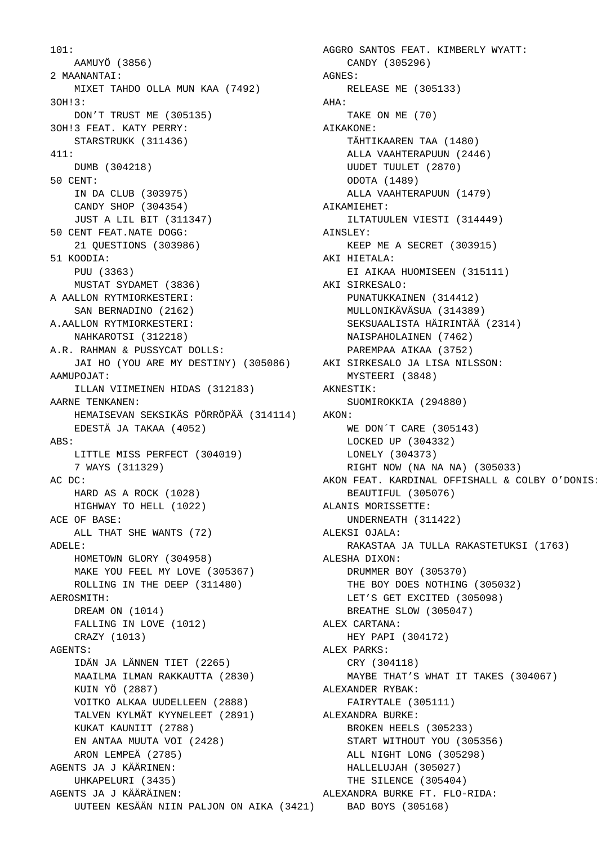```
101: 
    AAMUYÖ (3856)
  2 MAANANTAI: 
    MIXET TAHDO OLLA MUN KAA (7492)
  3OH!3: 
    DON'T TRUST ME (305135)
  3OH!3 FEAT. KATY PERRY: 
    STARSTRUKK (311436)
  411: 
    DUMB (304218)
  50 CENT: 
    IN DA CLUB (303975)
    CANDY SHOP (304354)
     JUST A LIL BIT (311347)
  50 CENT FEAT.NATE DOGG: 
    21 QUESTIONS (303986)
  51 KOODIA: 
    PUU (3363)
    MUSTAT SYDAMET (3836)
 A AALLON RYTMIORKESTERI: 
    SAN BERNADINO (2162)
 A.AALLON RYTMIORKESTERI: 
    NAHKAROTSI (312218)
 A.R. RAHMAN & PUSSYCAT DOLLS: 
 JAI HO (YOU ARE MY DESTINY) (305086)
 AKI SIRKESALO JA LISA NILSSON: 
AAMIIPOJAT:
     ILLAN VIIMEINEN HIDAS (312183)
  AARNE TENKANEN: 
    HEMAISEVAN SEKSIKÄS PÖRRÖPÄÄ (314114)
    EDESTÄ JA TAKAA (4052)
 ABS: 
    LITTLE MISS PERFECT (304019)
     7 WAYS (311329)
 AC DC: 
    HARD AS A ROCK (1028)
    HIGHWAY TO HELL (1022)
 ACE OF BASE: 
    ALL THAT SHE WANTS (72)
 ADELE: 
    HOMETOWN GLORY (304958)
    MAKE YOU FEEL MY LOVE (305367)
    ROLLING IN THE DEEP (311480)
 AEROSMITH: 
    DREAM ON (1014)
    FALLING IN LOVE (1012)
    CRAZY (1013)
 AGENTS: 
    IDÄN JA LÄNNEN TIET (2265)
    MAAILMA ILMAN RAKKAUTTA (2830)
    KUIN YÖ (2887)
    VOITKO ALKAA UUDELLEEN (2888)
    TALVEN KYLMÄT KYYNELEET (2891)
    KUKAT KAUNIIT (2788)
    EN ANTAA MUUTA VOI (2428)
    ARON LEMPEÄ (2785)
 AGENTS JA J KÄÄRINEN: 
    UHKAPELURI (3435)
 AGENTS JA J KÄÄRÄINEN: 
 UUTEEN KESÄÄN NIIN PALJON ON AIKA (3421)
 BAD BOYS (305168)
```
 AGGRO SANTOS FEAT. KIMBERLY WYATT: CANDY (305296) AGNES: RELEASE ME (305133) AHA: TAKE ON ME (70) AIKAKONE: TÄHTIKAAREN TAA (1480) ALLA VAAHTERAPUUN (2446) UUDET TUULET (2870) ODOTA (1489) ALLA VAAHTERAPUUN (1479) AIKAMIEHET: ILTATUULEN VIESTI (314449) AINSLEY: KEEP ME A SECRET (303915) AKI HIETALA: EI AIKAA HUOMISEEN (315111) AKI SIRKESALO: PUNATUKKAINEN (314412) MULLONIKÄVÄSUA (314389) SEKSUAALISTA HÄIRINTÄÄ (2314) NAISPAHOLAINEN (7462) PAREMPAA AIKAA (3752) MYSTEERI (3848) AKNESTIK: SUOMIROKKIA (294880) AKON: WE DON´T CARE (305143) LOCKED UP (304332) LONELY (304373) RIGHT NOW (NA NA NA) (305033) AKON FEAT. KARDINAL OFFISHALL & COLBY O'DONIS: BEAUTIFUL (305076) ALANIS MORISSETTE: UNDERNEATH (311422) ALEKSI OJALA: RAKASTAA JA TULLA RAKASTETUKSI (1763) ALESHA DIXON: DRUMMER BOY (305370) THE BOY DOES NOTHING (305032) LET'S GET EXCITED (305098) BREATHE SLOW (305047) ALEX CARTANA: HEY PAPI (304172) ALEX PARKS: CRY (304118) MAYBE THAT'S WHAT IT TAKES (304067) ALEXANDER RYBAK: FAIRYTALE (305111) ALEXANDRA BURKE: BROKEN HEELS (305233) START WITHOUT YOU (305356) ALL NIGHT LONG (305298) HALLELUJAH (305027) THE SILENCE (305404) ALEXANDRA BURKE FT. FLO-RIDA: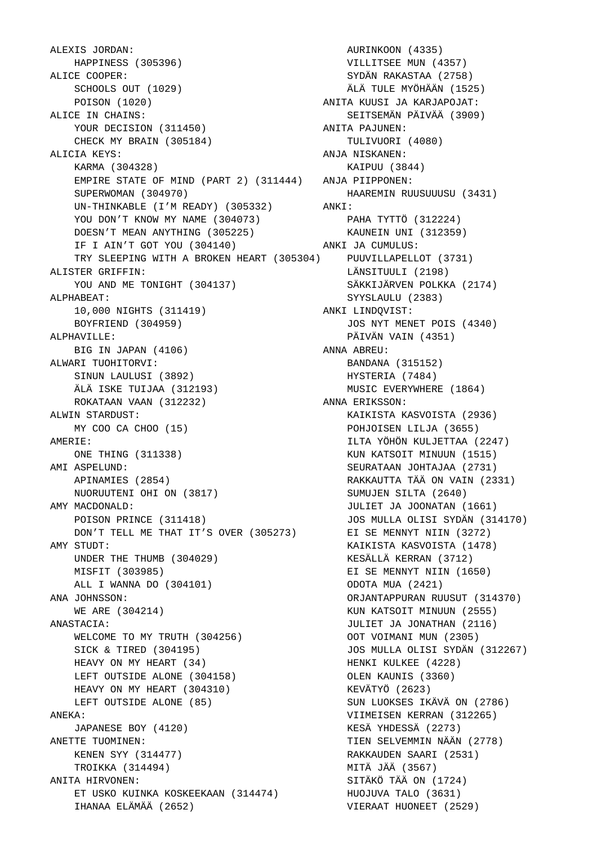ALEXIS JORDAN: HAPPINESS (305396) ALICE COOPER: SCHOOLS OUT (1029) POISON (1020) ALICE IN CHAINS: YOUR DECISION (311450) CHECK MY BRAIN (305184) ALICIA KEYS: KARMA (304328) EMPIRE STATE OF MIND (PART 2) (311444) SUPERWOMAN (304970) UN-THINKABLE (I'M READY) (305332) YOU DON'T KNOW MY NAME (304073) DOESN'T MEAN ANYTHING (305225) IF I AIN'T GOT YOU (304140) TRY SLEEPING WITH A BROKEN HEART (305304) ALISTER GRIFFIN: YOU AND ME TONIGHT (304137) ALPHABEAT: 10,000 NIGHTS (311419) BOYFRIEND (304959) ALPHAVILLE: BIG IN JAPAN (4106) ALWARI TUOHITORVI: SINUN LAULUSI (3892) ÄLÄ ISKE TUIJAA (312193) ROKATAAN VAAN (312232) ALWIN STARDUST: MY COO CA CHOO (15) AMERIE: ONE THING (311338) AMI ASPELUND: APINAMIES (2854) NUORUUTENI OHI ON (3817) AMY MACDONALD: POISON PRINCE (311418) DON'T TELL ME THAT IT'S OVER (305273) AMY STUDT: UNDER THE THUMB (304029) MISFIT (303985) ALL I WANNA DO (304101) ANA JOHNSSON: WE ARE (304214) ANASTACIA: WELCOME TO MY TRUTH (304256) SICK & TIRED (304195) HEAVY ON MY HEART (34) LEFT OUTSIDE ALONE (304158) HEAVY ON MY HEART (304310) LEFT OUTSIDE ALONE (85) ANEKA: JAPANESE BOY (4120) ANETTE TUOMINEN: KENEN SYY (314477) TROIKKA (314494) ANITA HIRVONEN: ET USKO KUINKA KOSKEEKAAN (314474) IHANAA ELÄMÄÄ (2652)

 AURINKOON (4335) VILLITSEE MUN (4357) SYDÄN RAKASTAA (2758) ÄLÄ TULE MYÖHÄÄN (1525) ANITA KUUSI JA KARJAPOJAT: SEITSEMÄN PÄIVÄÄ (3909) ANITA PAJUNEN: TULIVUORI (4080) ANJA NISKANEN: KAIPUU (3844) ANJA PIIPPONEN: HAAREMIN RUUSUUUSU (3431) ANKI: PAHA TYTTÖ (312224) KAUNEIN UNI (312359) ANKI JA CUMULUS: PUUVILLAPELLOT (3731) LÄNSITUULI (2198) SÄKKIJÄRVEN POLKKA (2174) SYYSLAULU (2383) ANKI LINDQVIST: JOS NYT MENET POIS (4340) PÄIVÄN VAIN (4351) ANNA ABREU: BANDANA (315152) HYSTERIA (7484) MUSIC EVERYWHERE (1864) ANNA ERIKSSON: KAIKISTA KASVOISTA (2936) POHJOISEN LILJA (3655) ILTA YÖHÖN KULJETTAA (2247) KUN KATSOIT MINUUN (1515) SEURATAAN JOHTAJAA (2731) RAKKAUTTA TÄÄ ON VAIN (2331) SUMUJEN SILTA (2640) JULIET JA JOONATAN (1661) JOS MULLA OLISI SYDÄN (314170) EI SE MENNYT NIIN (3272) KAIKISTA KASVOISTA (1478) KESÄLLÄ KERRAN (3712) EI SE MENNYT NIIN (1650) ODOTA MUA (2421) ORJANTAPPURAN RUUSUT (314370) KUN KATSOIT MINUUN (2555) JULIET JA JONATHAN (2116) OOT VOIMANI MUN (2305) JOS MULLA OLISI SYDÄN (312267) HENKI KULKEE (4228) OLEN KAUNIS (3360) KEVÄTYÖ (2623) SUN LUOKSES IKÄVÄ ON (2786) VIIMEISEN KERRAN (312265) KESÄ YHDESSÄ (2273) TIEN SELVEMMIN NÄÄN (2778) RAKKAUDEN SAARI (2531) MITÄ JÄÄ (3567) SITÄKÖ TÄÄ ON (1724) HUOJUVA TALO (3631) VIERAAT HUONEET (2529)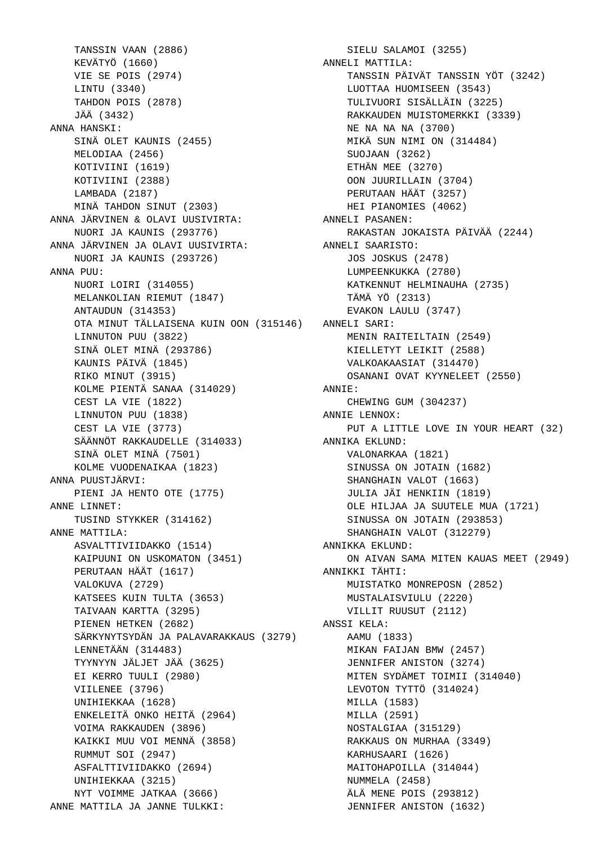TANSSIN VAAN (2886) KEVÄTYÖ (1660) VIE SE POIS (2974) LINTU (3340) TAHDON POIS (2878) JÄÄ (3432) ANNA HANSKI: SINÄ OLET KAUNIS (2455) MELODIAA (2456) KOTIVIINI (1619) KOTIVIINI (2388) LAMBADA (2187) MINÄ TAHDON SINUT (2303) ANNA JÄRVINEN & OLAVI UUSIVIRTA: ANNELI PASANEN: NUORI JA KAUNIS (293776) ANNA JÄRVINEN JA OLAVI UUSIVIRTA: NUORI JA KAUNIS (293726) ANNA PUU: NUORI LOIRI (314055) MELANKOLIAN RIEMUT (1847) ANTAUDUN (314353) OTA MINUT TÄLLAISENA KUIN OON (315146) ANNELI SARI: LINNUTON PUU (3822) SINÄ OLET MINÄ (293786) KAUNIS PÄIVÄ (1845) RIKO MINUT (3915) KOLME PIENTÄ SANAA (314029) CEST LA VIE (1822) LINNUTON PUU (1838) CEST LA VIE (3773) SÄÄNNÖT RAKKAUDELLE (314033) SINÄ OLET MINÄ (7501) KOLME VUODENAIKAA (1823) ANNA PUUSTJÄRVI: PIENI JA HENTO OTE (1775) ANNE LINNET: TUSIND STYKKER (314162) ANNE MATTILA: ASVALTTIVIIDAKKO (1514) KAIPUUNI ON USKOMATON (3451) PERUTAAN HÄÄT (1617) VALOKUVA (2729) KATSEES KUIN TULTA (3653) TAIVAAN KARTTA (3295) PIENEN HETKEN (2682) SÄRKYNYTSYDÄN JA PALAVARAKKAUS (3279) LENNETÄÄN (314483) TYYNYYN JÄLJET JÄÄ (3625) EI KERRO TUULI (2980) VIILENEE (3796) UNIHIEKKAA (1628) ENKELEITÄ ONKO HEITÄ (2964) VOIMA RAKKAUDEN (3896) KAIKKI MUU VOI MENNÄ (3858) RUMMUT SOI (2947) ASFALTTIVIIDAKKO (2694) UNIHIEKKAA (3215) NYT VOIMME JATKAA (3666) ANNE MATTILA JA JANNE TULKKI:

 SIELU SALAMOI (3255) ANNELI MATTILA: TANSSIN PÄIVÄT TANSSIN YÖT (3242) LUOTTAA HUOMISEEN (3543) TULIVUORI SISÄLLÄIN (3225) RAKKAUDEN MUISTOMERKKI (3339) NE NA NA NA (3700) MIKÄ SUN NIMI ON (314484) SUOJAAN (3262) ETHÄN MEE (3270) OON JUURILLAIN (3704) PERUTAAN HÄÄT (3257) HEI PIANOMIES (4062) RAKASTAN JOKAISTA PÄIVÄÄ (2244) ANNELI SAARISTO: JOS JOSKUS (2478) LUMPEENKUKKA (2780) KATKENNUT HELMINAUHA (2735) TÄMÄ YÖ (2313) EVAKON LAULU (3747) MENIN RAITEILTAIN (2549) KIELLETYT LEIKIT (2588) VALKOAKAASIAT (314470) OSANANI OVAT KYYNELEET (2550) ANNIE: CHEWING GUM (304237) ANNIE LENNOX: PUT A LITTLE LOVE IN YOUR HEART (32) ANNIKA EKLUND: VALONARKAA (1821) SINUSSA ON JOTAIN (1682) SHANGHAIN VALOT (1663) JULIA JÄI HENKIIN (1819) OLE HILJAA JA SUUTELE MUA (1721) SINUSSA ON JOTAIN (293853) SHANGHAIN VALOT (312279) ANNIKKA EKLUND: ON AIVAN SAMA MITEN KAUAS MEET (2949) ANNIKKI TÄHTI: MUISTATKO MONREPOSN (2852) MUSTALAISVIULU (2220) VILLIT RUUSUT (2112) ANSSI KELA: AAMU (1833) MIKAN FAIJAN BMW (2457) JENNIFER ANISTON (3274) MITEN SYDÄMET TOIMII (314040) LEVOTON TYTTÖ (314024) MILLA (1583) MILLA (2591) NOSTALGIAA (315129) RAKKAUS ON MURHAA (3349) KARHUSAARI (1626) MAITOHAPOILLA (314044) NUMMELA (2458) ÄLÄ MENE POIS (293812) JENNIFER ANISTON (1632)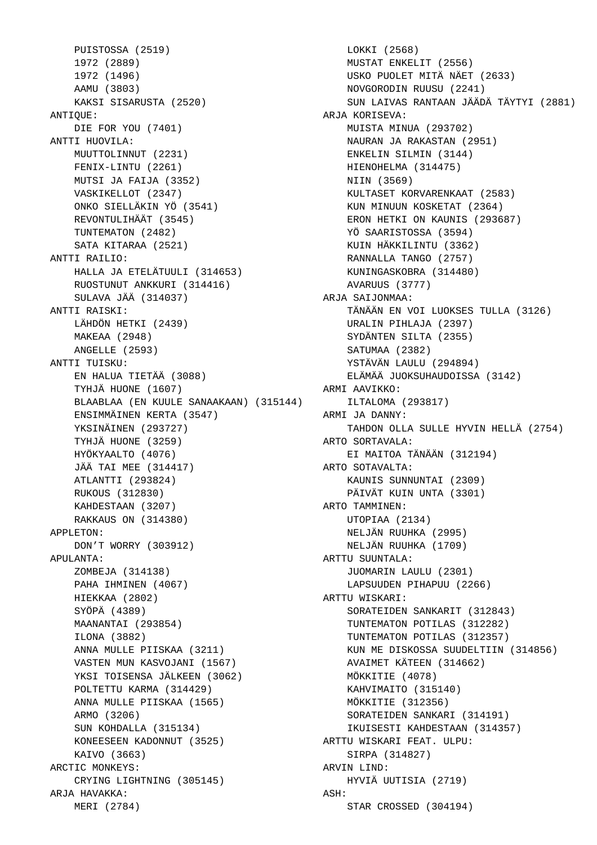PUISTOSSA (2519) 1972 (2889) 1972 (1496) AAMU (3803) KAKSI SISARUSTA (2520) ANTIQUE: DIE FOR YOU (7401) ANTTI HUOVILA: MUUTTOLINNUT (2231) FENIX-LINTU (2261) MUTSI JA FAIJA (3352) VASKIKELLOT (2347) ONKO SIELLÄKIN YÖ (3541) REVONTULIHÄÄT (3545) TUNTEMATON (2482) SATA KITARAA (2521) ANTTI RAILIO: HALLA JA ETELÄTUULI (314653) RUOSTUNUT ANKKURI (314416) SULAVA JÄÄ (314037) ANTTI RAISKI: LÄHDÖN HETKI (2439) MAKEAA (2948) ANGELLE (2593) ANTTI TUISKU: EN HALUA TIETÄÄ (3088) TYHJÄ HUONE (1607) BLAABLAA (EN KUULE SANAAKAAN) (315144) ENSIMMÄINEN KERTA (3547) YKSINÄINEN (293727) TYHJÄ HUONE (3259) HYÖKYAALTO (4076) JÄÄ TAI MEE (314417) ATLANTTI (293824) RUKOUS (312830) KAHDESTAAN (3207) RAKKAUS ON (314380) APPLETON: DON'T WORRY (303912) APULANTA: ZOMBEJA (314138) PAHA IHMINEN (4067) HIEKKAA (2802) SYÖPÄ (4389) MAANANTAI (293854) ILONA (3882) ANNA MULLE PIISKAA (3211) VASTEN MUN KASVOJANI (1567) YKSI TOISENSA JÄLKEEN (3062) POLTETTU KARMA (314429) ANNA MULLE PIISKAA (1565) ARMO (3206) SUN KOHDALLA (315134) KONEESEEN KADONNUT (3525) KAIVO (3663) ARCTIC MONKEYS: CRYING LIGHTNING (305145) ARJA HAVAKKA: MERI (2784)

 LOKKI (2568) MUSTAT ENKELIT (2556) USKO PUOLET MITÄ NÄET (2633) NOVGORODIN RUUSU (2241) SUN LAIVAS RANTAAN JÄÄDÄ TÄYTYI (2881) ARJA KORISEVA: MUISTA MINUA (293702) NAURAN JA RAKASTAN (2951) ENKELIN SILMIN (3144) HIENOHELMA (314475) NIIN (3569) KULTASET KORVARENKAAT (2583) KUN MINUUN KOSKETAT (2364) ERON HETKI ON KAUNIS (293687) YÖ SAARISTOSSA (3594) KUIN HÄKKILINTU (3362) RANNALLA TANGO (2757) KUNINGASKOBRA (314480) AVARUUS (3777) ARJA SAIJONMAA: TÄNÄÄN EN VOI LUOKSES TULLA (3126) URALIN PIHLAJA (2397) SYDÄNTEN SILTA (2355) SATUMAA (2382) YSTÄVÄN LAULU (294894) ELÄMÄÄ JUOKSUHAUDOISSA (3142) ARMI AAVIKKO: ILTALOMA (293817) ARMI JA DANNY: TAHDON OLLA SULLE HYVIN HELLÄ (2754) ARTO SORTAVALA: EI MAITOA TÄNÄÄN (312194) ARTO SOTAVALTA: KAUNIS SUNNUNTAI (2309) PÄIVÄT KUIN UNTA (3301) ARTO TAMMINEN: UTOPIAA (2134) NELJÄN RUUHKA (2995) NELJÄN RUUHKA (1709) ARTTU SUUNTALA: JUOMARIN LAULU (2301) LAPSUUDEN PIHAPUU (2266) ARTTU WISKARI: SORATEIDEN SANKARIT (312843) TUNTEMATON POTILAS (312282) TUNTEMATON POTILAS (312357) KUN ME DISKOSSA SUUDELTIIN (314856) AVAIMET KÄTEEN (314662) MÖKKITIE (4078) KAHVIMAITO (315140) MÖKKITIE (312356) SORATEIDEN SANKARI (314191) IKUISESTI KAHDESTAAN (314357) ARTTU WISKARI FEAT. ULPU: SIRPA (314827) ARVIN LIND: HYVIÄ UUTISIA (2719) ASH: STAR CROSSED (304194)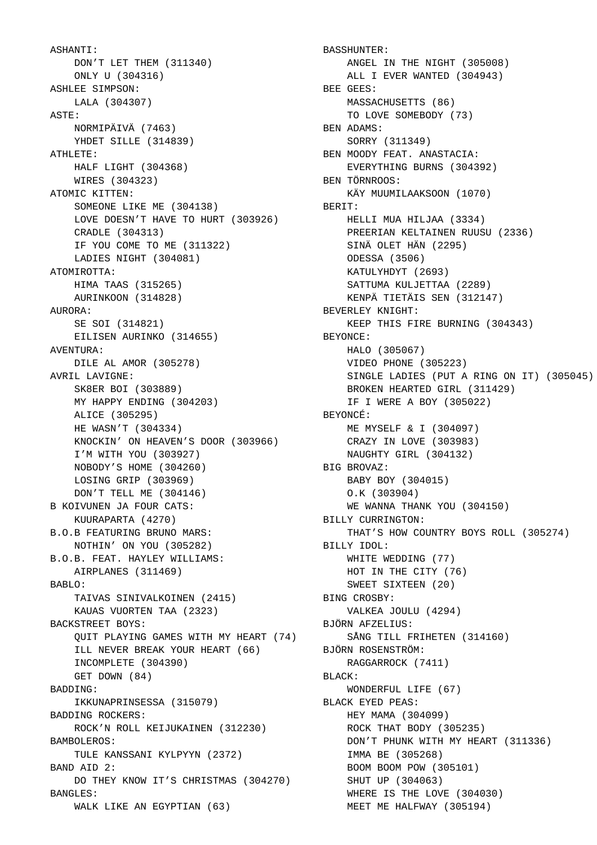ASHANTI: DON'T LET THEM (311340) ONLY U (304316) ASHLEE SIMPSON: LALA (304307) ASTE: NORMIPÄIVÄ (7463) YHDET SILLE (314839) ATHLETE: HALF LIGHT (304368) WIRES (304323) ATOMIC KITTEN: SOMEONE LIKE ME (304138) LOVE DOESN'T HAVE TO HURT (303926) CRADLE (304313) IF YOU COME TO ME (311322) LADIES NIGHT (304081) ATOMIROTTA: HIMA TAAS (315265) AURINKOON (314828) AURORA: SE SOI (314821) EILISEN AURINKO (314655) AVENTURA: DILE AL AMOR (305278) AVRIL LAVIGNE: SK8ER BOI (303889) MY HAPPY ENDING (304203) ALICE (305295) HE WASN'T (304334) KNOCKIN' ON HEAVEN'S DOOR (303966) I'M WITH YOU (303927) NOBODY'S HOME (304260) LOSING GRIP (303969) DON'T TELL ME (304146) B KOIVUNEN JA FOUR CATS: KUURAPARTA (4270) B.O.B FEATURING BRUNO MARS: NOTHIN' ON YOU (305282) B.O.B. FEAT. HAYLEY WILLIAMS: AIRPLANES (311469) BABLO: TAIVAS SINIVALKOINEN (2415) KAUAS VUORTEN TAA (2323) BACKSTREET BOYS: QUIT PLAYING GAMES WITH MY HEART (74) ILL NEVER BREAK YOUR HEART (66) INCOMPLETE (304390) GET DOWN (84) BADDING: IKKUNAPRINSESSA (315079) BADDING ROCKERS: ROCK'N ROLL KEIJUKAINEN (312230) BAMBOLEROS: TULE KANSSANI KYLPYYN (2372) BAND AID 2: DO THEY KNOW IT'S CHRISTMAS (304270) BANGLES: WALK LIKE AN EGYPTIAN (63)

 BASSHUNTER: ANGEL IN THE NIGHT (305008) ALL I EVER WANTED (304943) BEE GEES: MASSACHUSETTS (86) TO LOVE SOMEBODY (73) BEN ADAMS: SORRY (311349) BEN MOODY FEAT. ANASTACIA: EVERYTHING BURNS (304392) BEN TÖRNROOS: KÄY MUUMILAAKSOON (1070) BERIT: HELLI MUA HILJAA (3334) PREERIAN KELTAINEN RUUSU (2336) SINÄ OLET HÄN (2295) ODESSA (3506) KATULYHDYT (2693) SATTUMA KULJETTAA (2289) KENPÄ TIETÄIS SEN (312147) BEVERLEY KNIGHT: KEEP THIS FIRE BURNING (304343) BEYONCE: HALO (305067) VIDEO PHONE (305223) SINGLE LADIES (PUT A RING ON IT) (305045) BROKEN HEARTED GIRL (311429) IF I WERE A BOY (305022) BEYONCÉ: ME MYSELF & I (304097) CRAZY IN LOVE (303983) NAUGHTY GIRL (304132) BIG BROVAZ: BABY BOY (304015) O.K (303904) WE WANNA THANK YOU (304150) BILLY CURRINGTON: THAT'S HOW COUNTRY BOYS ROLL (305274) BILLY IDOL: WHITE WEDDING (77) HOT IN THE CITY (76) SWEET SIXTEEN (20) BING CROSBY: VALKEA JOULU (4294) BJÖRN AFZELIUS: SÅNG TILL FRIHETEN (314160) BJÖRN ROSENSTRÖM: RAGGARROCK (7411) BLACK: WONDERFUL LIFE (67) BLACK EYED PEAS: HEY MAMA (304099) ROCK THAT BODY (305235) DON'T PHUNK WITH MY HEART (311336) IMMA BE (305268) BOOM BOOM POW (305101) SHUT UP (304063) WHERE IS THE LOVE (304030) MEET ME HALFWAY (305194)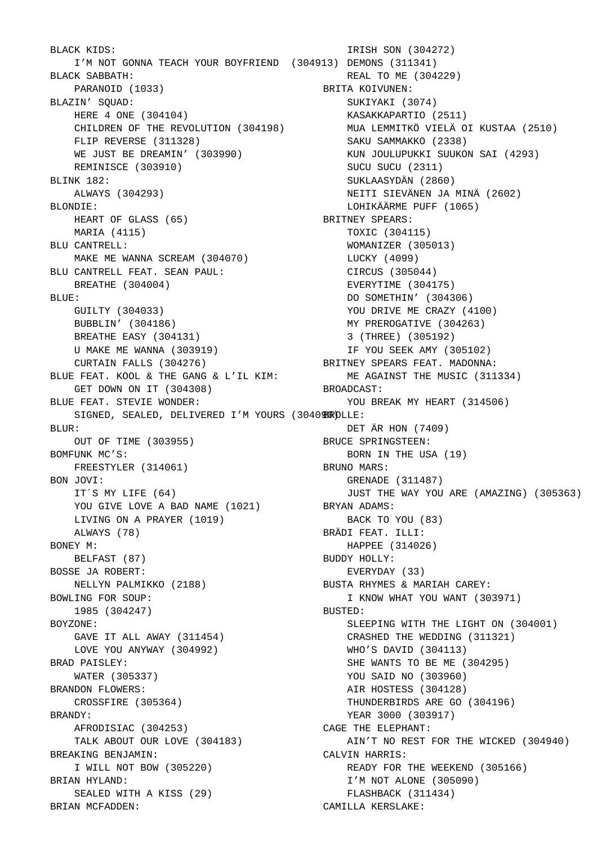BLACK KIDS: I'M NOT GONNA TEACH YOUR BOYFRIEND (304913) DEMONS (311341) BLACK SABBATH: PARANOID (1033) BLAZIN' SQUAD: HERE 4 ONE (304104) CHILDREN OF THE REVOLUTION (304198) FLIP REVERSE (311328) WE JUST BE DREAMIN' (303990) REMINISCE (303910) BLINK 182: ALWAYS (304293) BLONDIE: HEART OF GLASS (65) MARIA (4115) BLU CANTRELL: MAKE ME WANNA SCREAM (304070) BLU CANTRELL FEAT. SEAN PAUL: BREATHE (304004) BLUE: GUILTY (304033) BUBBLIN' (304186) BREATHE EASY (304131) U MAKE ME WANNA (303919) CURTAIN FALLS (304276) BLUE FEAT. KOOL & THE GANG & L'IL KIM: GET DOWN ON IT (304308) BLUE FEAT. STEVIE WONDER: SIGNED, SEALED, DELIVERED I'M YOURS (30409@ROLLE: BLUR: OUT OF TIME (303955) BOMFUNK MC'S: FREESTYLER (314061) BON JOVI: IT´S MY LIFE (64) YOU GIVE LOVE A BAD NAME (1021) LIVING ON A PRAYER (1019) ALWAYS (78) BONEY M: BELFAST (87) BOSSE JA ROBERT: NELLYN PALMIKKO (2188) BOWLING FOR SOUP: 1985 (304247) BOYZONE: GAVE IT ALL AWAY (311454) LOVE YOU ANYWAY (304992) BRAD PAISLEY: WATER (305337) BRANDON FLOWERS: CROSSFIRE (305364) BRANDY: AFRODISIAC (304253) TALK ABOUT OUR LOVE (304183) BREAKING BENJAMIN: I WILL NOT BOW (305220) BRIAN HYLAND: SEALED WITH A KISS (29) BRIAN MCFADDEN:

 IRISH SON (304272) REAL TO ME (304229) BRITA KOIVUNEN: SUKIYAKI (3074) KASAKKAPARTIO (2511) MUA LEMMITKÖ VIELÄ OI KUSTAA (2510) SAKU SAMMAKKO (2338) KUN JOULUPUKKI SUUKON SAI (4293) SUCU SUCU (2311) SUKLAASYDÄN (2860) NEITI SIEVÄNEN JA MINÄ (2602) LOHIKÄÄRME PUFF (1065) BRITNEY SPEARS: TOXIC (304115) WOMANIZER (305013) LUCKY (4099) CIRCUS (305044) EVERYTIME (304175) DO SOMETHIN' (304306) YOU DRIVE ME CRAZY (4100) MY PREROGATIVE (304263) 3 (THREE) (305192) IF YOU SEEK AMY (305102) BRITNEY SPEARS FEAT. MADONNA: ME AGAINST THE MUSIC (311334) BROADCAST: YOU BREAK MY HEART (314506) DET ÄR HON (7409) BRUCE SPRINGSTEEN: BORN IN THE USA (19) BRUNO MARS: GRENADE (311487) JUST THE WAY YOU ARE (AMAZING) (305363) BRYAN ADAMS: BACK TO YOU (83) BRÄDI FEAT. ILLI: HAPPEE (314026) BUDDY HOLLY: EVERYDAY (33) BUSTA RHYMES & MARIAH CAREY: I KNOW WHAT YOU WANT (303971) BUSTED: SLEEPING WITH THE LIGHT ON (304001) CRASHED THE WEDDING (311321) WHO'S DAVID (304113) SHE WANTS TO BE ME (304295) YOU SAID NO (303960) AIR HOSTESS (304128) THUNDERBIRDS ARE GO (304196) YEAR 3000 (303917) CAGE THE ELEPHANT: AIN'T NO REST FOR THE WICKED (304940) CALVIN HARRIS: READY FOR THE WEEKEND (305166) I'M NOT ALONE (305090) FLASHBACK (311434) CAMILLA KERSLAKE: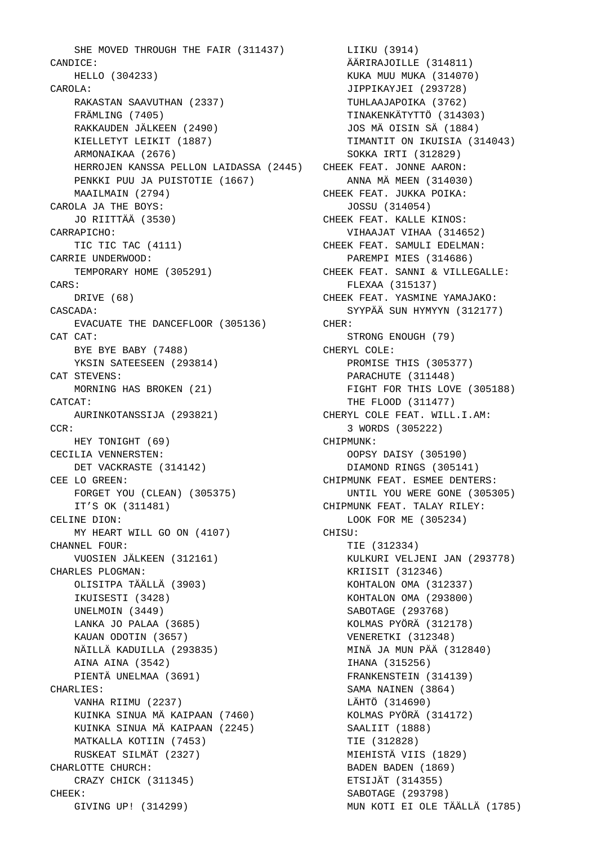SHE MOVED THROUGH THE FAIR (311437) CANDICE: HELLO (304233) CAROLA: RAKASTAN SAAVUTHAN (2337) FRÄMLING (7405) RAKKAUDEN JÄLKEEN (2490) KIELLETYT LEIKIT (1887) ARMONAIKAA (2676) HERROJEN KANSSA PELLON LAIDASSA (2445) PENKKI PUU JA PUISTOTIE (1667) MAAILMAIN (2794) CAROLA JA THE BOYS: JO RIITTÄÄ (3530) CARRAPICHO: TIC TIC TAC (4111) CARRIE UNDERWOOD: TEMPORARY HOME (305291) CARS: DRIVE (68) CASCADA: EVACUATE THE DANCEFLOOR (305136) CAT CAT: BYE BYE BABY (7488) YKSIN SATEESEEN (293814) CAT STEVENS: MORNING HAS BROKEN (21) CATCAT: AURINKOTANSSIJA (293821) CCR: HEY TONIGHT (69) CECILIA VENNERSTEN: DET VACKRASTE (314142) CEE LO GREEN: FORGET YOU (CLEAN) (305375) IT'S OK (311481) CELINE DION: MY HEART WILL GO ON (4107) CHANNEL FOUR: VUOSIEN JÄLKEEN (312161) CHARLES PLOGMAN: OLISITPA TÄÄLLÄ (3903) IKUISESTI (3428) UNELMOIN (3449) LANKA JO PALAA (3685) KAUAN ODOTIN (3657) NÄILLÄ KADUILLA (293835) AINA AINA (3542) PIENTÄ UNELMAA (3691) CHARLIES: VANHA RIIMU (2237) KUINKA SINUA MÄ KAIPAAN (7460) KUINKA SINUA MÄ KAIPAAN (2245) MATKALLA KOTIIN (7453) RUSKEAT SILMÄT (2327) CHARLOTTE CHURCH: CRAZY CHICK (311345) CHEEK: GIVING UP! (314299)

 LIIKU (3914) ÄÄRIRAJOILLE (314811) KUKA MUU MUKA (314070) JIPPIKAYJEI (293728) TUHLAAJAPOIKA (3762) TINAKENKÄTYTTÖ (314303) JOS MÄ OISIN SÄ (1884) TIMANTIT ON IKUISIA (314043) SOKKA IRTI (312829) CHEEK FEAT. JONNE AARON: ANNA MÄ MEEN (314030) CHEEK FEAT. JUKKA POIKA: JOSSU (314054) CHEEK FEAT. KALLE KINOS: VIHAAJAT VIHAA (314652) CHEEK FEAT. SAMULI EDELMAN: PAREMPI MIES (314686) CHEEK FEAT. SANNI & VILLEGALLE: FLEXAA (315137) CHEEK FEAT. YASMINE YAMAJAKO: SYYPÄÄ SUN HYMYYN (312177) CHER: STRONG ENOUGH (79) CHERYL COLE: PROMISE THIS (305377) PARACHUTE (311448) FIGHT FOR THIS LOVE (305188) THE FLOOD (311477) CHERYL COLE FEAT. WILL.I.AM: 3 WORDS (305222) CHIPMUNK: OOPSY DAISY (305190) DIAMOND RINGS (305141) CHIPMUNK FEAT. ESMEE DENTERS: UNTIL YOU WERE GONE (305305) CHIPMUNK FEAT. TALAY RILEY: LOOK FOR ME (305234) CHISU: TIE (312334) KULKURI VELJENI JAN (293778) KRIISIT (312346) KOHTALON OMA (312337) KOHTALON OMA (293800) SABOTAGE (293768) KOLMAS PYÖRÄ (312178) VENERETKI (312348) MINÄ JA MUN PÄÄ (312840) IHANA (315256) FRANKENSTEIN (314139) SAMA NAINEN (3864) LÄHTÖ (314690) KOLMAS PYÖRÄ (314172) SAALIIT (1888) TIE (312828) MIEHISTÄ VIIS (1829) BADEN BADEN (1869) ETSIJÄT (314355) SABOTAGE (293798) MUN KOTI EI OLE TÄÄLLÄ (1785)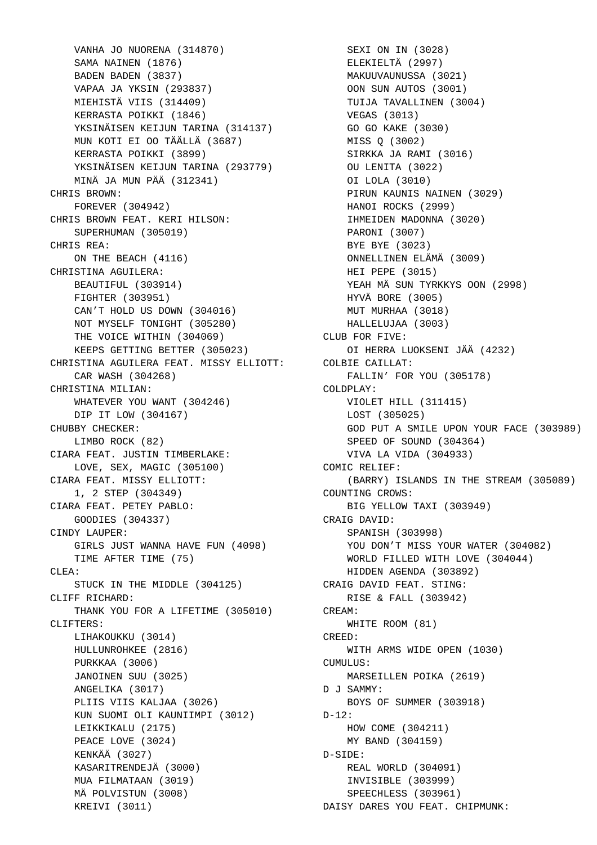VANHA JO NUORENA (314870) SAMA NAINEN (1876) BADEN BADEN (3837) VAPAA JA YKSIN (293837) MIEHISTÄ VIIS (314409) KERRASTA POIKKI (1846) YKSINÄISEN KEIJUN TARINA (314137) MUN KOTI EI OO TÄÄLLÄ (3687) KERRASTA POIKKI (3899) KERRASIA FOIRRI (2022)<br>YKSINÄISEN KEIJUN TARINA (293779) MINÄ JA MUN PÄÄ (312341) CHRIS BROWN: FOREVER (304942) CHRIS BROWN FEAT. KERI HILSON: SUPERHUMAN (305019) CHRIS REA: ON THE BEACH (4116) CHRISTINA AGUILERA: BEAUTIFUL (303914) FIGHTER (303951) CAN'T HOLD US DOWN (304016) NOT MYSELF TONIGHT (305280) THE VOICE WITHIN (304069) KEEPS GETTING BETTER (305023) CHRISTINA AGUILERA FEAT. MISSY ELLIOTT: CAR WASH (304268) CHRISTINA MILIAN: WHATEVER YOU WANT (304246) DIP IT LOW (304167) CHUBBY CHECKER: LIMBO ROCK (82) CIARA FEAT. JUSTIN TIMBERLAKE: LOVE, SEX, MAGIC (305100) CIARA FEAT. MISSY ELLIOTT: 1, 2 STEP (304349) CIARA FEAT. PETEY PABLO: GOODIES (304337) CINDY LAUPER: GIRLS JUST WANNA HAVE FUN (4098) TIME AFTER TIME (75)  $CIF.A:$  STUCK IN THE MIDDLE (304125) CLIFF RICHARD: THANK YOU FOR A LIFETIME (305010) CLIFTERS: LIHAKOUKKU (3014) HULLUNROHKEE (2816) PURKKAA (3006) JANOINEN SUU (3025) ANGELIKA (3017) PLIIS VIIS KALJAA (3026) KUN SUOMI OLI KAUNIIMPI (3012) LEIKKIKALU (2175) PEACE LOVE (3024) KENKÄÄ (3027) KASARITRENDEJÄ (3000) MUA FILMATAAN (3019) MÄ POLVISTUN (3008) KREIVI (3011)

 SEXI ON IN (3028) ELEKIELTÄ (2997) MAKUUVAUNUSSA (3021) OON SUN AUTOS (3001) TUIJA TAVALLINEN (3004) VEGAS (3013) GO GO KAKE (3030) MISS Q (3002) SIRKKA JA RAMI (3016) OU LENITA (3022) OI LOLA (3010) PIRUN KAUNIS NAINEN (3029) HANOI ROCKS (2999) IHMEIDEN MADONNA (3020) PARONI (3007) BYE BYE (3023) ONNELLINEN ELÄMÄ (3009) HEI PEPE (3015) YEAH MÄ SUN TYRKKYS OON (2998) HYVÄ BORE (3005) MUT MURHAA (3018) HALLELUJAA (3003) CLUB FOR FIVE: OI HERRA LUOKSENI JÄÄ (4232) COLBIE CAILLAT: FALLIN' FOR YOU (305178) COLDPLAY: VIOLET HILL (311415) LOST (305025) GOD PUT A SMILE UPON YOUR FACE (303989) SPEED OF SOUND (304364) VIVA LA VIDA (304933) COMIC RELIEF: (BARRY) ISLANDS IN THE STREAM (305089) COUNTING CROWS: BIG YELLOW TAXI (303949) CRAIG DAVID: SPANISH (303998) YOU DON'T MISS YOUR WATER (304082) WORLD FILLED WITH LOVE (304044) HIDDEN AGENDA (303892) CRAIG DAVID FEAT. STING: RISE & FALL (303942) CREAM: WHITE ROOM (81) CREED: WITH ARMS WIDE OPEN (1030) CUMULUS: MARSEILLEN POIKA (2619) D J SAMMY: BOYS OF SUMMER (303918)  $D-12$ : HOW COME (304211) MY BAND (304159) D-SIDE: REAL WORLD (304091) INVISIBLE (303999) SPEECHLESS (303961) DAISY DARES YOU FEAT. CHIPMUNK: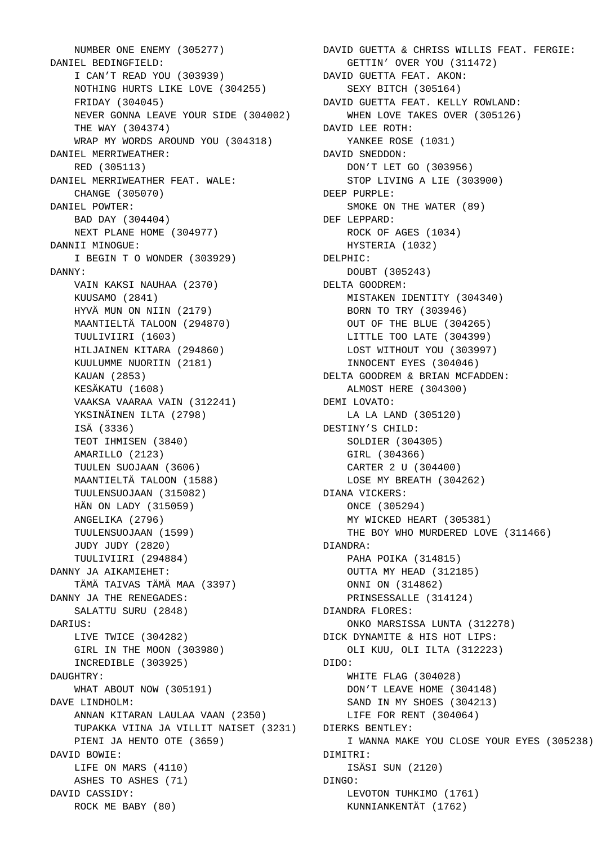NUMBER ONE ENEMY (305277) DANIEL BEDINGFIELD: I CAN'T READ YOU (303939) NOTHING HURTS LIKE LOVE (304255) FRIDAY (304045) NEVER GONNA LEAVE YOUR SIDE (304002) THE WAY (304374) WRAP MY WORDS AROUND YOU (304318) DANIEL MERRIWEATHER: RED (305113) DANIEL MERRIWEATHER FEAT. WALE: CHANGE (305070) DANIEL POWTER: BAD DAY (304404) NEXT PLANE HOME (304977) DANNII MINOGUE: I BEGIN T O WONDER (303929) DANNY: VAIN KAKSI NAUHAA (2370) KUUSAMO (2841) HYVÄ MUN ON NIIN (2179) MAANTIELTÄ TALOON (294870) TUULIVIIRI (1603) HILJAINEN KITARA (294860) KUULUMME NUORIIN (2181) KAUAN (2853) KESÄKATU (1608) VAAKSA VAARAA VAIN (312241) YKSINÄINEN ILTA (2798) ISÄ (3336) TEOT IHMISEN (3840) AMARILLO (2123) TUULEN SUOJAAN (3606) MAANTIELTÄ TALOON (1588) TUULENSUOJAAN (315082) HÄN ON LADY (315059) ANGELIKA (2796) TUULENSUOJAAN (1599) JUDY JUDY (2820) TUULIVIIRI (294884) DANNY JA AIKAMIEHET: TÄMÄ TAIVAS TÄMÄ MAA (3397) DANNY JA THE RENEGADES: SALATTU SURU (2848) DARIUS: LIVE TWICE (304282) GIRL IN THE MOON (303980) INCREDIBLE (303925) DAUGHTRY: WHAT ABOUT NOW (305191) DAVE LINDHOLM: ANNAN KITARAN LAULAA VAAN (2350) TUPAKKA VIINA JA VILLIT NAISET (3231) PIENI JA HENTO OTE (3659) DAVID BOWIE: LIFE ON MARS (4110) ASHES TO ASHES (71) DAVID CASSIDY: ROCK ME BABY (80)

 DAVID GUETTA & CHRISS WILLIS FEAT. FERGIE: GETTIN' OVER YOU (311472) DAVID GUETTA FEAT. AKON: SEXY BITCH (305164) DAVID GUETTA FEAT. KELLY ROWLAND: WHEN LOVE TAKES OVER (305126) DAVID LEE ROTH: YANKEE ROSE (1031) DAVID SNEDDON: DON'T LET GO (303956) STOP LIVING A LIE (303900) DEEP PURPLE: SMOKE ON THE WATER (89) DEF LEPPARD: ROCK OF AGES (1034) HYSTERIA (1032) DELPHIC: DOUBT (305243) DELTA GOODREM: MISTAKEN IDENTITY (304340) BORN TO TRY (303946) OUT OF THE BLUE (304265) LITTLE TOO LATE (304399) LOST WITHOUT YOU (303997) INNOCENT EYES (304046) DELTA GOODREM & BRIAN MCFADDEN: ALMOST HERE (304300) DEMI LOVATO: LA LA LAND (305120) DESTINY'S CHILD: SOLDIER (304305) GIRL (304366) CARTER 2 U (304400) LOSE MY BREATH (304262) DIANA VICKERS: ONCE (305294) MY WICKED HEART (305381) THE BOY WHO MURDERED LOVE (311466) DIANDRA: PAHA POIKA (314815) OUTTA MY HEAD (312185) ONNI ON (314862) PRINSESSALLE (314124) DIANDRA FLORES: ONKO MARSISSA LUNTA (312278) DICK DYNAMITE & HIS HOT LIPS: OLI KUU, OLI ILTA (312223) DIDO: WHITE FLAG (304028) DON'T LEAVE HOME (304148) SAND IN MY SHOES (304213) LIFE FOR RENT (304064) DIERKS BENTLEY: I WANNA MAKE YOU CLOSE YOUR EYES (305238) DIMITRI: ISÄSI SUN (2120) DINGO: LEVOTON TUHKIMO (1761) KUNNIANKENTÄT (1762)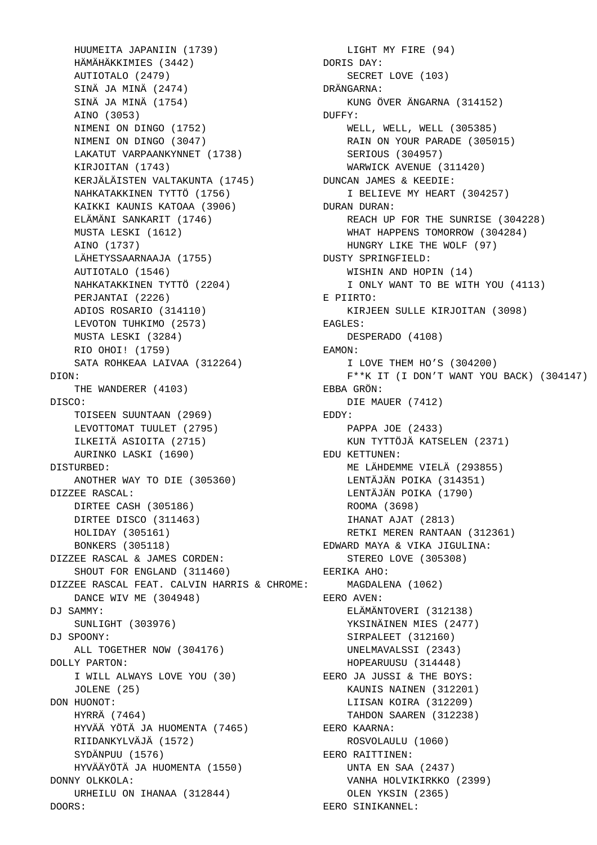HUUMEITA JAPANIIN (1739) HÄMÄHÄKKIMIES (3442) AUTIOTALO (2479) SINÄ JA MINÄ (2474) SINÄ JA MINÄ (1754) AINO (3053) NIMENI ON DINGO (1752) NIMENI ON DINGO (3047) LAKATUT VARPAANKYNNET (1738) KIRJOITAN (1743) KERJÄLÄISTEN VALTAKUNTA (1745) NAHKATAKKINEN TYTTÖ (1756) KAIKKI KAUNIS KATOAA (3906) ELÄMÄNI SANKARIT (1746) MUSTA LESKI (1612) AINO (1737) LÄHETYSSAARNAAJA (1755) AUTIOTALO (1546) NAHKATAKKINEN TYTTÖ (2204) PERJANTAI (2226) ADIOS ROSARIO (314110) LEVOTON TUHKIMO (2573) MUSTA LESKI (3284) RIO OHOI! (1759) SATA ROHKEAA LAIVAA (312264) DION: THE WANDERER (4103) DISCO: TOISEEN SUUNTAAN (2969) LEVOTTOMAT TUULET (2795) ILKEITÄ ASIOITA (2715) AURINKO LASKI (1690) DISTURBED: ANOTHER WAY TO DIE (305360) DIZZEE RASCAL: DIRTEE CASH (305186) DIRTEE DISCO (311463) HOLIDAY (305161) BONKERS (305118) DIZZEE RASCAL & JAMES CORDEN: SHOUT FOR ENGLAND (311460) DIZZEE RASCAL FEAT. CALVIN HARRIS & CHROME: DANCE WIV ME (304948) DJ SAMMY: SUNLIGHT (303976) DJ SPOONY: ALL TOGETHER NOW (304176) DOLLY PARTON: I WILL ALWAYS LOVE YOU (30) JOLENE (25) DON HUONOT: HYRRÄ (7464) HYVÄÄ YÖTÄ JA HUOMENTA (7465) RIIDANKYLVÄJÄ (1572) SYDÄNPUU (1576) HYVÄÄYÖTÄ JA HUOMENTA (1550) DONNY OLKKOLA: URHEILU ON IHANAA (312844) DOORS:

 LIGHT MY FIRE (94) DORIS DAY: SECRET LOVE (103) DRÄNGARNA: KUNG ÖVER ÄNGARNA (314152) DUFFY: WELL, WELL, WELL (305385) RAIN ON YOUR PARADE (305015) SERIOUS (304957) WARWICK AVENUE (311420) DUNCAN JAMES & KEEDIE: I BELIEVE MY HEART (304257) DURAN DURAN: REACH UP FOR THE SUNRISE (304228) WHAT HAPPENS TOMORROW (304284) HUNGRY LIKE THE WOLF (97) DUSTY SPRINGFIELD: WISHIN AND HOPIN (14) I ONLY WANT TO BE WITH YOU (4113) E PIIRTO: KIRJEEN SULLE KIRJOITAN (3098) EAGLES: DESPERADO (4108) EAMON: I LOVE THEM HO'S (304200) F\*\*K IT (I DON'T WANT YOU BACK) (304147) EBBA GRÖN: DIE MAUER (7412) EDDY: PAPPA JOE (2433) KUN TYTTÖJÄ KATSELEN (2371) EDU KETTUNEN: ME LÄHDEMME VIELÄ (293855) LENTÄJÄN POIKA (314351) LENTÄJÄN POIKA (1790) ROOMA (3698) IHANAT AJAT (2813) RETKI MEREN RANTAAN (312361) EDWARD MAYA & VIKA JIGULINA: STEREO LOVE (305308) EERIKA AHO: MAGDALENA (1062) EERO AVEN: ELÄMÄNTOVERI (312138) YKSINÄINEN MIES (2477) SIRPALEET (312160) UNELMAVALSSI (2343) HOPEARUUSU (314448) EERO JA JUSSI & THE BOYS: KAUNIS NAINEN (312201) LIISAN KOIRA (312209) TAHDON SAAREN (312238) EERO KAARNA: ROSVOLAULU (1060) EERO RAITTINEN: UNTA EN SAA (2437) VANHA HOLVIKIRKKO (2399) OLEN YKSIN (2365) EERO SINIKANNEL: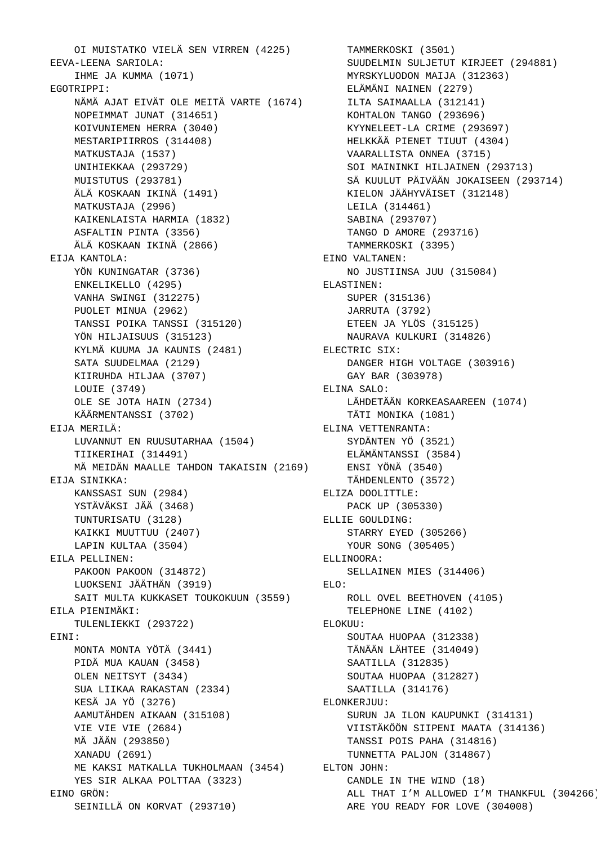OI MUISTATKO VIELÄ SEN VIRREN (4225) TAMMERKOSKI (3501) EEVA-LEENA SARIOLA: IHME JA KUMMA (1071) EGOTRIPPI: NÄMÄ AJAT EIVÄT OLE MEITÄ VARTE (1674) NOPEIMMAT JUNAT (314651) KOIVUNIEMEN HERRA (3040) MESTARIPIIRROS (314408) MATKUSTAJA (1537) UNIHIEKKAA (293729) MUISTUTUS (293781) ÄLÄ KOSKAAN IKINÄ (1491) MATKUSTAJA (2996) KAIKENLAISTA HARMIA (1832) ASFALTIN PINTA (3356) ÄLÄ KOSKAAN IKINÄ (2866) EIJA KANTOLA: YÖN KUNINGATAR (3736) ENKELIKELLO (4295) VANHA SWINGI (312275) PUOLET MINUA (2962) TANSSI POIKA TANSSI (315120) YÖN HILJAISUUS (315123) KYLMÄ KUUMA JA KAUNIS (2481) SATA SUUDELMAA (2129) KIIRUHDA HILJAA (3707) LOUIE (3749) OLE SE JOTA HAIN (2734) KÄÄRMENTANSSI (3702) EIJA MERILÄ: LUVANNUT EN RUUSUTARHAA (1504) TIIKERIHAI (314491) MÄ MEIDÄN MAALLE TAHDON TAKAISIN (2169) EIJA SINIKKA: KANSSASI SUN (2984) YSTÄVÄKSI JÄÄ (3468) TUNTURISATU (3128) KAIKKI MUUTTUU (2407) LAPIN KULTAA (3504) EILA PELLINEN: PAKOON PAKOON (314872) LUOKSENI JÄÄTHÄN (3919) SAIT MULTA KUKKASET TOUKOKUUN (3559) EILA PIENIMÄKI: TULENLIEKKI (293722) EINI: MONTA MONTA YÖTÄ (3441) PIDÄ MUA KAUAN (3458) OLEN NEITSYT (3434) SUA LIIKAA RAKASTAN (2334) KESÄ JA YÖ (3276) AAMUTÄHDEN AIKAAN (315108) VIE VIE VIE (2684) MÄ JÄÄN (293850) XANADU (2691) ME KAKSI MATKALLA TUKHOLMAAN (3454) ELTON JOHN: YES SIR ALKAA POLTTAA (3323) EINO GRÖN: SEINILLÄ ON KORVAT (293710)

 SUUDELMIN SULJETUT KIRJEET (294881) MYRSKYLUODON MAIJA (312363) ELÄMÄNI NAINEN (2279) ILTA SAIMAALLA (312141) KOHTALON TANGO (293696) KYYNELEET-LA CRIME (293697) HELKKÄÄ PIENET TIUUT (4304) VAARALLISTA ONNEA (3715) SOI MAININKI HILJAINEN (293713) SÄ KUULUT PÄIVÄÄN JOKAISEEN (293714) KIELON JÄÄHYVÄISET (312148) LEILA (314461) SABINA (293707) TANGO D AMORE (293716) TAMMERKOSKI (3395) EINO VALTANEN: NO JUSTIINSA JUU (315084) ELASTINEN: SUPER (315136) JARRUTA (3792) ETEEN JA YLÖS (315125) NAURAVA KULKURI (314826) ELECTRIC SIX: DANGER HIGH VOLTAGE (303916) GAY BAR (303978) ELINA SALO: LÄHDETÄÄN KORKEASAAREEN (1074) TÄTI MONIKA (1081) ELINA VETTENRANTA: SYDÄNTEN YÖ (3521) ELÄMÄNTANSSI (3584) ENSI YÖNÄ (3540) TÄHDENLENTO (3572) ELIZA DOOLITTLE: PACK UP (305330) ELLIE GOULDING: STARRY EYED (305266) YOUR SONG (305405) ELLINOORA: SELLAINEN MIES (314406) ELO: ROLL OVEL BEETHOVEN (4105) TELEPHONE LINE (4102) ELOKUU: SOUTAA HUOPAA (312338) TÄNÄÄN LÄHTEE (314049) SAATILLA (312835) SOUTAA HUOPAA (312827) SAATILLA (314176) ELONKERJUU: SURUN JA ILON KAUPUNKI (314131) VIISTÄKÖÖN SIIPENI MAATA (314136) TANSSI POIS PAHA (314816) TUNNETTA PALJON (314867) CANDLE IN THE WIND (18) ALL THAT I'M ALLOWED I'M THANKFUL (304266) ARE YOU READY FOR LOVE (304008)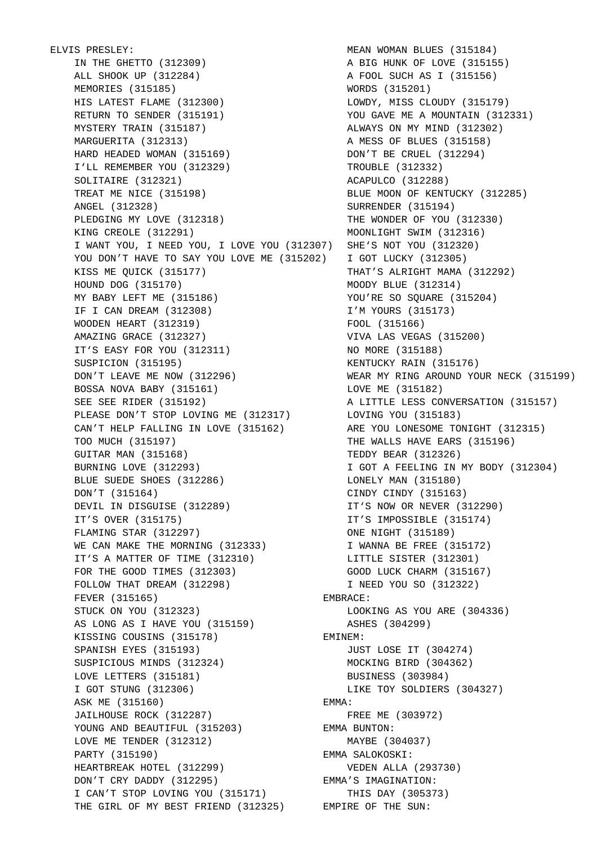ELVIS PRESLEY: VIS PRESLEY:<br>IN THE GHETTO (312309)<br>ALL SHOOK UP (312284) ALL SHOOK UP (312284) MEMORIES (315185) HIS LATEST FLAME (312300) RETURN TO SENDER (315191) MYSTERY TRAIN (315187) MARGUERITA (312313) HARD HEADED WOMAN (315169) I'LL REMEMBER YOU (312329) SOLITAIRE (312321) TREAT ME NICE (315198) ANGEL (312328) PLEDGING MY LOVE (312318) KING CREOLE (312291) I WANT YOU, I NEED YOU, I LOVE YOU (312307) SHE'S NOT YOU (312320) YOU DON'T HAVE TO SAY YOU LOVE ME (315202) KISS ME QUICK (315177) HOUND DOG (315170) MY BABY LEFT ME (315186) IF I CAN DREAM (312308) WOODEN HEART (312319) AMAZING GRACE (312327) IT'S EASY FOR YOU (312311) SUSPICION (315195) DON'T LEAVE ME NOW (312296) BOSSA NOVA BABY (315161) SEE SEE RIDER (315192) PLEASE DON'T STOP LOVING ME (312317) CAN'T HELP FALLING IN LOVE (315162) TOO MUCH (315197) GUITAR MAN (315168) BURNING LOVE (312293) BLUE SUEDE SHOES (312286) DON'T (315164) DEVIL IN DISGUISE (312289) IT'S OVER (315175) FLAMING STAR (312297) WE CAN MAKE THE MORNING (312333) IT'S A MATTER OF TIME (312310) FOR THE GOOD TIMES (312303) FOLLOW THAT DREAM (312298) FEVER (315165) STUCK ON YOU (312323) AS LONG AS I HAVE YOU (315159)<br>KISSING COUSINS (315178) KISSING COUSINS (315178) SPANISH EYES (315193) SUSPICIOUS MINDS (312324) LOVE LETTERS (315181) I GOT STUNG (312306) ASK ME (315160) JAILHOUSE ROCK (312287) YOUNG AND BEAUTIFUL (315203) LOVE ME TENDER (312312) PARTY (315190) HEARTBREAK HOTEL (312299) DON'T CRY DADDY (312295) I CAN'T STOP LOVING YOU (315171) THE GIRL OF MY BEST FRIEND (312325) EMPIRE OF THE SUN:

 MEAN WOMAN BLUES (315184) A BIG HUNK OF LOVE (315155) A FOOL SUCH AS I (315156) WORDS (315201) LOWDY, MISS CLOUDY (315179) YOU GAVE ME A MOUNTAIN (312331) ALWAYS ON MY MIND (312302) A MESS OF BLUES (315158) DON'T BE CRUEL (312294) TROUBLE (312332) ACAPULCO (312288) BLUE MOON OF KENTUCKY (312285) SURRENDER (315194) THE WONDER OF YOU (312330) MOONLIGHT SWIM (312316) I GOT LUCKY (312305) THAT'S ALRIGHT MAMA (312292) MOODY BLUE (312314) YOU'RE SO SQUARE (315204) I'M YOURS (315173) FOOL (315166) VIVA LAS VEGAS (315200) NO MORE (315188) KENTUCKY RAIN (315176) WEAR MY RING AROUND YOUR NECK (315199) LOVE ME (315182) A LITTLE LESS CONVERSATION (315157) LOVING YOU (315183) ARE YOU LONESOME TONIGHT (312315) THE WALLS HAVE EARS (315196) TEDDY BEAR (312326) I GOT A FEELING IN MY BODY (312304) LONELY MAN (315180) CINDY CINDY (315163) IT'S NOW OR NEVER (312290) IT'S IMPOSSIBLE (315174) ONE NIGHT (315189) I WANNA BE FREE (315172) LITTLE SISTER (312301) GOOD LUCK CHARM (315167) I NEED YOU SO (312322) EMBRACE: LOOKING AS YOU ARE (304336) ASHES (304299) EMINEM: JUST LOSE IT (304274) MOCKING BIRD (304362) BUSINESS (303984) LIKE TOY SOLDIERS (304327) EMMA: FREE ME (303972) EMMA BUNTON: MAYBE (304037) EMMA SALOKOSKI: VEDEN ALLA (293730) EMMA'S IMAGINATION: THIS DAY (305373)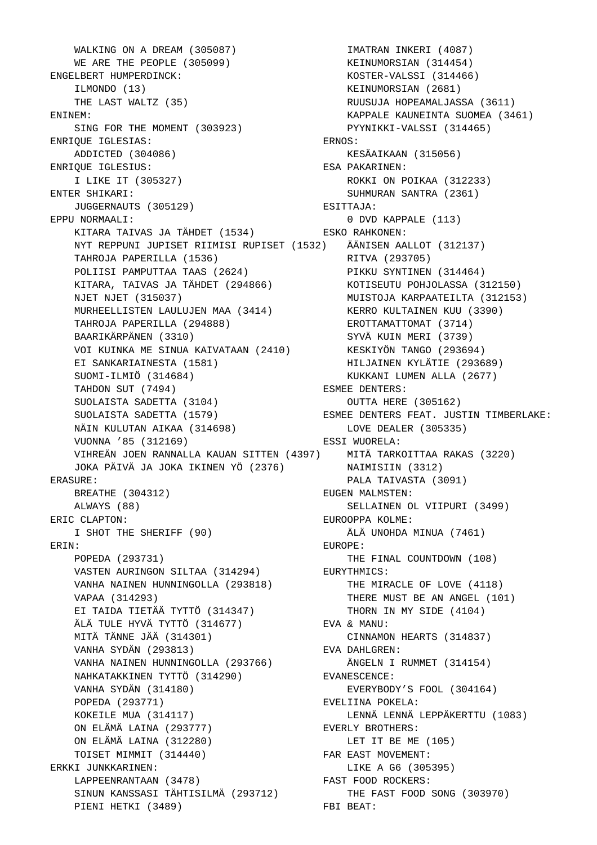WALKING ON A DREAM (305087) WE ARE THE PEOPLE (305099) ENGELBERT HUMPERDINCK: ILMONDO (13) THE LAST WALTZ (35) ENINEM: SING FOR THE MOMENT (303923) ENRIQUE IGLESIAS: ADDICTED (304086) ENRIQUE IGLESIUS: I LIKE IT (305327) ENTER SHIKARI: JUGGERNAUTS (305129) EPPU NORMAALI: KITARA TAIVAS JA TÄHDET (1534) NYT REPPUNI JUPISET RIIMISI RUPISET (1532) ÄÄNISEN AALLOT (312137) TAHROJA PAPERILLA (1536) POLIISI PAMPUTTAA TAAS (2624) KITARA, TAIVAS JA TÄHDET (294866) KOTISEUTU POHJOLASSA (312150) NJET NJET (315037) MURHEELLISTEN LAULUJEN MAA (3414) TAHROJA PAPERILLA (294888) BAARIKÄRPÄNEN (3310) VOI KUINKA ME SINUA KAIVATAAN (2410) EI SANKARIAINESTA (1581) SUOMI-ILMIÖ (314684) TAHDON SUT (7494) SUOLAISTA SADETTA (3104) SUOLAISTA SADETTA (1579) NÄIN KULUTAN AIKAA (314698) VUONNA '85 (312169) VIHREÄN JOEN RANNALLA KAUAN SITTEN (4397) MITÄ TARKOITTAA RAKAS (3220) JOKA PÄIVÄ JA JOKA IKINEN YÖ (2376) ERASURE: BREATHE (304312) ALWAYS (88) ERIC CLAPTON: I SHOT THE SHERIFF (90) ERIN: POPEDA (293731) POPEDA (275751)<br>VASTEN AURINGON SILTAA (314294) VANHA NAINEN HUNNINGOLLA (293818) VAPAA (314293) EI TAIDA TIETÄÄ TYTTÖ (314347) ÄLÄ TULE HYVÄ TYTTÖ (314677) MITÄ TÄNNE JÄÄ (314301) VANHA SYDÄN (293813) VANHA NAINEN HUNNINGOLLA (293766) NAHKATAKKINEN TYTTÖ (314290) VANHA SYDÄN (314180) POPEDA (293771) KOKEILE MUA (314117) ON ELÄMÄ LAINA (293777) ON ELÄMÄ LAINA (312280) TOISET MIMMIT (314440) ERKKI JUNKKARINEN: LAPPEENRANTAAN (3478) SINUN KANSSASI TÄHTISILMÄ (293712) PIENI HETKI (3489)

 IMATRAN INKERI (4087) KEINUMORSIAN (314454) KOSTER-VALSSI (314466) KEINUMORSIAN (2681) RUUSUJA HOPEAMALJASSA (3611) KAPPALE KAUNEINTA SUOMEA (3461) PYYNIKKI-VALSSI (314465) ERNOS: KESÄAIKAAN (315056) ESA PAKARINEN: ROKKI ON POIKAA (312233) SUHMURAN SANTRA (2361) ESITTAJA: 0 DVD KAPPALE (113) ESKO RAHKONEN: RITVA (293705) PIKKU SYNTINEN (314464) MUISTOJA KARPAATEILTA (312153) KERRO KULTAINEN KUU (3390) EROTTAMATTOMAT (3714) SYVÄ KUIN MERI (3739) KESKIYÖN TANGO (293694) HILJAINEN KYLÄTIE (293689) KUKKANI LUMEN ALLA (2677) ESMEE DENTERS: OUTTA HERE (305162) ESMEE DENTERS FEAT. JUSTIN TIMBERLAKE: LOVE DEALER (305335) ESSI WUORELA: NAIMISIIN (3312) PALA TAIVASTA (3091) EUGEN MALMSTEN: SELLAINEN OL VIIPURI (3499) EUROOPPA KOLME: ÄLÄ UNOHDA MINUA (7461) EUROPE: THE FINAL COUNTDOWN (108) EURYTHMICS: THE MIRACLE OF LOVE (4118) THERE MUST BE AN ANGEL (101) THORN IN MY SIDE (4104) EVA & MANU: CINNAMON HEARTS (314837) EVA DAHLGREN: ÄNGELN I RUMMET (314154) EVANESCENCE: EVERYBODY'S FOOL (304164) EVELIINA POKELA: LENNÄ LENNÄ LEPPÄKERTTU (1083) EVERLY BROTHERS: LET IT BE ME (105) FAR EAST MOVEMENT: LIKE A G6 (305395) FAST FOOD ROCKERS: THE FAST FOOD SONG (303970) FBI BEAT: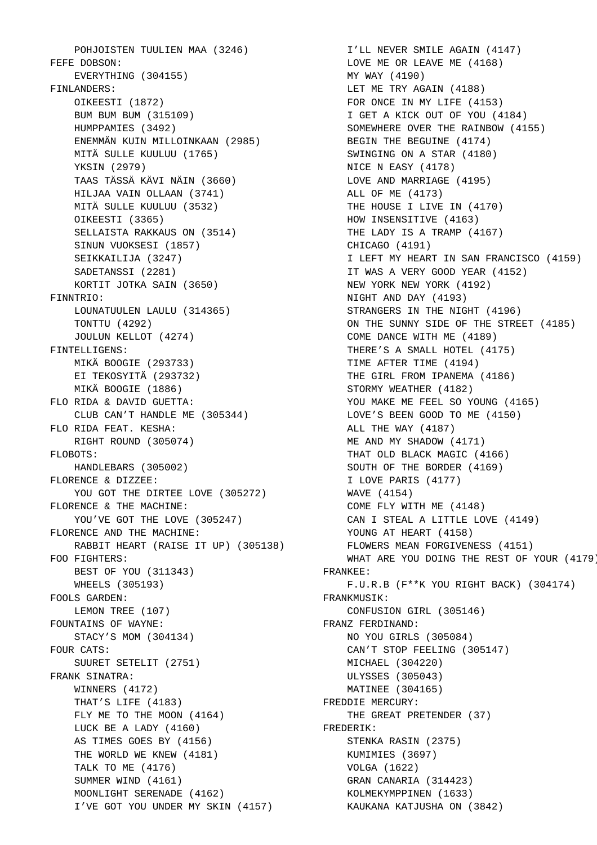POHJOISTEN TUULIEN MAA (3246) FEFE DOBSON: EVERYTHING (304155) FINLANDERS: OIKEESTI (1872) BUM BUM BUM (315109) HUMPPAMIES (3492) ENEMMÄN KUIN MILLOINKAAN (2985) MITÄ SULLE KUULUU (1765) YKSIN (2979) TAAS TÄSSÄ KÄVI NÄIN (3660) HILJAA VAIN OLLAAN (3741) MITÄ SULLE KUULUU (3532) OIKEESTI (3365) SELLAISTA RAKKAUS ON (3514) SINUN VUOKSESI (1857) SEIKKAILIJA (3247) SADETANSSI (2281) KORTIT JOTKA SAIN (3650) FINNTRIO: LOUNATUULEN LAULU (314365) TONTTU (4292) JOULUN KELLOT (4274) FINTELLIGENS: MIKÄ BOOGIE (293733) EI TEKOSYITÄ (293732) MIKÄ BOOGIE (1886) FLO RIDA & DAVID GUETTA: CLUB CAN'T HANDLE ME (305344) FLO RIDA FEAT. KESHA: RIGHT ROUND (305074) FLOBOTS: HANDLEBARS (305002) FLORENCE & DIZZEE: YOU GOT THE DIRTEE LOVE (305272) FLORENCE & THE MACHINE: YOU'VE GOT THE LOVE (305247) FLORENCE AND THE MACHINE: RABBIT HEART (RAISE IT UP) (305138) FOO FIGHTERS: BEST OF YOU (311343) WHEELS (305193) FOOLS GARDEN: LEMON TREE (107) FOUNTAINS OF WAYNE: STACY'S MOM (304134) FOUR CATS: SUURET SETELIT (2751) FRANK SINATRA: WINNERS (4172) THAT'S LIFE (4183) FLY ME TO THE MOON (4164) LUCK BE A LADY (4160) AS TIMES GOES BY (4156) THE WORLD WE KNEW (4181) TALK TO ME (4176) SUMMER WIND (4161) MOONLIGHT SERENADE (4162) I'VE GOT YOU UNDER MY SKIN (4157)

 I'LL NEVER SMILE AGAIN (4147) LOVE ME OR LEAVE ME (4168) MY WAY (4190) LET ME TRY AGAIN (4188) FOR ONCE IN MY LIFE (4153) I GET A KICK OUT OF YOU (4184) SOMEWHERE OVER THE RAINBOW (4155) BEGIN THE BEGUINE (4174) SWINGING ON A STAR (4180) NICE N EASY (4178) LOVE AND MARRIAGE (4195) ALL OF ME (4173) THE HOUSE I LIVE IN (4170) HOW INSENSITIVE (4163) THE LADY IS A TRAMP (4167) CHICAGO (4191) I LEFT MY HEART IN SAN FRANCISCO (4159) IT WAS A VERY GOOD YEAR (4152) NEW YORK NEW YORK (4192) NIGHT AND DAY (4193) STRANGERS IN THE NIGHT (4196) ON THE SUNNY SIDE OF THE STREET (4185) COME DANCE WITH ME (4189) THERE'S A SMALL HOTEL (4175) TIME AFTER TIME (4194) THE GIRL FROM IPANEMA (4186) STORMY WEATHER (4182) YOU MAKE ME FEEL SO YOUNG (4165) LOVE'S BEEN GOOD TO ME (4150) ALL THE WAY (4187) ME AND MY SHADOW (4171) THAT OLD BLACK MAGIC (4166) SOUTH OF THE BORDER (4169) I LOVE PARIS (4177) WAVE (4154) COME FLY WITH ME (4148) CAN I STEAL A LITTLE LOVE (4149) YOUNG AT HEART (4158) FLOWERS MEAN FORGIVENESS (4151) WHAT ARE YOU DOING THE REST OF YOUR (4179) FRANKEE: F.U.R.B (F\*\*K YOU RIGHT BACK) (304174) FRANKMUSIK: CONFUSION GIRL (305146) FRANZ FERDINAND: NO YOU GIRLS (305084) CAN'T STOP FEELING (305147) MICHAEL (304220) ULYSSES (305043) MATINEE (304165) FREDDIE MERCURY: THE GREAT PRETENDER (37) FREDERIK: STENKA RASIN (2375) KUMIMIES (3697) VOLGA (1622) GRAN CANARIA (314423) KOLMEKYMPPINEN (1633) KAUKANA KATJUSHA ON (3842)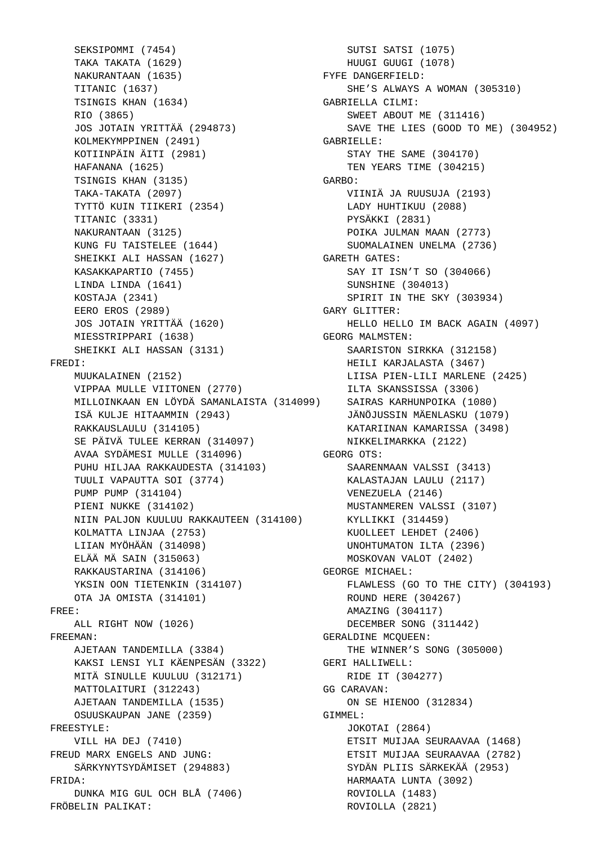SEKSIPOMMI (7454) TAKA TAKATA (1629) NAKURANTAAN (1635) TITANIC (1637) TSINGIS KHAN (1634) RIO (3865) JOS JOTAIN YRITTÄÄ (294873) KOLMEKYMPPINEN (2491) KOTIINPÄIN ÄITI (2981) HAFANANA (1625) TSINGIS KHAN (3135) TAKA-TAKATA (2097) TYTTÖ KUIN TIIKERI (2354) TITANIC (3331) NAKURANTAAN (3125) KUNG FU TAISTELEE (1644) SHEIKKI ALI HASSAN (1627) KASAKKAPARTIO (7455) LINDA LINDA (1641) KOSTAJA (2341) EERO EROS (2989) JOS JOTAIN YRITTÄÄ (1620) MIESSTRIPPARI (1638) SHEIKKI ALI HASSAN (3131) FREDI: MUUKALAINEN (2152) VIPPAA MULLE VIITONEN (2770) MILLOINKAAN EN LÖYDÄ SAMANLAISTA (314099) SAIRAS KARHUNPOIKA (1080) ISÄ KULJE HITAAMMIN (2943) RAKKAUSLAULU (314105) SE PÄIVÄ TULEE KERRAN (314097) AVAA SYDÄMESI MULLE (314096) PUHU HILJAA RAKKAUDESTA (314103) TUULI VAPAUTTA SOI (3774) PUMP PUMP (314104) PIENI NUKKE (314102) NIIN PALJON KUULUU RAKKAUTEEN (314100) KOLMATTA LINJAA (2753) LIIAN MYÖHÄÄN (314098) ELÄÄ MÄ SAIN (315063) RAKKAUSTARINA (314106) YKSIN OON TIETENKIN (314107) OTA JA OMISTA (314101) FREE: ALL RIGHT NOW (1026) FREEMAN: AJETAAN TANDEMILLA (3384) KAKSI LENSI YLI KÄENPESÄN (3322) MITÄ SINULLE KUULUU (312171) MATTOLAITURI (312243) AJETAAN TANDEMILLA (1535) OSUUSKAUPAN JANE (2359) FREESTYLE: VILL HA DEJ (7410) FREUD MARX ENGELS AND JUNG: SÄRKYNYTSYDÄMISET (294883) FRIDA: DUNKA MIG GUL OCH BLÅ (7406) FRÖBELIN PALIKAT:

 SUTSI SATSI (1075) HUUGI GUUGI (1078) FYFE DANGERFIELD: SHE'S ALWAYS A WOMAN (305310) GABRIELLA CILMI: SWEET ABOUT ME (311416) SAVE THE LIES (GOOD TO ME) (304952) GABRIELLE: STAY THE SAME (304170) TEN YEARS TIME (304215) GARBO: VIINIÄ JA RUUSUJA (2193) LADY HUHTIKUU (2088) PYSÄKKI (2831) POIKA JULMAN MAAN (2773) SUOMALAINEN UNELMA (2736) GARETH GATES: SAY IT ISN'T SO (304066) SUNSHINE (304013) SPIRIT IN THE SKY (303934) GARY GLITTER: HELLO HELLO IM BACK AGAIN (4097) GEORG MALMSTEN: SAARISTON SIRKKA (312158) HEILI KARJALASTA (3467) LIISA PIEN-LILI MARLENE (2425) ILTA SKANSSISSA (3306) JÄNÖJUSSIN MÄENLASKU (1079) KATARIINAN KAMARISSA (3498) NIKKELIMARKKA (2122) GEORG OTS: SAARENMAAN VALSSI (3413) KALASTAJAN LAULU (2117) VENEZUELA (2146) MUSTANMEREN VALSSI (3107) KYLLIKKI (314459) KUOLLEET LEHDET (2406) UNOHTUMATON ILTA (2396) MOSKOVAN VALOT (2402) GEORGE MICHAEL: FLAWLESS (GO TO THE CITY) (304193) ROUND HERE (304267) AMAZING (304117) DECEMBER SONG (311442) GERALDINE MCQUEEN: THE WINNER'S SONG (305000) GERI HALLIWELL: RIDE IT (304277) GG CARAVAN: ON SE HIENOO (312834) GIMMEL: JOKOTAI (2864) ETSIT MUIJAA SEURAAVAA (1468) ETSIT MUIJAA SEURAAVAA (2782) SYDÄN PLIIS SÄRKEKÄÄ (2953) HARMAATA LUNTA (3092) ROVIOLLA (1483) ROVIOLLA (2821)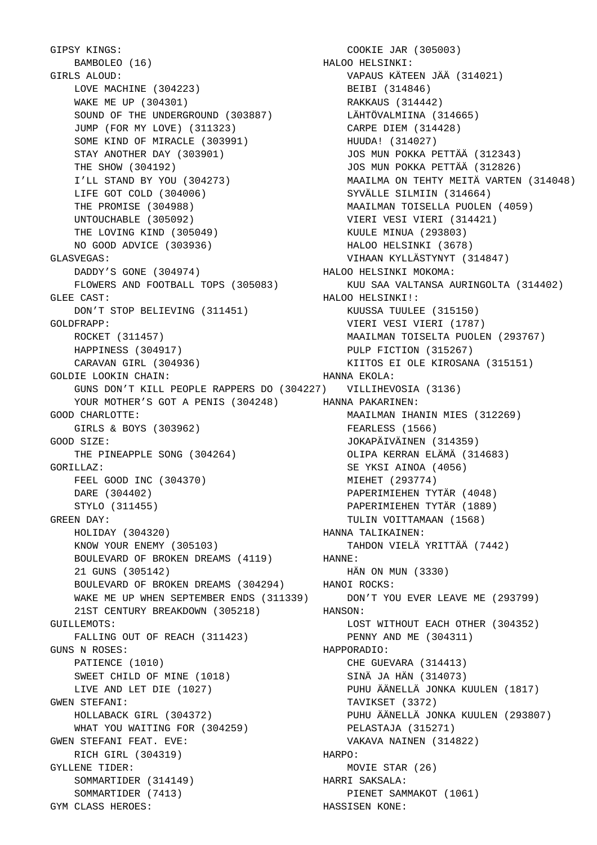GIPSY KINGS: BAMBOLEO (16) GIRLS ALOUD: LOVE MACHINE (304223) WAKE ME UP (304301) SOUND OF THE UNDERGROUND (303887) JUMP (FOR MY LOVE) (311323) SOME KIND OF MIRACLE (303991) STAY ANOTHER DAY (303901) THE SHOW (304192) I'LL STAND BY YOU (304273) LIFE GOT COLD (304006) THE PROMISE (304988) UNTOUCHABLE (305092) THE LOVING KIND (305049) NO GOOD ADVICE (303936) GLASVEGAS: DADDY'S GONE (304974) FLOWERS AND FOOTBALL TOPS (305083) GLEE CAST: DON'T STOP BELIEVING (311451) GOLDFRAPP: ROCKET (311457) HAPPINESS (304917) CARAVAN GIRL (304936) GOLDIE LOOKIN CHAIN: GUNS DON'T KILL PEOPLE RAPPERS DO (304227) VILLIHEVOSIA (3136) YOUR MOTHER'S GOT A PENIS (304248) HANNA PAKARINEN: GOOD CHARLOTTE: GIRLS & BOYS (303962) GOOD SIZE: THE PINEAPPLE SONG (304264) GORILLAZ: FEEL GOOD INC (304370) DARE (304402) STYLO (311455) GREEN DAY: HOLIDAY (304320) KNOW YOUR ENEMY (305103) BOULEVARD OF BROKEN DREAMS (4119) HANNE: 21 GUNS (305142) BOULEVARD OF BROKEN DREAMS (304294) WAKE ME UP WHEN SEPTEMBER ENDS (311339) 21ST CENTURY BREAKDOWN (305218) GUILLEMOTS: FALLING OUT OF REACH (311423) GUNS N ROSES: PATIENCE (1010) SWEET CHILD OF MINE (1018) LIVE AND LET DIE (1027) GWEN STEFANI: HOLLABACK GIRL (304372) WHAT YOU WAITING FOR (304259) GWEN STEFANI FEAT. EVE: RICH GIRL (304319) GYLLENE TIDER: SOMMARTIDER (314149) SOMMARTIDER (7413) GYM CLASS HEROES:

 COOKIE JAR (305003) HALOO HELSINKI: VAPAUS KÄTEEN JÄÄ (314021) BEIBI (314846) RAKKAUS (314442) LÄHTÖVALMIINA (314665) CARPE DIEM (314428) HUUDA! (314027) JOS MUN POKKA PETTÄÄ (312343) JOS MUN POKKA PETTÄÄ (312826) MAAILMA ON TEHTY MEITÄ VARTEN (314048) SYVÄLLE SILMIIN (314664) MAAILMAN TOISELLA PUOLEN (4059) VIERI VESI VIERI (314421) KUULE MINUA (293803) HALOO HELSINKI (3678) VIHAAN KYLLÄSTYNYT (314847) HALOO HELSINKI MOKOMA: KUU SAA VALTANSA AURINGOLTA (314402) HALOO HELSINKI!: KUUSSA TUULEE (315150) VIERI VESI VIERI (1787) MAAILMAN TOISELTA PUOLEN (293767) PULP FICTION (315267) KIITOS EI OLE KIROSANA (315151) HANNA EKOLA: MAAILMAN IHANIN MIES (312269) FEARLESS (1566) JOKAPÄIVÄINEN (314359) OLIPA KERRAN ELÄMÄ (314683) SE YKSI AINOA (4056) MIEHET (293774) PAPERIMIEHEN TYTÄR (4048) PAPERIMIEHEN TYTÄR (1889) TULIN VOITTAMAAN (1568) HANNA TALIKAINEN: TAHDON VIELÄ YRITTÄÄ (7442) HÄN ON MUN (3330) HANOI ROCKS: DON'T YOU EVER LEAVE ME (293799) HANSON: LOST WITHOUT EACH OTHER (304352) PENNY AND ME (304311) HAPPORADIO: CHE GUEVARA (314413) SINÄ JA HÄN (314073) PUHU ÄÄNELLÄ JONKA KUULEN (1817) TAVIKSET (3372) PUHU ÄÄNELLÄ JONKA KUULEN (293807) PELASTAJA (315271) VAKAVA NAINEN (314822) HARPO: MOVIE STAR (26) HARRI SAKSALA: PIENET SAMMAKOT (1061) HASSISEN KONE: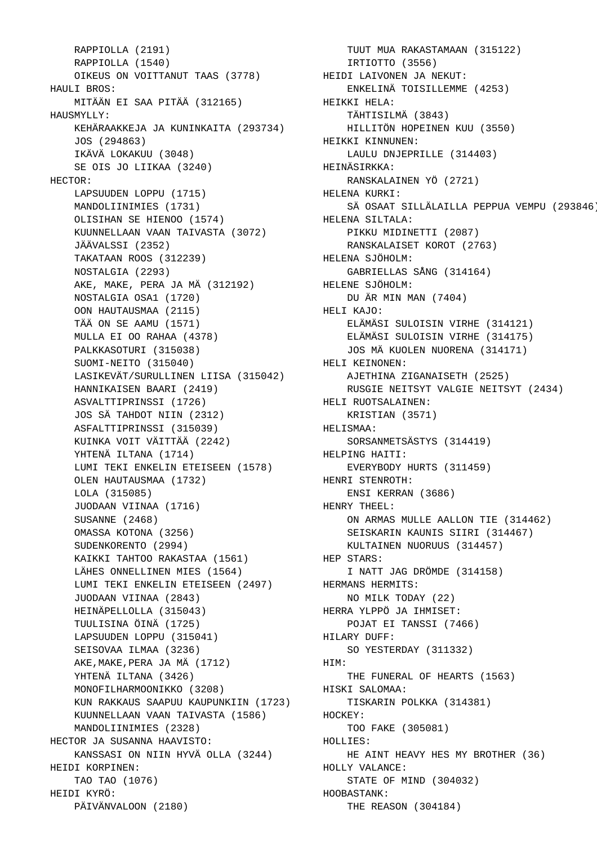RAPPIOLLA (2191) RAPPIOLLA (1540) OIKEUS ON VOITTANUT TAAS (3778) HAULI BROS: MITÄÄN EI SAA PITÄÄ (312165) HAUSMYLLY: KEHÄRAAKKEJA JA KUNINKAITA (293734) JOS (294863) IKÄVÄ LOKAKUU (3048) SE OIS JO LIIKAA (3240) HECTOR: LAPSUUDEN LOPPU (1715) MANDOLIINIMIES (1731) OLISIHAN SE HIENOO (1574) KUUNNELLAAN VAAN TAIVASTA (3072) JÄÄVALSSI (2352) TAKATAAN ROOS (312239) NOSTALGIA (2293) AKE, MAKE, PERA JA MÄ (312192) NOSTALGIA OSA1 (1720) OON HAUTAUSMAA (2115) TÄÄ ON SE AAMU (1571) MULLA EI OO RAHAA (4378) PALKKASOTURI (315038) SUOMI-NEITO (315040) LASIKEVÄT/SURULLINEN LIISA (315042) HANNIKAISEN BAARI (2419) ASVALTTIPRINSSI (1726) JOS SÄ TAHDOT NIIN (2312) ASFALTTIPRINSSI (315039) KUINKA VOIT VÄITTÄÄ (2242) YHTENÄ ILTANA (1714) LUMI TEKI ENKELIN ETEISEEN (1578) OLEN HAUTAUSMAA (1732) LOLA (315085) JUODAAN VIINAA (1716) SUSANNE (2468) OMASSA KOTONA (3256) SUDENKORENTO (2994) KAIKKI TAHTOO RAKASTAA (1561) LÄHES ONNELLINEN MIES (1564) LUMI TEKI ENKELIN ETEISEEN (2497) JUODAAN VIINAA (2843) HEINÄPELLOLLA (315043) TUULISINA ÖINÄ (1725) LAPSUUDEN LOPPU (315041) SEISOVAA ILMAA (3236) AKE,MAKE,PERA JA MÄ (1712) YHTENÄ ILTANA (3426) MONOFILHARMOONIKKO (3208) KUN RAKKAUS SAAPUU KAUPUNKIIN (1723) KUUNNELLAAN VAAN TAIVASTA (1586) MANDOLIINIMIES (2328) HECTOR JA SUSANNA HAAVISTO: KANSSASI ON NIIN HYVÄ OLLA (3244) HEIDI KORPINEN: TAO TAO (1076) HEIDI KYRÖ: PÄIVÄNVALOON (2180)

 TUUT MUA RAKASTAMAAN (315122) IRTIOTTO (3556) HEIDI LAIVONEN JA NEKUT: ENKELINÄ TOISILLEMME (4253) HEIKKI HELA: TÄHTISILMÄ (3843) HILLITÖN HOPEINEN KUU (3550) HEIKKI KINNUNEN: LAULU DNJEPRILLE (314403) HEINÄSIRKKA: RANSKALAINEN YÖ (2721) HELENA KURKI: SÄ OSAAT SILLÄLAILLA PEPPUA VEMPU (293846) HELENA SILTALA: PIKKU MIDINETTI (2087) RANSKALAISET KOROT (2763) HELENA SJÖHOLM: GABRIELLAS SÅNG (314164) HELENE SJÖHOLM: DU ÄR MIN MAN (7404) HELI KAJO: ELÄMÄSI SULOISIN VIRHE (314121) ELÄMÄSI SULOISIN VIRHE (314175) JOS MÄ KUOLEN NUORENA (314171) HELI KEINONEN: AJETHINA ZIGANAISETH (2525) RUSGIE NEITSYT VALGIE NEITSYT (2434) HELI RUOTSALAINEN: KRISTIAN (3571) HELISMAA: SORSANMETSÄSTYS (314419) HELPING HAITI: EVERYBODY HURTS (311459) HENRI STENROTH: ENSI KERRAN (3686) HENRY THEEL: ON ARMAS MULLE AALLON TIE (314462) SEISKARIN KAUNIS SIIRI (314467) KULTAINEN NUORUUS (314457) HEP STARS: I NATT JAG DRÖMDE (314158) HERMANS HERMITS: NO MILK TODAY (22) HERRA YLPPÖ JA IHMISET: POJAT EI TANSSI (7466) HILARY DUFF: SO YESTERDAY (311332) HIM: THE FUNERAL OF HEARTS (1563) HISKI SALOMAA: TISKARIN POLKKA (314381) HOCKEY: TOO FAKE (305081) HOLLIES: HE AINT HEAVY HES MY BROTHER (36) HOLLY VALANCE: STATE OF MIND (304032) HOOBASTANK: THE REASON (304184)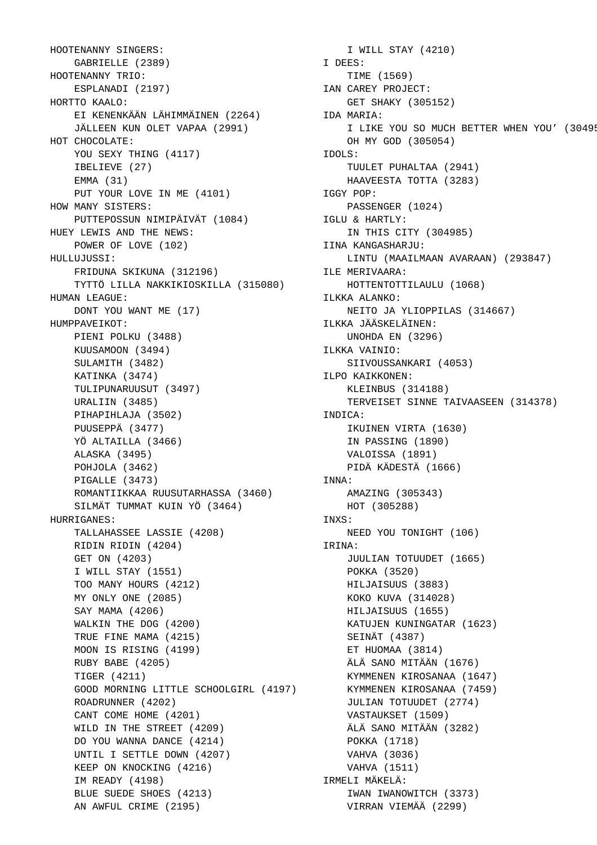HOOTENANNY SINGERS: GABRIELLE (2389) HOOTENANNY TRIO: ESPLANADI (2197) HORTTO KAALO: EI KENENKÄÄN LÄHIMMÄINEN (2264) JÄLLEEN KUN OLET VAPAA (2991) HOT CHOCOLATE: YOU SEXY THING (4117) IBELIEVE (27) EMMA (31) PUT YOUR LOVE IN ME (4101) HOW MANY SISTERS: PUTTEPOSSUN NIMIPÄIVÄT (1084) HUEY LEWIS AND THE NEWS: POWER OF LOVE (102) HULLUJUSSI: FRIDUNA SKIKUNA (312196) TYTTÖ LILLA NAKKIKIOSKILLA (315080) HUMAN LEAGUE: DONT YOU WANT ME (17) HUMPPAVEIKOT: PIENI POLKU (3488) KUUSAMOON (3494) SULAMITH (3482) KATINKA (3474) TULIPUNARUUSUT (3497) URALIIN (3485) PIHAPIHLAJA (3502) PUUSEPPÄ (3477) YÖ ALTAILLA (3466) ALASKA (3495) POHJOLA (3462) PIGALLE (3473) ROMANTIIKKAA RUUSUTARHASSA (3460) SILMÄT TUMMAT KUIN YÖ (3464) HURRIGANES: TALLAHASSEE LASSIE (4208) RIDIN RIDIN (4204) GET ON (4203) I WILL STAY (1551) TOO MANY HOURS (4212) MY ONLY ONE (2085) SAY MAMA (4206) WALKIN THE DOG (4200) TRUE FINE MAMA (4215) MOON IS RISING (4199) RUBY BABE (4205) TIGER (4211) GOOD MORNING LITTLE SCHOOLGIRL (4197) ROADRUNNER (4202) CANT COME HOME (4201) WILD IN THE STREET (4209) DO YOU WANNA DANCE (4214) UNTIL I SETTLE DOWN (4207) KEEP ON KNOCKING (4216) IM READY (4198) BLUE SUEDE SHOES (4213) AN AWFUL CRIME (2195)

 I WILL STAY (4210) I DEES: TIME (1569) IAN CAREY PROJECT: GET SHAKY (305152) IDA MARIA: I LIKE YOU SO MUCH BETTER WHEN YOU' (3049! OH MY GOD (305054) IDOLS: TUULET PUHALTAA (2941) HAAVEESTA TOTTA (3283) IGGY POP: PASSENGER (1024) IGLU & HARTLY: IN THIS CITY (304985) IINA KANGASHARJU: LINTU (MAAILMAAN AVARAAN) (293847) ILE MERIVAARA: HOTTENTOTTILAULU (1068) ILKKA ALANKO: NEITO JA YLIOPPILAS (314667) ILKKA JÄÄSKELÄINEN: UNOHDA EN (3296) ILKKA VAINIO: SIIVOUSSANKARI (4053) ILPO KAIKKONEN: KLEINBUS (314188) TERVEISET SINNE TAIVAASEEN (314378) INDICA: IKUINEN VIRTA (1630) IN PASSING (1890) VALOISSA (1891) PIDÄ KÄDESTÄ (1666) INNA: AMAZING (305343) HOT (305288) INXS: NEED YOU TONIGHT (106) IRINA: JUULIAN TOTUUDET (1665) POKKA (3520) HILJAISUUS (3883) KOKO KUVA (314028) HILJAISUUS (1655) KATUJEN KUNINGATAR (1623) SEINÄT (4387) ET HUOMAA (3814) ÄLÄ SANO MITÄÄN (1676) KYMMENEN KIROSANAA (1647) KYMMENEN KIROSANAA (7459) JULIAN TOTUUDET (2774) VASTAUKSET (1509) ÄLÄ SANO MITÄÄN (3282) POKKA (1718) VAHVA (3036) VAHVA (1511) IRMELI MÄKELÄ: IWAN IWANOWITCH (3373) VIRRAN VIEMÄÄ (2299)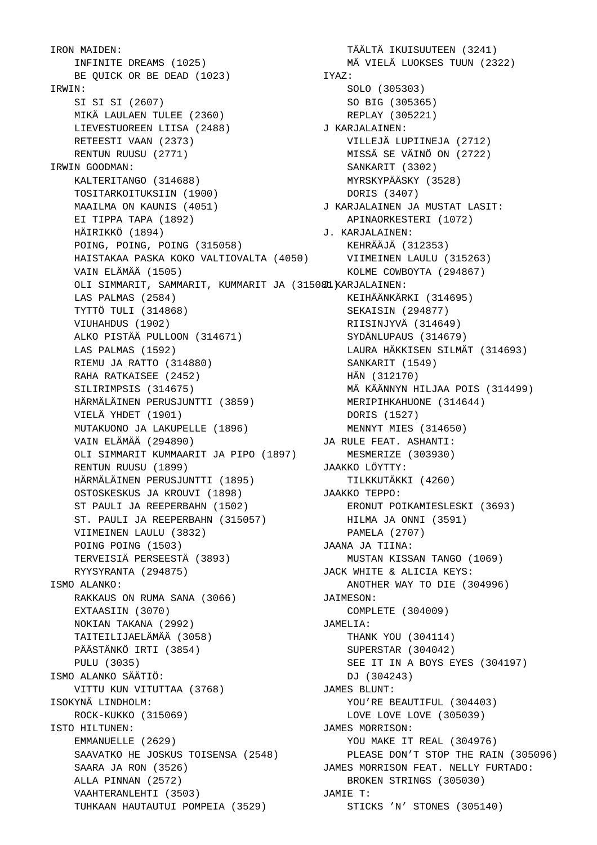IRON MAIDEN: INFINITE DREAMS (1025) BE QUICK OR BE DEAD (1023) IRWIN: SI SI SI (2607) MIKÄ LAULAEN TULEE (2360) LIEVESTUOREEN LIISA (2488) RETEESTI VAAN (2373) RENTUN RUUSU (2771) IRWIN GOODMAN: KALTERITANGO (314688) TOSITARKOITUKSIIN (1900) MAAILMA ON KAUNIS (4051) EI TIPPA TAPA (1892) HÄIRIKKÖ (1894) POING, POING, POING (315058) HAISTAKAA PASKA KOKO VALTIOVALTA (4050) VAIN ELÄMÄÄ (1505) OLI SIMMARIT, SAMMARIT, KUMMARIT JA (31508I). KARJALAINEN: LAS PALMAS (2584) TYTTÖ TULI (314868) VIUHAHDUS (1902) ALKO PISTÄÄ PULLOON (314671) LAS PALMAS (1592) RIEMU JA RATTO (314880) RAHA RATKAISEE (2452) SILIRIMPSIS (314675) HÄRMÄLÄINEN PERUSJUNTTI (3859) VIELÄ YHDET (1901) MUTAKUONO JA LAKUPELLE (1896) VAIN ELÄMÄÄ (294890) OLI SIMMARIT KUMMAARIT JA PIPO (1897) RENTUN RUUSU (1899) HÄRMÄLÄINEN PERUSJUNTTI (1895) OSTOSKESKUS JA KROUVI (1898) ST PAULI JA REEPERBAHN (1502) ST. PAULI JA REEPERBAHN (315057) VIIMEINEN LAULU (3832) POING POING (1503) TERVEISIÄ PERSEESTÄ (3893) RYYSYRANTA (294875) ISMO ALANKO: RAKKAUS ON RUMA SANA (3066) EXTAASIIN (3070) NOKIAN TAKANA (2992) TAITEILIJAELÄMÄÄ (3058) PÄÄSTÄNKÖ IRTI (3854) PULU (3035) ISMO ALANKO SÄÄTIÖ: VITTU KUN VITUTTAA (3768) ISOKYNÄ LINDHOLM: ROCK-KUKKO (315069) ISTO HILTUNEN: EMMANUELLE (2629) SAAVATKO HE JOSKUS TOISENSA (2548) SAARA JA RON (3526) ALLA PINNAN (2572) VAAHTERANLEHTI (3503) TUHKAAN HAUTAUTUI POMPEIA (3529)

 TÄÄLTÄ IKUISUUTEEN (3241) MÄ VIELÄ LUOKSES TUUN (2322) IYAZ: SOLO (305303) SO BIG (305365) REPLAY (305221) J KARJALAINEN: VILLEJÄ LUPIINEJA (2712) MISSÄ SE VÄINÖ ON (2722) SANKARIT (3302) MYRSKYPÄÄSKY (3528) DORIS (3407) J KARJALAINEN JA MUSTAT LASIT: APINAORKESTERI (1072) J. KARJALAINEN: KEHRÄÄJÄ (312353) VIIMEINEN LAULU (315263) KOLME COWBOYTA (294867) KEIHÄÄNKÄRKI (314695) SEKAISIN (294877) RIISINJYVÄ (314649) SYDÄNLUPAUS (314679) LAURA HÄKKISEN SILMÄT (314693) SANKARIT (1549) HÄN (312170) MÄ KÄÄNNYN HILJAA POIS (314499) MERIPIHKAHUONE (314644) DORIS (1527) MENNYT MIES (314650) JA RULE FEAT. ASHANTI: MESMERIZE (303930) JAAKKO LÖYTTY: TILKKUTÄKKI (4260) JAAKKO TEPPO: ERONUT POIKAMIESLESKI (3693) HILMA JA ONNI (3591) PAMELA (2707) JAANA JA TIINA: MUSTAN KISSAN TANGO (1069) JACK WHITE & ALICIA KEYS: ANOTHER WAY TO DIE (304996) JAIMESON: COMPLETE (304009) JAMELIA: THANK YOU (304114) SUPERSTAR (304042) SEE IT IN A BOYS EYES (304197) DJ (304243) JAMES BLUNT: YOU'RE BEAUTIFUL (304403) LOVE LOVE LOVE (305039) JAMES MORRISON: YOU MAKE IT REAL (304976) PLEASE DON'T STOP THE RAIN (305096) JAMES MORRISON FEAT. NELLY FURTADO: BROKEN STRINGS (305030) JAMIE T: STICKS 'N' STONES (305140)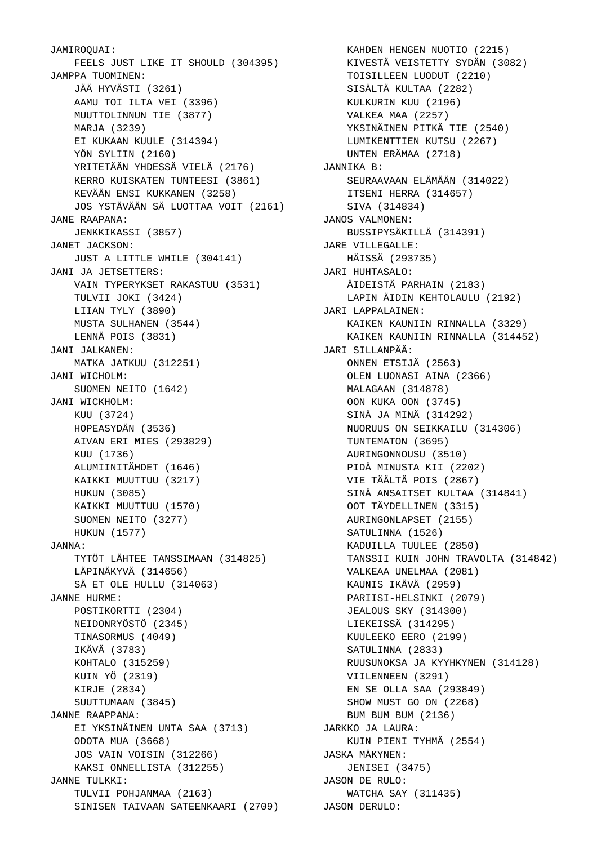JAMIROQUAI: FEELS JUST LIKE IT SHOULD (304395) JAMPPA TUOMINEN: JÄÄ HYVÄSTI (3261) AAMU TOI ILTA VEI (3396) MUUTTOLINNUN TIE (3877) MARJA (3239) EI KUKAAN KUULE (314394) YÖN SYLIIN (2160) YRITETÄÄN YHDESSÄ VIELÄ (2176) KERRO KUISKATEN TUNTEESI (3861) KEVÄÄN ENSI KUKKANEN (3258) JOS YSTÄVÄÄN SÄ LUOTTAA VOIT (2161) JANE RAAPANA: JENKKIKASSI (3857) JANET JACKSON: JUST A LITTLE WHILE (304141) JANI JA JETSETTERS: VAIN TYPERYKSET RAKASTUU (3531) TULVII JOKI (3424) LIIAN TYLY (3890) MUSTA SULHANEN (3544) LENNÄ POIS (3831) JANI JALKANEN: MATKA JATKUU (312251) JANI WICHOLM: SUOMEN NEITO (1642) JANI WICKHOLM: KUU (3724) HOPEASYDÄN (3536) AIVAN ERI MIES (293829) KUU (1736) ALUMIINITÄHDET (1646) KAIKKI MUUTTUU (3217) HUKUN (3085) KAIKKI MUUTTUU (1570) SUOMEN NEITO (3277) HUKUN (1577) JANNA: TYTÖT LÄHTEE TANSSIMAAN (314825) LÄPINÄKYVÄ (314656) SÄ ET OLE HULLU (314063) JANNE HURME: POSTIKORTTI (2304) NEIDONRYÖSTÖ (2345) TINASORMUS (4049) IKÄVÄ (3783) KOHTALO (315259) KUIN YÖ (2319) KIRJE (2834) SUUTTUMAAN (3845) JANNE RAAPPANA: EI YKSINÄINEN UNTA SAA (3713) ODOTA MUA (3668) JOS VAIN VOISIN (312266) KAKSI ONNELLISTA (312255) JANNE TULKKI: TULVII POHJANMAA (2163) SINISEN TAIVAAN SATEENKAARI (2709) JASON DERULO:

 KAHDEN HENGEN NUOTIO (2215) KIVESTÄ VEISTETTY SYDÄN (3082) TOISILLEEN LUODUT (2210) SISÄLTÄ KULTAA (2282) KULKURIN KUU (2196) VALKEA MAA (2257) YKSINÄINEN PITKÄ TIE (2540) LUMIKENTTIEN KUTSU (2267) UNTEN ERÄMAA (2718) JANNIKA B: SEURAAVAAN ELÄMÄÄN (314022) ITSENI HERRA (314657) SIVA (314834) JANOS VALMONEN: BUSSIPYSÄKILLÄ (314391) JARE VILLEGALLE: HÄISSÄ (293735) JARI HUHTASALO: ÄIDEISTÄ PARHAIN (2183) LAPIN ÄIDIN KEHTOLAULU (2192) JARI LAPPALAINEN: KAIKEN KAUNIIN RINNALLA (3329) KAIKEN KAUNIIN RINNALLA (314452) JARI SILLANPÄÄ: ONNEN ETSIJÄ (2563) OLEN LUONASI AINA (2366) MALAGAAN (314878) OON KUKA OON (3745) SINÄ JA MINÄ (314292) NUORUUS ON SEIKKAILU (314306) TUNTEMATON (3695) AURINGONNOUSU (3510) PIDÄ MINUSTA KII (2202) VIE TÄÄLTÄ POIS (2867) SINÄ ANSAITSET KULTAA (314841) OOT TÄYDELLINEN (3315) AURINGONLAPSET (2155) SATULINNA (1526) KADUILLA TUULEE (2850) TANSSII KUIN JOHN TRAVOLTA (314842) VALKEAA UNELMAA (2081) KAUNIS IKÄVÄ (2959) PARIISI-HELSINKI (2079) JEALOUS SKY (314300) LIEKEISSÄ (314295) KUULEEKO EERO (2199) SATULINNA (2833) RUUSUNOKSA JA KYYHKYNEN (314128) VIILENNEEN (3291) EN SE OLLA SAA (293849) SHOW MUST GO ON (2268) BUM BUM BUM (2136) JARKKO JA LAURA: KUIN PIENI TYHMÄ (2554) JASKA MÄKYNEN: JENISEI (3475) JASON DE RULO: WATCHA SAY (311435)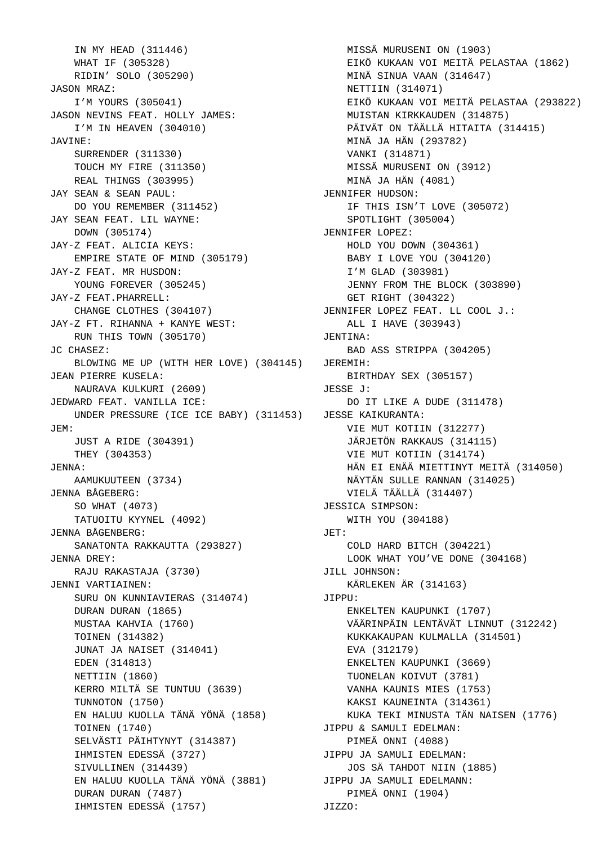IN MY HEAD (311446) WHAT IF (305328) RIDIN' SOLO (305290) JASON MRAZ: I'M YOURS (305041) JASON NEVINS FEAT. HOLLY JAMES: I'M IN HEAVEN (304010) JAVINE: SURRENDER (311330) TOUCH MY FIRE (311350) REAL THINGS (303995) JAY SEAN & SEAN PAUL: DO YOU REMEMBER (311452) JAY SEAN FEAT. LIL WAYNE: DOWN (305174) JAY-Z FEAT. ALICIA KEYS: EMPIRE STATE OF MIND (305179) JAY-Z FEAT. MR HUSDON: YOUNG FOREVER (305245) JAY-Z FEAT.PHARRELL: CHANGE CLOTHES (304107) JAY-Z FT. RIHANNA + KANYE WEST: RUN THIS TOWN (305170) JC CHASEZ: BLOWING ME UP (WITH HER LOVE) (304145) JEREMIH: JEAN PIERRE KUSELA: NAURAVA KULKURI (2609) JEDWARD FEAT. VANILLA ICE: UNDER PRESSURE (ICE ICE BABY) (311453) JESSE KAIKURANTA: JEM: JUST A RIDE (304391) THEY (304353) JENNA: AAMUKUUTEEN (3734) JENNA BÅGEBERG: SO WHAT (4073) TATUOITU KYYNEL (4092) JENNA BÅGENBERG: SANATONTA RAKKAUTTA (293827) JENNA DREY: RAJU RAKASTAJA (3730) JENNI VARTIAINEN: SURU ON KUNNIAVIERAS (314074) DURAN DURAN (1865) MUSTAA KAHVIA (1760) TOINEN (314382) JUNAT JA NAISET (314041) EDEN (314813) NETTIIN (1860) KERRO MILTÄ SE TUNTUU (3639) TUNNOTON (1750) EN HALUU KUOLLA TÄNÄ YÖNÄ (1858) TOINEN (1740) SELVÄSTI PÄIHTYNYT (314387) IHMISTEN EDESSÄ (3727) SIVULLINEN (314439) EN HALUU KUOLLA TÄNÄ YÖNÄ (3881) JIPPU JA SAMULI EDELMANN: DURAN DURAN (7487) IHMISTEN EDESSÄ (1757)

 MISSÄ MURUSENI ON (1903) EIKÖ KUKAAN VOI MEITÄ PELASTAA (1862) MINÄ SINUA VAAN (314647) NETTIIN (314071) EIKÖ KUKAAN VOI MEITÄ PELASTAA (293822) MUISTAN KIRKKAUDEN (314875) PÄIVÄT ON TÄÄLLÄ HITAITA (314415) MINÄ JA HÄN (293782) VANKI (314871) MISSÄ MURUSENI ON (3912) MINÄ JA HÄN (4081) JENNIFER HUDSON: IF THIS ISN'T LOVE (305072) SPOTLIGHT (305004) JENNIFER LOPEZ: HOLD YOU DOWN (304361) BABY I LOVE YOU (304120) I'M GLAD (303981) JENNY FROM THE BLOCK (303890) GET RIGHT (304322) JENNIFER LOPEZ FEAT. LL COOL J.: ALL I HAVE (303943) JENTINA: BAD ASS STRIPPA (304205) BIRTHDAY SEX (305157) JESSE J: DO IT LIKE A DUDE (311478) VIE MUT KOTIIN (312277) JÄRJETÖN RAKKAUS (314115) VIE MUT KOTIIN (314174) HÄN EI ENÄÄ MIETTINYT MEITÄ (314050) NÄYTÄN SULLE RANNAN (314025) VIELÄ TÄÄLLÄ (314407) JESSICA SIMPSON: WITH YOU (304188) JET: COLD HARD BITCH (304221) LOOK WHAT YOU'VE DONE (304168) JILL JOHNSON: KÄRLEKEN ÄR (314163) JIPPU: ENKELTEN KAUPUNKI (1707) VÄÄRINPÄIN LENTÄVÄT LINNUT (312242) KUKKAKAUPAN KULMALLA (314501) EVA (312179) ENKELTEN KAUPUNKI (3669) TUONELAN KOIVUT (3781) VANHA KAUNIS MIES (1753) KAKSI KAUNEINTA (314361) KUKA TEKI MINUSTA TÄN NAISEN (1776) JIPPU & SAMULI EDELMAN: PIMEÄ ONNI (4088) JIPPU JA SAMULI EDELMAN: JOS SÄ TAHDOT NIIN (1885) PIMEÄ ONNI (1904) JIZZO: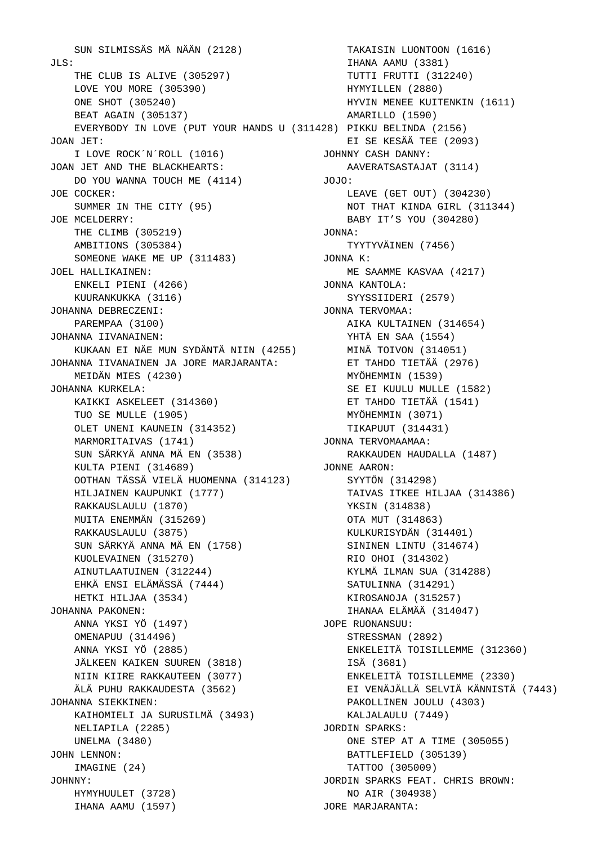SUN SILMISSÄS MÄ NÄÄN (2128)  $JLS:$  THE CLUB IS ALIVE (305297) LOVE YOU MORE (305390) ONE SHOT (305240) BEAT AGAIN (305137) EVERYBODY IN LOVE (PUT YOUR HANDS U (311428) PIKKU BELINDA (2156) JOAN JET: I LOVE ROCK´N´ROLL (1016) JOAN JET AND THE BLACKHEARTS: DO YOU WANNA TOUCH ME (4114) JOE COCKER: SUMMER IN THE CITY (95) JOE MCELDERRY: THE CLIMB (305219) AMBITIONS (305384) SOMEONE WAKE ME UP (311483) JOEL HALLIKAINEN: ENKELI PIENI (4266) KUURANKUKKA (3116) JOHANNA DEBRECZENI: PAREMPAA (3100) JOHANNA IIVANAINEN: KUKAAN EI NÄE MUN SYDÄNTÄ NIIN (4255) JOHANNA IIVANAINEN JA JORE MARJARANTA: MEIDÄN MIES (4230) JOHANNA KURKELA: KAIKKI ASKELEET (314360) TUO SE MULLE (1905) OLET UNENI KAUNEIN (314352) MARMORITAIVAS (1741) SUN SÄRKYÄ ANNA MÄ EN (3538) KULTA PIENI (314689) OOTHAN TÄSSÄ VIELÄ HUOMENNA (314123) HILJAINEN KAUPUNKI (1777) RAKKAUSLAULU (1870) MUITA ENEMMÄN (315269) RAKKAUSLAULU (3875) SUN SÄRKYÄ ANNA MÄ EN (1758) KUOLEVAINEN (315270) AINUTLAATUINEN (312244) EHKÄ ENSI ELÄMÄSSÄ (7444) HETKI HILJAA (3534) JOHANNA PAKONEN: ANNA YKSI YÖ (1497) OMENAPUU (314496) ANNA YKSI YÖ (2885) JÄLKEEN KAIKEN SUUREN (3818) NIIN KIIRE RAKKAUTEEN (3077) ÄLÄ PUHU RAKKAUDESTA (3562) JOHANNA SIEKKINEN: KAIHOMIELI JA SURUSILMÄ (3493) NELIAPILA (2285) UNELMA (3480) JOHN LENNON: IMAGINE (24) JOHNNY: HYMYHUULET (3728) IHANA AAMU (1597)

 TAKAISIN LUONTOON (1616) IHANA AAMU (3381) TUTTI FRUTTI (312240) HYMYILLEN (2880) HYVIN MENEE KUITENKIN (1611) AMARILLO (1590) EI SE KESÄÄ TEE (2093) JOHNNY CASH DANNY: AAVERATSASTAJAT (3114) JOJO: LEAVE (GET OUT) (304230) NOT THAT KINDA GIRL (311344) BABY IT'S YOU (304280) JONNA: TYYTYVÄINEN (7456) JONNA K: ME SAAMME KASVAA (4217) JONNA KANTOLA: SYYSSIIDERI (2579) JONNA TERVOMAA: AIKA KULTAINEN (314654) YHTÄ EN SAA (1554) MINÄ TOIVON (314051) ET TAHDO TIETÄÄ (2976) MYÖHEMMIN (1539) SE EI KUULU MULLE (1582) ET TAHDO TIETÄÄ (1541) MYÖHEMMIN (3071) TIKAPUUT (314431) JONNA TERVOMAAMAA: RAKKAUDEN HAUDALLA (1487) JONNE AARON: SYYTÖN (314298) TAIVAS ITKEE HILJAA (314386) YKSIN (314838) OTA MUT (314863) KULKURISYDÄN (314401) SININEN LINTU (314674) RIO OHOI (314302) KYLMÄ ILMAN SUA (314288) SATULINNA (314291) KIROSANOJA (315257) IHANAA ELÄMÄÄ (314047) JOPE RUONANSUU: STRESSMAN (2892) ENKELEITÄ TOISILLEMME (312360) ISÄ (3681) ENKELEITÄ TOISILLEMME (2330) EI VENÄJÄLLÄ SELVIÄ KÄNNISTÄ (7443) PAKOLLINEN JOULU (4303) KALJALAULU (7449) JORDIN SPARKS: ONE STEP AT A TIME (305055) BATTLEFIELD (305139) TATTOO (305009) JORDIN SPARKS FEAT. CHRIS BROWN: NO AIR (304938) JORE MARJARANTA: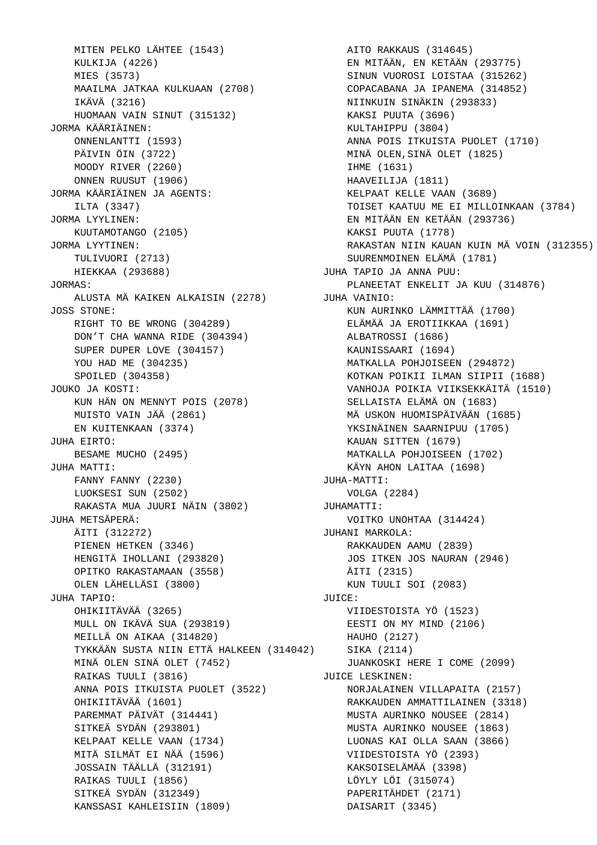MITEN PELKO LÄHTEE (1543) KULKIJA (4226) MIES (3573) MAAILMA JATKAA KULKUAAN (2708) IKÄVÄ (3216) HUOMAAN VAIN SINUT (315132) JORMA KÄÄRIÄINEN: ONNENLANTTI (1593) PÄIVIN ÖIN (3722) MOODY RIVER (2260) ONNEN RUUSUT (1906) JORMA KÄÄRIÄINEN JA AGENTS: ILTA (3347) JORMA LYYLINEN: KUUTAMOTANGO (2105) JORMA LYYTINEN: TULIVUORI (2713) HIEKKAA (293688) JORMAS: ALUSTA MÄ KAIKEN ALKAISIN (2278) JOSS STONE: RIGHT TO BE WRONG (304289) DON'T CHA WANNA RIDE (304394) SUPER DUPER LOVE (304157) YOU HAD ME (304235) SPOILED (304358) JOUKO JA KOSTI: KUN HÄN ON MENNYT POIS (2078) MUISTO VAIN JÄÄ (2861) EN KUITENKAAN (3374) JUHA EIRTO: BESAME MUCHO (2495) JUHA MATTI: FANNY FANNY (2230) LUOKSESI SUN (2502) RAKASTA MUA JUURI NÄIN (3802) JUHA METSÄPERÄ: ÄITI (312272) PIENEN HETKEN (3346) HENGITÄ IHOLLANI (293820) OPITKO RAKASTAMAAN (3558) OLEN LÄHELLÄSI (3800) JUHA TAPIO: OHIKIITÄVÄÄ (3265) MULL ON IKÄVÄ SUA (293819) MEILLÄ ON AIKAA (314820) TYKKÄÄN SUSTA NIIN ETTÄ HALKEEN (314042) MINÄ OLEN SINÄ OLET (7452) RAIKAS TUULI (3816) ANNA POIS ITKUISTA PUOLET (3522) OHIKIITÄVÄÄ (1601) PAREMMAT PÄIVÄT (314441) SITKEÄ SYDÄN (293801) KELPAAT KELLE VAAN (1734) MITÄ SILMÄT EI NÄÄ (1596) JOSSAIN TÄÄLLÄ (312191) RAIKAS TUULI (1856) SITKEÄ SYDÄN (312349) KANSSASI KAHLEISIIN (1809)

 AITO RAKKAUS (314645) EN MITÄÄN, EN KETÄÄN (293775) SINUN VUOROSI LOISTAA (315262) COPACABANA JA IPANEMA (314852) NIINKUIN SINÄKIN (293833) KAKSI PUUTA (3696) KULTAHIPPU (3804) ANNA POIS ITKUISTA PUOLET (1710) MINÄ OLEN,SINÄ OLET (1825) IHME (1631) HAAVEILIJA (1811) KELPAAT KELLE VAAN (3689) TOISET KAATUU ME EI MILLOINKAAN (3784) EN MITÄÄN EN KETÄÄN (293736) KAKSI PUUTA (1778) RAKASTAN NIIN KAUAN KUIN MÄ VOIN (312355) SUURENMOINEN ELÄMÄ (1781) JUHA TAPIO JA ANNA PUU: PLANEETAT ENKELIT JA KUU (314876) JUHA VAINIO: KUN AURINKO LÄMMITTÄÄ (1700) ELÄMÄÄ JA EROTIIKKAA (1691) ALBATROSSI (1686) KAUNISSAARI (1694) MATKALLA POHJOISEEN (294872) KOTKAN POIKII ILMAN SIIPII (1688) VANHOJA POIKIA VIIKSEKKÄITÄ (1510) SELLAISTA ELÄMÄ ON (1683) MÄ USKON HUOMISPÄIVÄÄN (1685) YKSINÄINEN SAARNIPUU (1705) KAUAN SITTEN (1679) MATKALLA POHJOISEEN (1702) KÄYN AHON LAITAA (1698) JUHA-MATTI: VOLGA (2284) JUHAMATTI: VOITKO UNOHTAA (314424) JUHANI MARKOLA: RAKKAUDEN AAMU (2839) JOS ITKEN JOS NAURAN (2946) ÄITI (2315) KUN TUULI SOI (2083) JUICE: VIIDESTOISTA YÖ (1523) EESTI ON MY MIND (2106) HAUHO (2127) SIKA (2114) JUANKOSKI HERE I COME (2099) JUICE LESKINEN: NORJALAINEN VILLAPAITA (2157) RAKKAUDEN AMMATTILAINEN (3318) MUSTA AURINKO NOUSEE (2814) MUSTA AURINKO NOUSEE (1863) LUONAS KAI OLLA SAAN (3866) VIIDESTOISTA YÖ (2393) KAKSOISELÄMÄÄ (3398) LÖYLY LÖI (315074) PAPERITÄHDET (2171) DAISARIT (3345)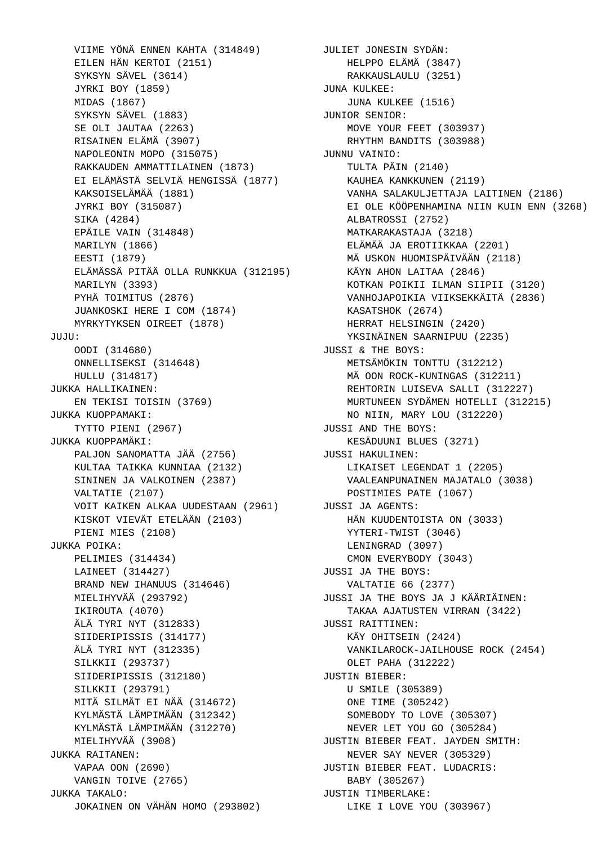VIIME YÖNÄ ENNEN KAHTA (314849) JULIET JONESIN SYDÄN: EILEN HÄN KERTOI (2151) SYKSYN SÄVEL (3614) JYRKI BOY (1859) MIDAS (1867) SYKSYN SÄVEL (1883) SE OLI JAUTAA (2263) RISAINEN ELÄMÄ (3907) NAPOLEONIN MOPO (315075) RAKKAUDEN AMMATTILAINEN (1873) EI ELÄMÄSTÄ SELVIÄ HENGISSÄ (1877) KAKSOISELÄMÄÄ (1881) JYRKI BOY (315087) SIKA (4284) EPÄILE VAIN (314848) MARILYN (1866) EESTI (1879) ELÄMÄSSÄ PITÄÄ OLLA RUNKKUA (312195) MARILYN (3393) PYHÄ TOIMITUS (2876) JUANKOSKI HERE I COM (1874) MYRKYTYKSEN OIREET (1878) JUJU: OODI (314680) ONNELLISEKSI (314648) HULLU (314817) JUKKA HALLIKAINEN: EN TEKISI TOISIN (3769) JUKKA KUOPPAMAKI: TYTTO PIENI (2967) JUKKA KUOPPAMÄKI: PALJON SANOMATTA JÄÄ (2756) KULTAA TAIKKA KUNNIAA (2132) SININEN JA VALKOINEN (2387) VALTATIE (2107) VOIT KAIKEN ALKAA UUDESTAAN (2961) KISKOT VIEVÄT ETELÄÄN (2103) PIENI MIES (2108) JUKKA POIKA: PELIMIES (314434) LAINEET (314427) BRAND NEW IHANUUS (314646) MIELIHYVÄÄ (293792) IKIROUTA (4070) ÄLÄ TYRI NYT (312833) SIIDERIPISSIS (314177) ÄLÄ TYRI NYT (312335) SILKKII (293737) SIIDERIPISSIS (312180) SILKKII (293791) MITÄ SILMÄT EI NÄÄ (314672) KYLMÄSTÄ LÄMPIMÄÄN (312342) KYLMÄSTÄ LÄMPIMÄÄN (312270) MIELIHYVÄÄ (3908) JUKKA RAITANEN: VAPAA OON (2690) VANGIN TOIVE (2765) JUKKA TAKALO: JOKAINEN ON VÄHÄN HOMO (293802)

 HELPPO ELÄMÄ (3847) RAKKAUSLAULU (3251) JUNA KULKEE: JUNA KULKEE (1516) JUNIOR SENIOR: MOVE YOUR FEET (303937) RHYTHM BANDITS (303988) JUNNU VAINIO: TULTA PÄIN (2140) KAUHEA KANKKUNEN (2119) VANHA SALAKULJETTAJA LAITINEN (2186) EI OLE KÖÖPENHAMINA NIIN KUIN ENN (3268) ALBATROSSI (2752) MATKARAKASTAJA (3218) ELÄMÄÄ JA EROTIIKKAA (2201) MÄ USKON HUOMISPÄIVÄÄN (2118) KÄYN AHON LAITAA (2846) KOTKAN POIKII ILMAN SIIPII (3120) VANHOJAPOIKIA VIIKSEKKÄITÄ (2836) KASATSHOK (2674) HERRAT HELSINGIN (2420) YKSINÄINEN SAARNIPUU (2235) JUSSI & THE BOYS: METSÄMÖKIN TONTTU (312212) MÄ OON ROCK-KUNINGAS (312211) REHTORIN LUISEVA SALLI (312227) MURTUNEEN SYDÄMEN HOTELLI (312215) NO NIIN, MARY LOU (312220) JUSSI AND THE BOYS: KESÄDUUNI BLUES (3271) JUSSI HAKULINEN: LIKAISET LEGENDAT 1 (2205) VAALEANPUNAINEN MAJATALO (3038) POSTIMIES PATE (1067) JUSSI JA AGENTS: HÄN KUUDENTOISTA ON (3033) YYTERI-TWIST (3046) LENINGRAD (3097) CMON EVERYBODY (3043) JUSSI JA THE BOYS: VALTATIE 66 (2377) JUSSI JA THE BOYS JA J KÄÄRIÄINEN: TAKAA AJATUSTEN VIRRAN (3422) JUSSI RAITTINEN: KÄY OHITSEIN (2424) VANKILAROCK-JAILHOUSE ROCK (2454) OLET PAHA (312222) JUSTIN BIEBER: U SMILE (305389) ONE TIME (305242) SOMEBODY TO LOVE (305307) NEVER LET YOU GO (305284) JUSTIN BIEBER FEAT. JAYDEN SMITH: NEVER SAY NEVER (305329) JUSTIN BIEBER FEAT. LUDACRIS: BABY (305267) JUSTIN TIMBERLAKE: LIKE I LOVE YOU (303967)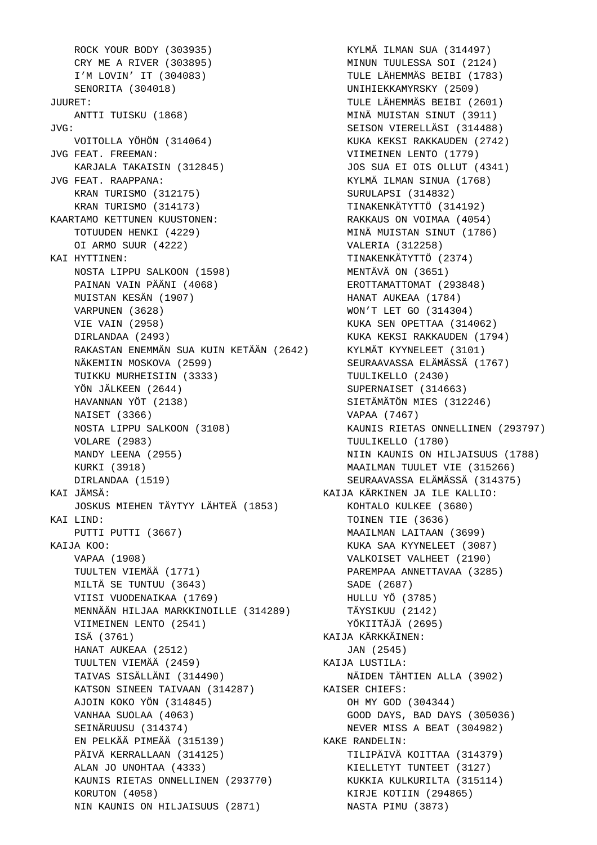ROCK YOUR BODY (303935) CRY ME A RIVER (303895) I'M LOVIN' IT (304083) SENORITA (304018) JUURET: ANTTI TUISKU (1868) JVG: VOITOLLA YÖHÖN (314064) JVG FEAT. FREEMAN: KARJALA TAKAISIN (312845) JVG FEAT. RAAPPANA: KRAN TURISMO (312175) KRAN TURISMO (314173) KAARTAMO KETTUNEN KUUSTONEN: TOTUUDEN HENKI (4229) OI ARMO SUUR (4222) KAI HYTTINEN: NOSTA LIPPU SALKOON (1598) PAINAN VAIN PÄÄNI (4068) MUISTAN KESÄN (1907) VARPUNEN (3628) VIE VAIN (2958) DIRLANDAA (2493) RAKASTAN ENEMMÄN SUA KUIN KETÄÄN (2642) NÄKEMIIN MOSKOVA (2599) TUIKKU MURHEISIIN (3333) YÖN JÄLKEEN (2644) HAVANNAN YÖT (2138) NAISET (3366) NOSTA LIPPU SALKOON (3108) VOLARE (2983) MANDY LEENA (2955) KURKI (3918) DIRLANDAA (1519) KAI JÄMSÄ: JOSKUS MIEHEN TÄYTYY LÄHTEÄ (1853) KAI LIND: PUTTI PUTTI (3667) KAIJA KOO: VAPAA (1908) TUULTEN VIEMÄÄ (1771) MILTÄ SE TUNTUU (3643) VIISI VUODENAIKAA (1769) MENNÄÄN HILJAA MARKKINOILLE (314289) VIIMEINEN LENTO (2541) ISÄ (3761) HANAT AUKEAA (2512) TUULTEN VIEMÄÄ (2459) TAIVAS SISÄLLÄNI (314490) KATSON SINEEN TAIVAAN (314287) AJOIN KOKO YÖN (314845) VANHAA SUOLAA (4063) SEINÄRUUSU (314374) EN PELKÄÄ PIMEÄÄ (315139) PÄIVÄ KERRALLAAN (314125) ALAN JO UNOHTAA (4333) KAUNIS RIETAS ONNELLINEN (293770) KORUTON (4058) NIN KAUNIS ON HILJAISUUS (2871)

 KYLMÄ ILMAN SUA (314497) MINUN TUULESSA SOI (2124) TULE LÄHEMMÄS BEIBI (1783) UNIHIEKKAMYRSKY (2509) TULE LÄHEMMÄS BEIBI (2601) MINÄ MUISTAN SINUT (3911) SEISON VIERELLÄSI (314488) KUKA KEKSI RAKKAUDEN (2742) VIIMEINEN LENTO (1779) JOS SUA EI OIS OLLUT (4341) KYLMÄ ILMAN SINUA (1768) SURULAPSI (314832) TINAKENKÄTYTTÖ (314192) RAKKAUS ON VOIMAA (4054) MINÄ MUISTAN SINUT (1786) VALERIA (312258) TINAKENKÄTYTTÖ (2374) MENTÄVÄ ON (3651) EROTTAMATTOMAT (293848) HANAT AUKEAA (1784) WON'T LET GO (314304) KUKA SEN OPETTAA (314062) KUKA KEKSI RAKKAUDEN (1794) KYLMÄT KYYNELEET (3101) SEURAAVASSA ELÄMÄSSÄ (1767) TUULIKELLO (2430) SUPERNAISET (314663) SIETÄMÄTÖN MIES (312246) VAPAA (7467) KAUNIS RIETAS ONNELLINEN (293797) TUULIKELLO (1780) NIIN KAUNIS ON HILJAISUUS (1788) MAAILMAN TUULET VIE (315266) SEURAAVASSA ELÄMÄSSÄ (314375) KAIJA KÄRKINEN JA ILE KALLIO: KOHTALO KULKEE (3680) TOINEN TIE (3636) MAAILMAN LAITAAN (3699) KUKA SAA KYYNELEET (3087) VALKOISET VALHEET (2190) PAREMPAA ANNETTAVAA (3285) SADE (2687) HULLU YÖ (3785) TÄYSIKUU (2142) YÖKIITÄJÄ (2695) KAIJA KÄRKKÄINEN: JAN (2545) KAIJA LUSTILA: NÄIDEN TÄHTIEN ALLA (3902) KAISER CHIEFS: OH MY GOD (304344) GOOD DAYS, BAD DAYS (305036) NEVER MISS A BEAT (304982) KAKE RANDELIN: TILIPÄIVÄ KOITTAA (314379) KIELLETYT TUNTEET (3127) KUKKIA KULKURILTA (315114) KIRJE KOTIIN (294865) NASTA PIMU (3873)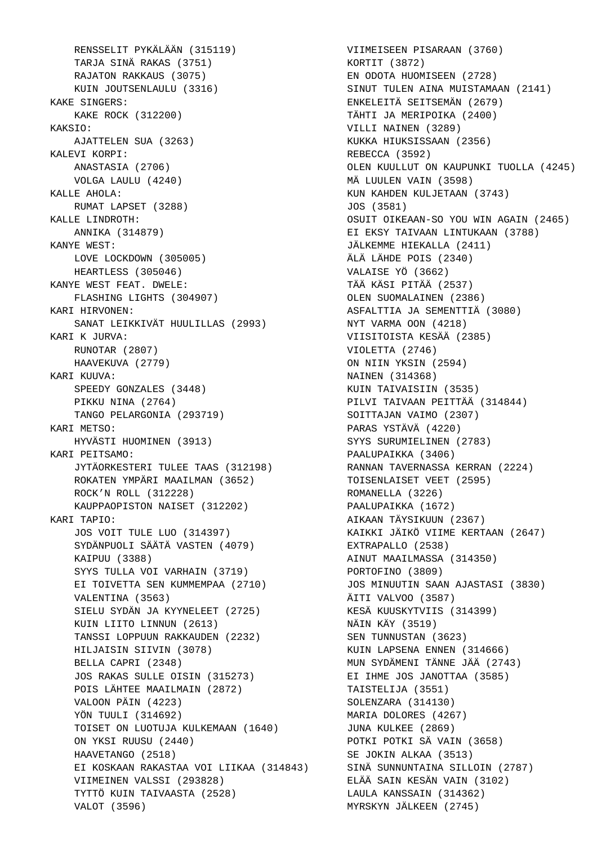RENSSELIT PYKÄLÄÄN (315119) TARJA SINÄ RAKAS (3751) RAJATON RAKKAUS (3075) KUIN JOUTSENLAULU (3316) KAKE SINGERS: KAKE ROCK (312200) KAKSIO: AJATTELEN SUA (3263) KALEVI KORPI: ANASTASIA (2706) VOLGA LAULU (4240) KALLE AHOLA: RUMAT LAPSET (3288) KALLE LINDROTH: ANNIKA (314879) KANYE WEST: LOVE LOCKDOWN (305005) HEARTLESS (305046) KANYE WEST FEAT. DWELE: FLASHING LIGHTS (304907) KARI HIRVONEN: SANAT LEIKKIVÄT HUULILLAS (2993) KARI K JURVA: RUNOTAR (2807) HAAVEKUVA (2779) KARI KUUVA: SPEEDY GONZALES (3448) PIKKU NINA (2764) TANGO PELARGONIA (293719) KARI METSO: HYVÄSTI HUOMINEN (3913) KARI PEITSAMO: JYTÄORKESTERI TULEE TAAS (312198) ROKATEN YMPÄRI MAAILMAN (3652) ROCK'N ROLL (312228) KAUPPAOPISTON NAISET (312202) KARI TAPIO: JOS VOIT TULE LUO (314397) SYDÄNPUOLI SÄÄTÄ VASTEN (4079) KAIPUU (3388) SYYS TULLA VOI VARHAIN (3719) EI TOIVETTA SEN KUMMEMPAA (2710) VALENTINA (3563) SIELU SYDÄN JA KYYNELEET (2725) KUIN LIITO LINNUN (2613) TANSSI LOPPUUN RAKKAUDEN (2232) HILJAISIN SIIVIN (3078) BELLA CAPRI (2348) JOS RAKAS SULLE OISIN (315273) POIS LÄHTEE MAAILMAIN (2872) VALOON PÄIN (4223) YÖN TUULI (314692) TOISET ON LUOTUJA KULKEMAAN (1640) ON YKSI RUUSU (2440) HAAVETANGO (2518) EI KOSKAAN RAKASTAA VOI LIIKAA (314843) VIIMEINEN VALSSI (293828) TYTTÖ KUIN TAIVAASTA (2528) VALOT (3596)

 VIIMEISEEN PISARAAN (3760) KORTIT (3872) EN ODOTA HUOMISEEN (2728) SINUT TULEN AINA MUISTAMAAN (2141) ENKELEITÄ SEITSEMÄN (2679) TÄHTI JA MERIPOIKA (2400) VILLI NAINEN (3289) KUKKA HIUKSISSAAN (2356) REBECCA (3592) OLEN KUULLUT ON KAUPUNKI TUOLLA (4245) MÄ LUULEN VAIN (3598) KUN KAHDEN KULJETAAN (3743) JOS (3581) OSUIT OIKEAAN-SO YOU WIN AGAIN (2465) EI EKSY TAIVAAN LINTUKAAN (3788) JÄLKEMME HIEKALLA (2411) ÄLÄ LÄHDE POIS (2340) VALAISE YÖ (3662) TÄÄ KÄSI PITÄÄ (2537) OLEN SUOMALAINEN (2386) ASFALTTIA JA SEMENTTIÄ (3080) NYT VARMA OON (4218) VIISITOISTA KESÄÄ (2385) VIOLETTA (2746) ON NIIN YKSIN (2594) NAINEN (314368) KUIN TAIVAISIIN (3535) PILVI TAIVAAN PEITTÄÄ (314844) SOITTAJAN VAIMO (2307) PARAS YSTÄVÄ (4220) SYYS SURUMIELINEN (2783) PAALUPAIKKA (3406) RANNAN TAVERNASSA KERRAN (2224) TOISENLAISET VEET (2595) ROMANELLA (3226) PAALUPAIKKA (1672) AIKAAN TÄYSIKUUN (2367) KAIKKI JÄIKÖ VIIME KERTAAN (2647) EXTRAPALLO (2538) AINUT MAAILMASSA (314350) PORTOFINO (3809) JOS MINUUTIN SAAN AJASTASI (3830) ÄITI VALVOO (3587) KESÄ KUUSKYTVIIS (314399) NÄIN KÄY (3519) SEN TUNNUSTAN (3623) KUIN LAPSENA ENNEN (314666) MUN SYDÄMENI TÄNNE JÄÄ (2743) EI IHME JOS JANOTTAA (3585) TAISTELIJA (3551) SOLENZARA (314130) MARIA DOLORES (4267) JUNA KULKEE (2869) POTKI POTKI SÄ VAIN (3658) SE JOKIN ALKAA (3513) SINÄ SUNNUNTAINA SILLOIN (2787) ELÄÄ SAIN KESÄN VAIN (3102) LAULA KANSSAIN (314362) MYRSKYN JÄLKEEN (2745)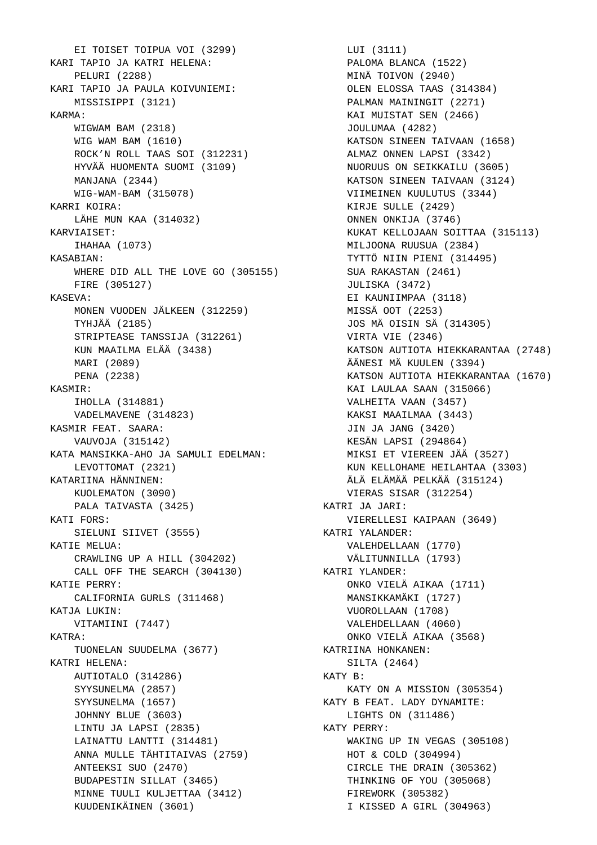EI TOISET TOIPUA VOI (3299) KARI TAPIO JA KATRI HELENA: PELURI (2288) KARI TAPIO JA PAULA KOIVUNIEMI: MISSISIPPI (3121) KARMA: WIGWAM BAM (2318) WIG WAM BAM (1610) ROCK'N ROLL TAAS SOI (312231) HYVÄÄ HUOMENTA SUOMI (3109) MANJANA (2344) WIG-WAM-BAM (315078) KARRI KOIRA: LÄHE MUN KAA (314032) KARVIAISET: IHAHAA (1073) KASABIAN: WHERE DID ALL THE LOVE GO (305155) FIRE (305127) KASEVA: MONEN VUODEN JÄLKEEN (312259) TYHJÄÄ (2185) STRIPTEASE TANSSIJA (312261) KUN MAAILMA ELÄÄ (3438) MARI (2089) PENA (2238) KASMIR: IHOLLA (314881) VADELMAVENE (314823) KASMIR FEAT. SAARA: VAUVOJA (315142) KATA MANSIKKA-AHO JA SAMULI EDELMAN: LEVOTTOMAT (2321) KATARIINA HÄNNINEN: KUOLEMATON (3090) PALA TAIVASTA (3425) KATI FORS: SIELUNI SIIVET (3555) KATIE MELUA: CRAWLING UP A HILL (304202) CALL OFF THE SEARCH (304130) KATIE PERRY: CALIFORNIA GURLS (311468) KATJA LUKIN: VITAMIINI (7447) KATRA: TUONELAN SUUDELMA (3677) KATRI HELENA: AUTIOTALO (314286) SYYSUNELMA (2857) SYYSUNELMA (1657) JOHNNY BLUE (3603) LINTU JA LAPSI (2835) LAINATTU LANTTI (314481) ANNA MULLE TÄHTITAIVAS (2759) ANTEEKSI SUO (2470) BUDAPESTIN SILLAT (3465) MINNE TUULI KULJETTAA (3412) KUUDENIKÄINEN (3601)

 LUI (3111) PALOMA BLANCA (1522) MINÄ TOIVON (2940) OLEN ELOSSA TAAS (314384) PALMAN MAININGIT (2271) KAI MUISTAT SEN (2466) JOULUMAA (4282) KATSON SINEEN TAIVAAN (1658) ALMAZ ONNEN LAPSI (3342) NUORUUS ON SEIKKAILU (3605) KATSON SINEEN TAIVAAN (3124) VIIMEINEN KUULUTUS (3344) KIRJE SULLE (2429) ONNEN ONKIJA (3746) KUKAT KELLOJAAN SOITTAA (315113) MILJOONA RUUSUA (2384) TYTTÖ NIIN PIENI (314495) SUA RAKASTAN (2461) JULISKA (3472) EI KAUNIIMPAA (3118) MISSÄ OOT (2253) JOS MÄ OISIN SÄ (314305) VIRTA VIE (2346) KATSON AUTIOTA HIEKKARANTAA (2748) ÄÄNESI MÄ KUULEN (3394) KATSON AUTIOTA HIEKKARANTAA (1670) KAI LAULAA SAAN (315066) VALHEITA VAAN (3457) KAKSI MAAILMAA (3443) JIN JA JANG (3420) KESÄN LAPSI (294864) MIKSI ET VIEREEN JÄÄ (3527) KUN KELLOHAME HEILAHTAA (3303) ÄLÄ ELÄMÄÄ PELKÄÄ (315124) VIERAS SISAR (312254) KATRI JA JARI: VIERELLESI KAIPAAN (3649) KATRI YALANDER: VALEHDELLAAN (1770) VÄLITUNNILLA (1793) KATRI YLANDER: ONKO VIELÄ AIKAA (1711) MANSIKKAMÄKI (1727) VUOROLLAAN (1708) VALEHDELLAAN (4060) ONKO VIELÄ AIKAA (3568) KATRIINA HONKANEN: SILTA (2464) KATY B: KATY ON A MISSION (305354) KATY B FEAT. LADY DYNAMITE: LIGHTS ON (311486) KATY PERRY: WAKING UP IN VEGAS (305108) HOT & COLD (304994) CIRCLE THE DRAIN (305362) THINKING OF YOU (305068) FIREWORK (305382) I KISSED A GIRL (304963)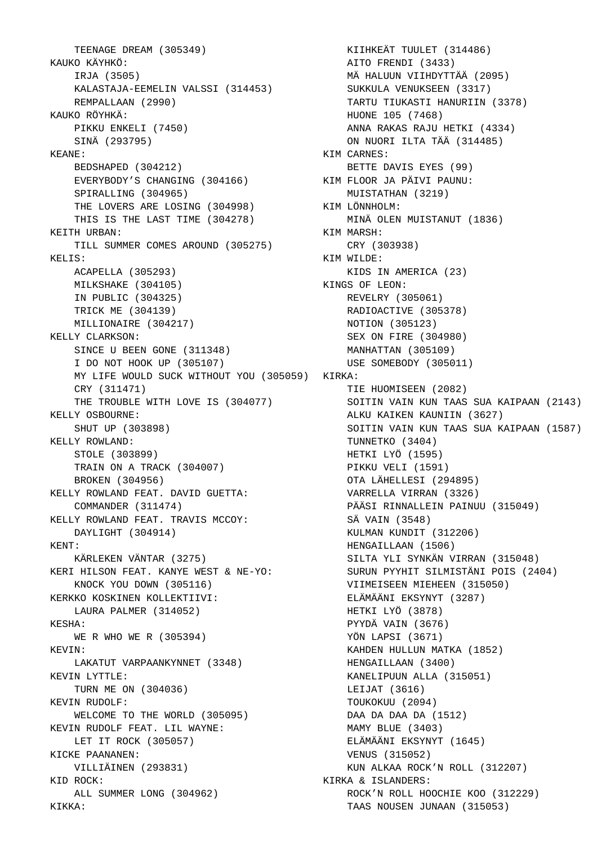TEENAGE DREAM (305349) KAUKO KÄYHKÖ: IRJA (3505) KALASTAJA-EEMELIN VALSSI (314453) REMPALLAAN (2990) KAUKO RÖYHKÄ: PIKKU ENKELI (7450) SINÄ (293795) KEANE: BEDSHAPED (304212) EVERYBODY'S CHANGING (304166) SPIRALLING (304965) THE LOVERS ARE LOSING (304998) THIS IS THE LAST TIME (304278) KEITH URBAN: TILL SUMMER COMES AROUND (305275) KELIS: ACAPELLA (305293) MILKSHAKE (304105) IN PUBLIC (304325) TRICK ME (304139) MILLIONAIRE (304217) KELLY CLARKSON: SINCE U BEEN GONE (311348) I DO NOT HOOK UP (305107) MY LIFE WOULD SUCK WITHOUT YOU (305059) KIRKA: CRY (311471) THE TROUBLE WITH LOVE IS (304077) KELLY OSBOURNE: SHUT UP (303898) KELLY ROWLAND: STOLE (303899) TRAIN ON A TRACK (304007) BROKEN (304956) KELLY ROWLAND FEAT. DAVID GUETTA: COMMANDER (311474) KELLY ROWLAND FEAT. TRAVIS MCCOY: DAYLIGHT (304914) KENT: KÄRLEKEN VÄNTAR (3275) KERI HILSON FEAT. KANYE WEST & NE-YO: KNOCK YOU DOWN (305116) KERKKO KOSKINEN KOLLEKTIIVI: LAURA PALMER (314052) KESHA: WE R WHO WE R (305394) KEVIN: LAKATUT VARPAANKYNNET (3348) KEVIN LYTTLE: TURN ME ON (304036) KEVIN RUDOLF: WELCOME TO THE WORLD (305095) KEVIN RUDOLF FEAT. LIL WAYNE: LET IT ROCK (305057) KICKE PAANANEN: VILLIÄINEN (293831) KID ROCK: ALL SUMMER LONG (304962) KIKKA:

 KIIHKEÄT TUULET (314486) AITO FRENDI (3433) MÄ HALUUN VIIHDYTTÄÄ (2095) SUKKULA VENUKSEEN (3317) TARTU TIUKASTI HANURIIN (3378) HUONE 105 (7468) ANNA RAKAS RAJU HETKI (4334) ON NUORI ILTA TÄÄ (314485) KIM CARNES: BETTE DAVIS EYES (99) KIM FLOOR JA PÄIVI PAUNU: MUISTATHAN (3219) KIM LÖNNHOLM: MINÄ OLEN MUISTANUT (1836) KIM MARSH: CRY (303938) KIM WILDE: KIDS IN AMERICA (23) KINGS OF LEON: REVELRY (305061) RADIOACTIVE (305378) NOTION (305123) SEX ON FIRE (304980) MANHATTAN (305109) USE SOMEBODY (305011) TIE HUOMISEEN (2082) SOITIN VAIN KUN TAAS SUA KAIPAAN (2143) ALKU KAIKEN KAUNIIN (3627) SOITIN VAIN KUN TAAS SUA KAIPAAN (1587) TUNNETKO (3404) HETKI LYÖ (1595) PIKKU VELI (1591) OTA LÄHELLESI (294895) VARRELLA VIRRAN (3326) PÄÄSI RINNALLEIN PAINUU (315049) SÄ VAIN (3548) KULMAN KUNDIT (312206) HENGAILLAAN (1506) SILTA YLI SYNKÄN VIRRAN (315048) SURUN PYYHIT SILMISTÄNI POIS (2404) VIIMEISEEN MIEHEEN (315050) ELÄMÄÄNI EKSYNYT (3287) HETKI LYÖ (3878) PYYDÄ VAIN (3676) YÖN LAPSI (3671) KAHDEN HULLUN MATKA (1852) HENGAILLAAN (3400) KANELIPUUN ALLA (315051) LEIJAT (3616) TOUKOKUU (2094) DAA DA DAA DA (1512) MAMY BLUE (3403) ELÄMÄÄNI EKSYNYT (1645) VENUS (315052) KUN ALKAA ROCK'N ROLL (312207) KIRKA & ISLANDERS: ROCK'N ROLL HOOCHIE KOO (312229) TAAS NOUSEN JUNAAN (315053)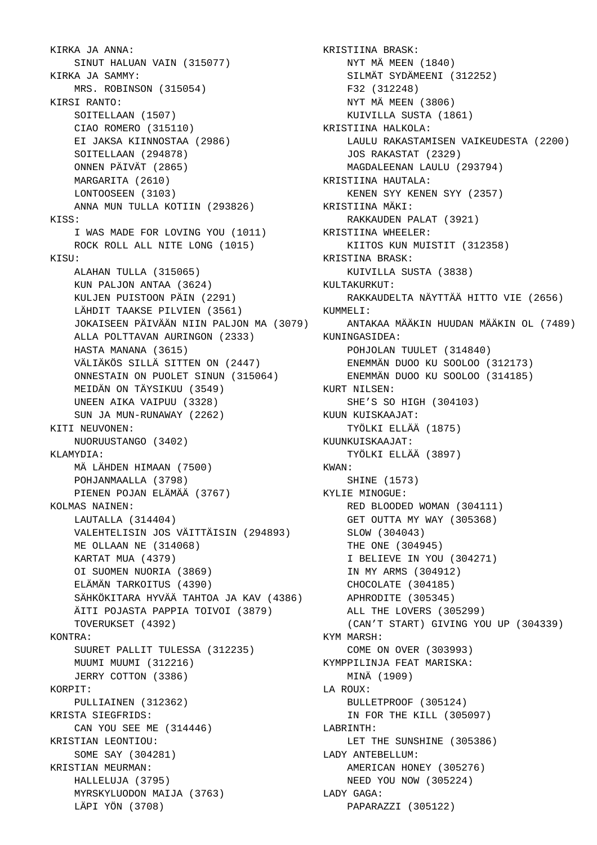KIRKA JA ANNA: SINUT HALUAN VAIN (315077) KIRKA JA SAMMY: MRS. ROBINSON (315054) KIRSI RANTO: SOITELLAAN (1507) CIAO ROMERO (315110) EI JAKSA KIINNOSTAA (2986) SOITELLAAN (294878) ONNEN PÄIVÄT (2865) MARGARITA (2610) LONTOOSEEN (3103) ANNA MUN TULLA KOTIIN (293826) KISS: I WAS MADE FOR LOVING YOU (1011) ROCK ROLL ALL NITE LONG (1015) KISU: ALAHAN TULLA (315065) KUN PALJON ANTAA (3624) KULJEN PUISTOON PÄIN (2291) LÄHDIT TAAKSE PILVIEN (3561) JOKAISEEN PÄIVÄÄN NIIN PALJON MA (3079) ALLA POLTTAVAN AURINGON (2333) HASTA MANANA (3615) VÄLIÄKÖS SILLÄ SITTEN ON (2447) ONNESTAIN ON PUOLET SINUN (315064) MEIDÄN ON TÄYSIKUU (3549) UNEEN AIKA VAIPUU (3328) SUN JA MUN-RUNAWAY (2262) KITI NEUVONEN: NUORUUSTANGO (3402) KLAMYDIA: MÄ LÄHDEN HIMAAN (7500) POHJANMAALLA (3798) PIENEN POJAN ELÄMÄÄ (3767) KOLMAS NAINEN: LAUTALLA (314404) VALEHTELISIN JOS VÄITTÄISIN (294893) ME OLLAAN NE (314068) KARTAT MUA (4379) OI SUOMEN NUORIA (3869) ELÄMÄN TARKOITUS (4390) SÄHKÖKITARA HYVÄÄ TAHTOA JA KAV (4386) ÄITI POJASTA PAPPIA TOIVOI (3879) TOVERUKSET (4392) KONTRA: SUURET PALLIT TULESSA (312235) MUUMI MUUMI (312216) JERRY COTTON (3386) KORPIT: PULLIAINEN (312362) KRISTA SIEGFRIDS: CAN YOU SEE ME (314446) KRISTIAN LEONTIOU: SOME SAY (304281) KRISTIAN MEURMAN: HALLELUJA (3795) MYRSKYLUODON MAIJA (3763) LÄPI YÖN (3708)

 KRISTIINA BRASK: NYT MÄ MEEN (1840) SILMÄT SYDÄMEENI (312252) F32 (312248) NYT MÄ MEEN (3806) KUIVILLA SUSTA (1861) KRISTIINA HALKOLA: LAULU RAKASTAMISEN VAIKEUDESTA (2200) JOS RAKASTAT (2329) MAGDALEENAN LAULU (293794) KRISTIINA HAUTALA: KENEN SYY KENEN SYY (2357) KRISTIINA MÄKI: RAKKAUDEN PALAT (3921) KRISTIINA WHEELER: KIITOS KUN MUISTIT (312358) KRISTINA BRASK: KUIVILLA SUSTA (3838) KULTAKURKUT: RAKKAUDELTA NÄYTTÄÄ HITTO VIE (2656) KUMMELI: ANTAKAA MÄÄKIN HUUDAN MÄÄKIN OL (7489) KUNINGASIDEA: POHJOLAN TUULET (314840) ENEMMÄN DUOO KU SOOLOO (312173) ENEMMÄN DUOO KU SOOLOO (314185) KURT NILSEN: SHE'S SO HIGH (304103) KUUN KUISKAAJAT: TYÖLKI ELLÄÄ (1875) KUUNKUISKAAJAT: TYÖLKI ELLÄÄ (3897) KWAN: SHINE (1573) KYLIE MINOGUE: RED BLOODED WOMAN (304111) GET OUTTA MY WAY (305368) SLOW (304043) THE ONE (304945) I BELIEVE IN YOU (304271) IN MY ARMS (304912) CHOCOLATE (304185) APHRODITE (305345) ALL THE LOVERS (305299) (CAN'T START) GIVING YOU UP (304339) KYM MARSH: COME ON OVER (303993) KYMPPILINJA FEAT MARISKA: MINÄ (1909) LA ROUX: BULLETPROOF (305124) IN FOR THE KILL (305097) LABRINTH: LET THE SUNSHINE (305386) LADY ANTEBELLUM: AMERICAN HONEY (305276) NEED YOU NOW (305224) LADY GAGA: PAPARAZZI (305122)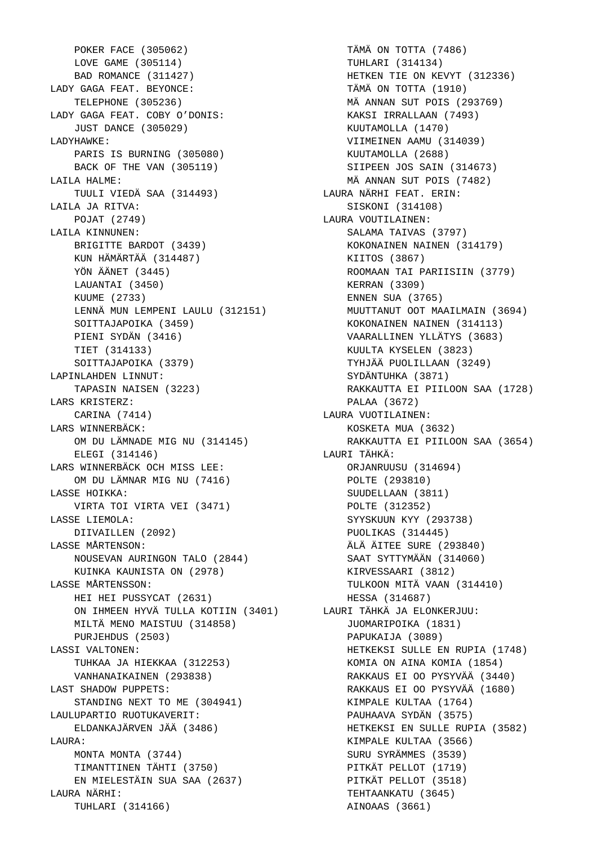POKER FACE (305062) LOVE GAME (305114) BAD ROMANCE (311427) LADY GAGA FEAT. BEYONCE: TELEPHONE (305236) LADY GAGA FEAT. COBY O'DONIS: JUST DANCE (305029) LADYHAWKE: PARIS IS BURNING (305080) BACK OF THE VAN (305119) LAILA HALME: TUULI VIEDÄ SAA (314493) LAILA JA RITVA: POJAT (2749) LAILA KINNUNEN: BRIGITTE BARDOT (3439) KUN HÄMÄRTÄÄ (314487) YÖN ÄÄNET (3445) LAUANTAI (3450) KUUME (2733) LENNÄ MUN LEMPENI LAULU (312151) SOITTAJAPOIKA (3459) PIENI SYDÄN (3416) TIET (314133) SOITTAJAPOIKA (3379) LAPINLAHDEN LINNUT: TAPASIN NAISEN (3223) LARS KRISTERZ: CARINA (7414) LARS WINNERBÄCK: OM DU LÄMNADE MIG NU (314145) ELEGI (314146) LARS WINNERBÄCK OCH MISS LEE: OM DU LÄMNAR MIG NU (7416) LASSE HOIKKA: VIRTA TOI VIRTA VEI (3471) LASSE LIEMOLA: DIIVAILLEN (2092) LASSE MÅRTENSON: NOUSEVAN AURINGON TALO (2844) KUINKA KAUNISTA ON (2978) LASSE MÅRTENSSON: HEI HEI PUSSYCAT (2631) ON IHMEEN HYVÄ TULLA KOTIIN (3401) LAURI TÄHKÄ JA ELONKERJUU: MILTÄ MENO MAISTUU (314858) PURJEHDUS (2503) LASSI VALTONEN: TUHKAA JA HIEKKAA (312253) VANHANAIKAINEN (293838) LAST SHADOW PUPPETS: STANDING NEXT TO ME (304941) LAULUPARTIO RUOTUKAVERIT: ELDANKAJÄRVEN JÄÄ (3486) LAURA: MONTA MONTA (3744) TIMANTTINEN TÄHTI (3750) EN MIELESTÄIN SUA SAA (2637) LAURA NÄRHI: TUHLARI (314166)

 TÄMÄ ON TOTTA (7486) TUHLARI (314134) HETKEN TIE ON KEVYT (312336) TÄMÄ ON TOTTA (1910) MÄ ANNAN SUT POIS (293769) KAKSI IRRALLAAN (7493) KUUTAMOLLA (1470) VIIMEINEN AAMU (314039) KUUTAMOLLA (2688) SIIPEEN JOS SAIN (314673) MÄ ANNAN SUT POIS (7482) LAURA NÄRHI FEAT. ERIN: SISKONI (314108) LAURA VOUTILAINEN: SALAMA TAIVAS (3797) KOKONAINEN NAINEN (314179) KIITOS (3867) ROOMAAN TAI PARIISIIN (3779) KERRAN (3309) ENNEN SUA (3765) MUUTTANUT OOT MAAILMAIN (3694) KOKONAINEN NAINEN (314113) VAARALLINEN YLLÄTYS (3683) KUULTA KYSELEN (3823) TYHJÄÄ PUOLILLAAN (3249) SYDÄNTUHKA (3871) RAKKAUTTA EI PIILOON SAA (1728) PALAA (3672) LAURA VUOTILAINEN: KOSKETA MUA (3632) RAKKAUTTA EI PIILOON SAA (3654) LAURI TÄHKÄ: ORJANRUUSU (314694) POLTE (293810) SUUDELLAAN (3811) POLTE (312352) SYYSKUUN KYY (293738) PUOLIKAS (314445) ÄLÄ ÄITEE SURE (293840) SAAT SYTTYMÄÄN (314060) KIRVESSAARI (3812) TULKOON MITÄ VAAN (314410) HESSA (314687) JUOMARIPOIKA (1831) PAPUKAIJA (3089) HETKEKSI SULLE EN RUPIA (1748) KOMIA ON AINA KOMIA (1854) RAKKAUS EI OO PYSYVÄÄ (3440) RAKKAUS EI OO PYSYVÄÄ (1680) KIMPALE KULTAA (1764) PAUHAAVA SYDÄN (3575) HETKEKSI EN SULLE RUPIA (3582) KIMPALE KULTAA (3566) SURU SYRÄMMES (3539) PITKÄT PELLOT (1719) PITKÄT PELLOT (3518) TEHTAANKATU (3645) AINOAAS (3661)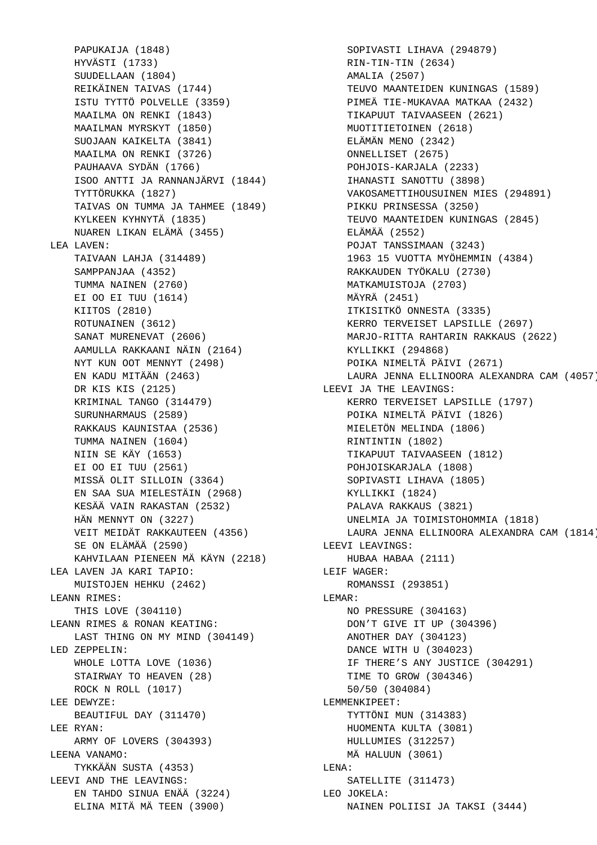PAPUKAIJA (1848) HYVÄSTI (1733) SUUDELLAAN (1804) REIKÄINEN TAIVAS (1744) ISTU TYTTÖ POLVELLE (3359) MAAILMA ON RENKI (1843) MAAILMAN MYRSKYT (1850) SUOJAAN KAIKELTA (3841) MAAILMA ON RENKI (3726) PAUHAAVA SYDÄN (1766) ISOO ANTTI JA RANNANJÄRVI (1844) TYTTÖRUKKA (1827) TAIVAS ON TUMMA JA TAHMEE (1849) KYLKEEN KYHNYTÄ (1835) NUAREN LIKAN ELÄMÄ (3455) LEA LAVEN: TAIVAAN LAHJA (314489) SAMPPANJAA (4352) TUMMA NAINEN (2760) EI OO EI TUU (1614) KIITOS (2810) ROTUNAINEN (3612) SANAT MURENEVAT (2606) AAMULLA RAKKAANI NÄIN (2164) NYT KUN OOT MENNYT (2498) EN KADU MITÄÄN (2463) DR KIS KIS (2125) KRIMINAL TANGO (314479) SURUNHARMAUS (2589) RAKKAUS KAUNISTAA (2536) TUMMA NAINEN (1604) NIIN SE KÄY (1653) EI OO EI TUU (2561) MISSÄ OLIT SILLOIN (3364) EN SAA SUA MIELESTÄIN (2968) KESÄÄ VAIN RAKASTAN (2532) HÄN MENNYT ON (3227) VEIT MEIDÄT RAKKAUTEEN (4356) SE ON ELÄMÄÄ (2590) KAHVILAAN PIENEEN MÄ KÄYN (2218) LEA LAVEN JA KARI TAPIO: MUISTOJEN HEHKU (2462) LEANN RIMES: THIS LOVE (304110) LEANN RIMES & RONAN KEATING: LAST THING ON MY MIND (304149) LED ZEPPELIN: WHOLE LOTTA LOVE (1036) STAIRWAY TO HEAVEN (28) ROCK N ROLL (1017) LEE DEWYZE: BEAUTIFUL DAY (311470) LEE RYAN: ARMY OF LOVERS (304393) LEENA VANAMO: TYKKÄÄN SUSTA (4353) LEEVI AND THE LEAVINGS: EN TAHDO SINUA ENÄÄ (3224) ELINA MITÄ MÄ TEEN (3900)

 SOPIVASTI LIHAVA (294879) RIN-TIN-TIN (2634) AMALIA (2507) TEUVO MAANTEIDEN KUNINGAS (1589) PIMEÄ TIE-MUKAVAA MATKAA (2432) TIKAPUUT TAIVAASEEN (2621) MUOTITIETOINEN (2618) ELÄMÄN MENO (2342) ONNELLISET (2675) POHJOIS-KARJALA (2233) IHANASTI SANOTTU (3898) VAKOSAMETTIHOUSUINEN MIES (294891) PIKKU PRINSESSA (3250) TEUVO MAANTEIDEN KUNINGAS (2845) ELÄMÄÄ (2552) POJAT TANSSIMAAN (3243) 1963 15 VUOTTA MYÖHEMMIN (4384) RAKKAUDEN TYÖKALU (2730) MATKAMUISTOJA (2703) MÄYRÄ (2451) ITKISITKÖ ONNESTA (3335) KERRO TERVEISET LAPSILLE (2697) MARJO-RITTA RAHTARIN RAKKAUS (2622) KYLLIKKI (294868) POIKA NIMELTÄ PÄIVI (2671) LAURA JENNA ELLINOORA ALEXANDRA CAM (4057) LEEVI JA THE LEAVINGS: KERRO TERVEISET LAPSILLE (1797) POIKA NIMELTÄ PÄIVI (1826) MIELETÖN MELINDA (1806) RINTINTIN (1802) TIKAPUUT TAIVAASEEN (1812) POHJOISKARJALA (1808) SOPIVASTI LIHAVA (1805) KYLLIKKI (1824) PALAVA RAKKAUS (3821) UNELMIA JA TOIMISTOHOMMIA (1818) LAURA JENNA ELLINOORA ALEXANDRA CAM (1814) LEEVI LEAVINGS: HUBAA HABAA (2111) LEIF WAGER: ROMANSSI (293851) LEMAR: NO PRESSURE (304163) DON'T GIVE IT UP (304396) ANOTHER DAY (304123) DANCE WITH U (304023) IF THERE'S ANY JUSTICE (304291) TIME TO GROW (304346) 50/50 (304084) LEMMENKIPEET: TYTTÖNI MUN (314383) HUOMENTA KULTA (3081) HULLUMIES (312257) MÄ HALUUN (3061) LENA: SATELLITE (311473) LEO JOKELA: NAINEN POLIISI JA TAKSI (3444)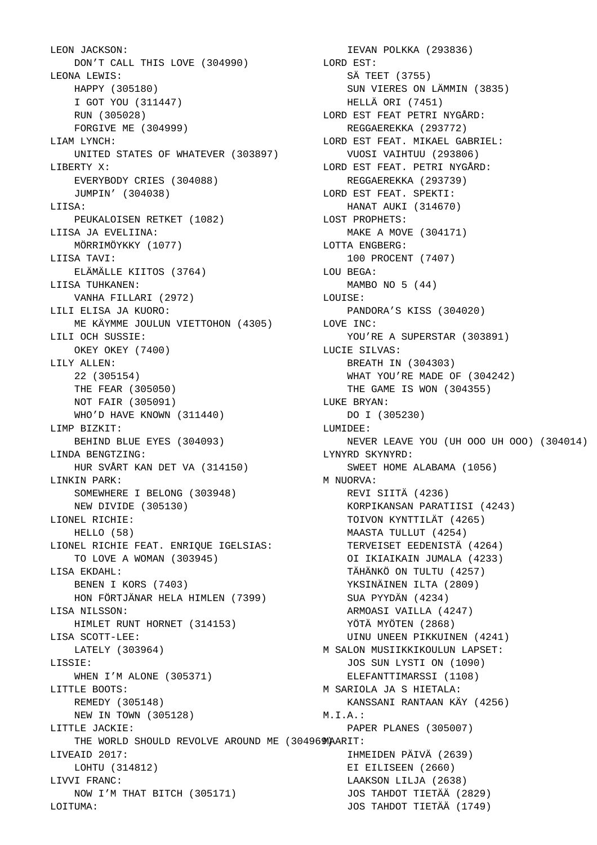LEON JACKSON: DON'T CALL THIS LOVE (304990) LEONA LEWIS: HAPPY (305180) I GOT YOU (311447) RUN (305028) FORGIVE ME (304999) LIAM LYNCH: UNITED STATES OF WHATEVER (303897) LIBERTY X: EVERYBODY CRIES (304088) JUMPIN' (304038) LIISA: PEUKALOISEN RETKET (1082) LIISA JA EVELIINA: MÖRRIMÖYKKY (1077) LIISA TAVI: ELÄMÄLLE KIITOS (3764) LIISA TUHKANEN: VANHA FILLARI (2972) LILI ELISA JA KUORO: ME KÄYMME JOULUN VIETTOHON (4305) LILI OCH SUSSIE: OKEY OKEY (7400) LILY ALLEN: 22 (305154) THE FEAR (305050) NOT FAIR (305091) WHO'D HAVE KNOWN (311440) LIMP BIZKIT: BEHIND BLUE EYES (304093) LINDA BENGTZING: HUR SVÅRT KAN DET VA (314150) LINKIN PARK: SOMEWHERE I BELONG (303948) NEW DIVIDE (305130) LIONEL RICHIE: HELLO (58) LIONEL RICHIE FEAT. ENRIQUE IGELSIAS: TO LOVE A WOMAN (303945) LISA EKDAHL: BENEN I KORS (7403) HON FÖRTJÄNAR HELA HIMLEN (7399) LISA NILSSON: HIMLET RUNT HORNET (314153) LISA SCOTT-LEE: LATELY (303964) LISSIE: WHEN I'M ALONE (305371) LITTLE BOOTS: REMEDY (305148) NEW IN TOWN (305128) LITTLE JACKIE: THE WORLD SHOULD REVOLVE AROUND ME (304969 MAARIT: LIVEAID 2017: LOHTU (314812) LIVVI FRANC: NOW I'M THAT BITCH (305171) LOITUMA:

 IEVAN POLKKA (293836) LORD EST: SÄ TEET (3755) SUN VIERES ON LÄMMIN (3835) HELLÄ ORI (7451) LORD EST FEAT PETRI NYGÅRD: REGGAEREKKA (293772) LORD EST FEAT. MIKAEL GABRIEL: VUOSI VAIHTUU (293806) LORD EST FEAT. PETRI NYGÅRD: REGGAEREKKA (293739) LORD EST FEAT. SPEKTI: HANAT AUKI (314670) LOST PROPHETS: MAKE A MOVE (304171) LOTTA ENGBERG: 100 PROCENT (7407) LOU BEGA: MAMBO NO 5 (44) LOUISE: PANDORA'S KISS (304020) LOVE INC: YOU'RE A SUPERSTAR (303891) LUCIE SILVAS: BREATH IN (304303) WHAT YOU'RE MADE OF (304242) THE GAME IS WON (304355) LUKE BRYAN: DO I (305230) LUMIDEE: NEVER LEAVE YOU (UH OOO UH OOO) (304014) LYNYRD SKYNYRD: SWEET HOME ALABAMA (1056) M NUORVA: REVI SIITÄ (4236) KORPIKANSAN PARATIISI (4243) TOIVON KYNTTILÄT (4265) MAASTA TULLUT (4254) TERVEISET EEDENISTÄ (4264) OI IKIAIKAIN JUMALA (4233) TÄHÄNKÖ ON TULTU (4257) YKSINÄINEN ILTA (2809) SUA PYYDÄN (4234) ARMOASI VAILLA (4247) YÖTÄ MYÖTEN (2868) UINU UNEEN PIKKUINEN (4241) M SALON MUSIIKKIKOULUN LAPSET: JOS SUN LYSTI ON (1090) ELEFANTTIMARSSI (1108) M SARIOLA JA S HIETALA: KANSSANI RANTAAN KÄY (4256) M.I.A.: PAPER PLANES (305007) IHMEIDEN PÄIVÄ (2639) EI EILISEEN (2660) LAAKSON LILJA (2638) JOS TAHDOT TIETÄÄ (2829) JOS TAHDOT TIETÄÄ (1749)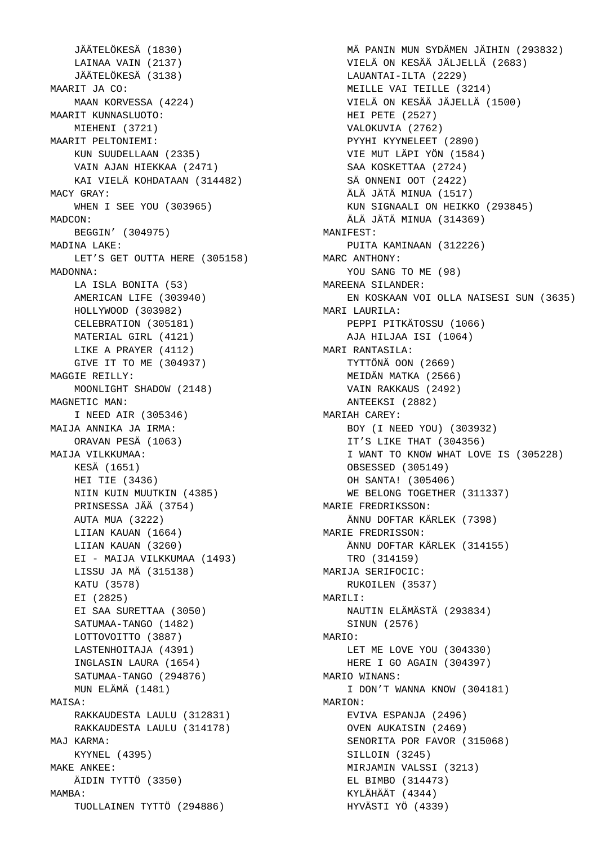JÄÄTELÖKESÄ (1830) LAINAA VAIN (2137) JÄÄTELÖKESÄ (3138) MAARIT JA CO: MAAN KORVESSA (4224) MAARIT KUNNASLUOTO: MIEHENI (3721) MAARIT PELTONIEMI: KUN SUUDELLAAN (2335) VAIN AJAN HIEKKAA (2471) KAI VIELÄ KOHDATAAN (314482) MACY GRAY: WHEN I SEE YOU (303965) MADCON: BEGGIN' (304975) MADINA LAKE: LET'S GET OUTTA HERE (305158) MADONNA: LA ISLA BONITA (53) AMERICAN LIFE (303940) HOLLYWOOD (303982) CELEBRATION (305181) MATERIAL GIRL (4121) LIKE A PRAYER (4112) GIVE IT TO ME (304937) MAGGIE REILLY: MOONLIGHT SHADOW (2148) MAGNETIC MAN: I NEED AIR (305346) MAIJA ANNIKA JA IRMA: ORAVAN PESÄ (1063) MAIJA VILKKUMAA: KESÄ (1651) HEI TIE (3436) NIIN KUIN MUUTKIN (4385) PRINSESSA JÄÄ (3754) AUTA MUA (3222) LIIAN KAUAN (1664) LIIAN KAUAN (3260) EI - MAIJA VILKKUMAA (1493) LISSU JA MÄ (315138) KATU (3578) EI (2825) EI SAA SURETTAA (3050) SATUMAA-TANGO (1482) LOTTOVOITTO (3887) LASTENHOITAJA (4391) INGLASIN LAURA (1654) SATUMAA-TANGO (294876) MUN ELÄMÄ (1481) MATSA: RAKKAUDESTA LAULU (312831) RAKKAUDESTA LAULU (314178) MAJ KARMA: KYYNEL (4395) MAKE ANKEE: ÄIDIN TYTTÖ (3350) MAMBA: TUOLLAINEN TYTTÖ (294886)

 MÄ PANIN MUN SYDÄMEN JÄIHIN (293832) VIELÄ ON KESÄÄ JÄLJELLÄ (2683) LAUANTAI-ILTA (2229) MEILLE VAI TEILLE (3214) VIELÄ ON KESÄÄ JÄJELLÄ (1500) HEI PETE (2527) VALOKUVIA (2762) PYYHI KYYNELEET (2890) VIE MUT LÄPI YÖN (1584) SAA KOSKETTAA (2724) SÄ ONNENI OOT (2422) ÄLÄ JÄTÄ MINUA (1517) KUN SIGNAALI ON HEIKKO (293845) ÄLÄ JÄTÄ MINUA (314369) MANIFEST: PUITA KAMINAAN (312226) MARC ANTHONY: YOU SANG TO ME (98) MAREENA SILANDER: EN KOSKAAN VOI OLLA NAISESI SUN (3635) MARI LAURILA: PEPPI PITKÄTOSSU (1066) AJA HILJAA ISI (1064) MARI RANTASILA: TYTTÖNÄ OON (2669) MEIDÄN MATKA (2566) VAIN RAKKAUS (2492) ANTEEKSI (2882) MARIAH CAREY: BOY (I NEED YOU) (303932) IT'S LIKE THAT (304356) I WANT TO KNOW WHAT LOVE IS (305228) OBSESSED (305149) OH SANTA! (305406) WE BELONG TOGETHER (311337) MARIE FREDRIKSSON: ÄNNU DOFTAR KÄRLEK (7398) MARIE FREDRISSON: ÄNNU DOFTAR KÄRLEK (314155) TRO (314159) MARIJA SERIFOCIC: RUKOILEN (3537) MARTI.T: NAUTIN ELÄMÄSTÄ (293834) SINUN (2576) MARIO: LET ME LOVE YOU (304330) HERE I GO AGAIN (304397) MARIO WINANS: I DON'T WANNA KNOW (304181) MARTON: EVIVA ESPANJA (2496) OVEN AUKAISIN (2469) SENORITA POR FAVOR (315068) SILLOIN (3245) MIRJAMIN VALSSI (3213) EL BIMBO (314473) KYLÄHÄÄT (4344) HYVÄSTI YÖ (4339)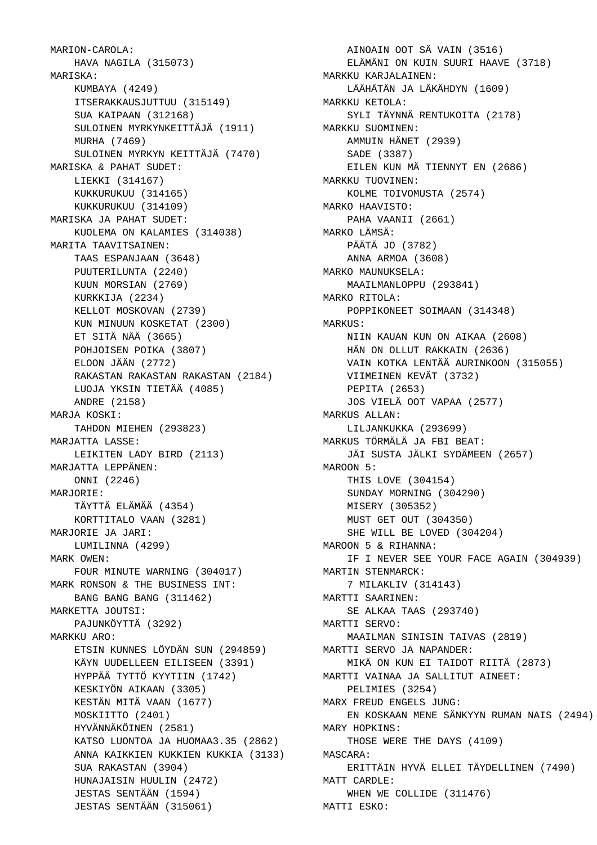MARION-CAROLA: HAVA NAGILA (315073) MARISKA: KUMBAYA (4249) ITSERAKKAUSJUTTUU (315149) SUA KAIPAAN (312168) SULOINEN MYRKYNKEITTÄJÄ (1911) MURHA (7469) SULOINEN MYRKYN KEITTÄJÄ (7470) MARISKA & PAHAT SUDET: LIEKKI (314167) KUKKURUKUU (314165) KUKKURUKUU (314109) MARISKA JA PAHAT SUDET: KUOLEMA ON KALAMIES (314038) MARITA TAAVITSAINEN: TAAS ESPANJAAN (3648) PUUTERILUNTA (2240) KUUN MORSIAN (2769) KURKKIJA (2234) KELLOT MOSKOVAN (2739) KUN MINUUN KOSKETAT (2300) ET SITÄ NÄÄ (3665) POHJOISEN POIKA (3807) ELOON JÄÄN (2772) RAKASTAN RAKASTAN RAKASTAN (2184) LUOJA YKSIN TIETÄÄ (4085) ANDRE (2158) MARJA KOSKI: TAHDON MIEHEN (293823) MARJATTA LASSE: LEIKITEN LADY BIRD (2113) MARJATTA LEPPÄNEN: ONNI (2246) MARJORIE: TÄYTTÄ ELÄMÄÄ (4354) KORTTITALO VAAN (3281) MARJORIE JA JARI: LUMILINNA (4299) MARK OWEN: FOUR MINUTE WARNING (304017) MARK RONSON & THE BUSINESS INT: BANG BANG BANG (311462) MARKETTA JOUTSI: PAJUNKÖYTTÄ (3292) MARKKU ARO: ETSIN KUNNES LÖYDÄN SUN (294859) KÄYN UUDELLEEN EILISEEN (3391) HYPPÄÄ TYTTÖ KYYTIIN (1742) KESKIYÖN AIKAAN (3305) KESTÄN MITÄ VAAN (1677) MOSKIITTO (2401) HYVÄNNÄKÖINEN (2581) KATSO LUONTOA JA HUOMAA3.35 (2862) ANNA KAIKKIEN KUKKIEN KUKKIA (3133) SUA RAKASTAN (3904) HUNAJAISIN HUULIN (2472) JESTAS SENTÄÄN (1594) JESTAS SENTÄÄN (315061)

 AINOAIN OOT SÄ VAIN (3516) ELÄMÄNI ON KUIN SUURI HAAVE (3718) MARKKU KARJALAINEN: LÄÄHÄTÄN JA LÄKÄHDYN (1609) MARKKU KETOLA: SYLI TÄYNNÄ RENTUKOITA (2178) MARKKU SUOMINEN: AMMUIN HÄNET (2939) SADE (3387) EILEN KUN MÄ TIENNYT EN (2686) MARKKU TUOVINEN: KOLME TOIVOMUSTA (2574) MARKO HAAVISTO: PAHA VAANII (2661) MARKO LÄMSÄ: PÄÄTÄ JO (3782) ANNA ARMOA (3608) MARKO MAUNUKSELA: MAAILMANLOPPU (293841) MARKO RITOLA: POPPIKONEET SOIMAAN (314348) MARKUS: NIIN KAUAN KUN ON AIKAA (2608) HÄN ON OLLUT RAKKAIN (2636) VAIN KOTKA LENTÄÄ AURINKOON (315055) VIIMEINEN KEVÄT (3732) PEPITA (2653) JOS VIELÄ OOT VAPAA (2577) MARKUS ALLAN: LILJANKUKKA (293699) MARKUS TÖRMÄLÄ JA FBI BEAT: JÄI SUSTA JÄLKI SYDÄMEEN (2657) MAROON 5: THIS LOVE (304154) SUNDAY MORNING (304290) MISERY (305352) MUST GET OUT (304350) SHE WILL BE LOVED (304204) MAROON 5 & RIHANNA: IF I NEVER SEE YOUR FACE AGAIN (304939) MARTIN STENMARCK: 7 MILAKLIV (314143) MARTTI SAARINEN: SE ALKAA TAAS (293740) MARTTI SERVO: MAAILMAN SINISIN TAIVAS (2819) MARTTI SERVO JA NAPANDER: MIKÄ ON KUN EI TAIDOT RIITÄ (2873) MARTTI VAINAA JA SALLITUT AINEET: PELIMIES (3254) MARX FREUD ENGELS JUNG: EN KOSKAAN MENE SÄNKYYN RUMAN NAIS (2494) MARY HOPKINS: THOSE WERE THE DAYS (4109) MASCARA: ERITTÄIN HYVÄ ELLEI TÄYDELLINEN (7490) MATT CARDLE: WHEN WE COLLIDE (311476) MATTI ESKO: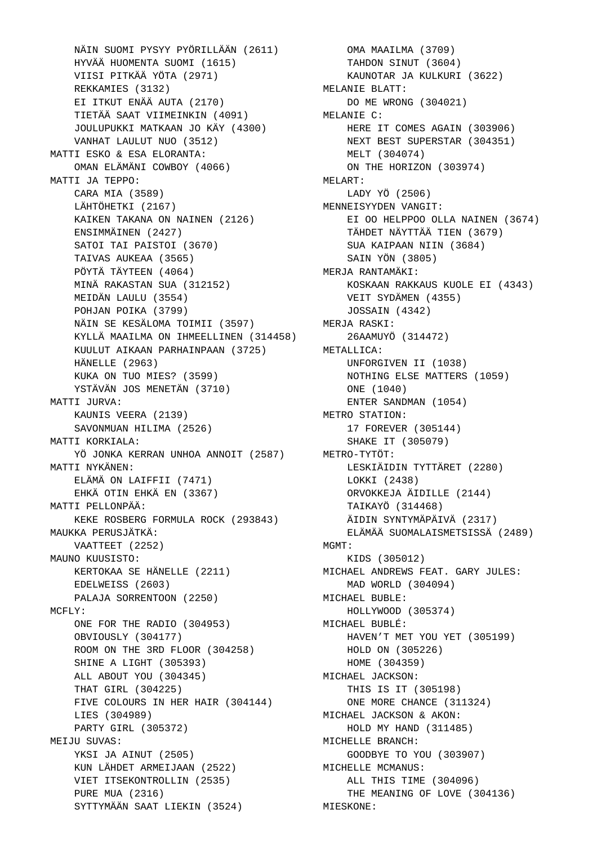NÄIN SUOMI PYSYY PYÖRILLÄÄN (2611) OMA MAAILMA (3709) HYVÄÄ HUOMENTA SUOMI (1615) VIISI PITKÄÄ YÖTA (2971) REKKAMIES (3132) EI ITKUT ENÄÄ AUTA (2170) TIETÄÄ SAAT VIIMEINKIN (4091) JOULUPUKKI MATKAAN JO KÄY (4300) VANHAT LAULUT NUO (3512) MATTI ESKO & ESA ELORANTA: OMAN ELÄMÄNI COWBOY (4066) MATTI JA TEPPO: CARA MIA (3589) LÄHTÖHETKI (2167) KAIKEN TAKANA ON NAINEN (2126) ENSIMMÄINEN (2427) SATOI TAI PAISTOI (3670) TAIVAS AUKEAA (3565) PÖYTÄ TÄYTEEN (4064) MINÄ RAKASTAN SUA (312152) MEIDÄN LAULU (3554) POHJAN POIKA (3799) NÄIN SE KESÄLOMA TOIMII (3597) KYLLÄ MAAILMA ON IHMEELLINEN (314458) KUULUT AIKAAN PARHAINPAAN (3725) HÄNELLE (2963) KUKA ON TUO MIES? (3599) YSTÄVÄN JOS MENETÄN (3710) MATTI JURVA: KAUNIS VEERA (2139) SAVONMUAN HILIMA (2526) MATTI KORKIALA: YÖ JONKA KERRAN UNHOA ANNOIT (2587) METRO-TYTÖT: MATTI NYKÄNEN: ELÄMÄ ON LAIFFII (7471) EHKÄ OTIN EHKÄ EN (3367) MATTI PELLONPÄÄ: KEKE ROSBERG FORMULA ROCK (293843) MAUKKA PERUSJÄTKÄ: VAATTEET (2252) MAUNO KUUSISTO: KERTOKAA SE HÄNELLE (2211) EDELWEISS (2603) PALAJA SORRENTOON (2250) MCFLY: ONE FOR THE RADIO (304953) OBVIOUSLY (304177) ROOM ON THE 3RD FLOOR (304258) SHINE A LIGHT (305393) ALL ABOUT YOU (304345) THAT GIRL (304225) FIVE COLOURS IN HER HAIR (304144) LIES (304989) PARTY GIRL (305372) MEIJU SUVAS: YKSI JA AINUT (2505) KUN LÄHDET ARMEIJAAN (2522) VIET ITSEKONTROLLIN (2535) PURE MUA (2316) SYTTYMÄÄN SAAT LIEKIN (3524)

 TAHDON SINUT (3604) KAUNOTAR JA KULKURI (3622) MELANIE BLATT: DO ME WRONG (304021) MELANIE C: HERE IT COMES AGAIN (303906) NEXT BEST SUPERSTAR (304351) MELT (304074) ON THE HORIZON (303974) MELART: LADY YÖ (2506) MENNEISYYDEN VANGIT: EI OO HELPPOO OLLA NAINEN (3674) TÄHDET NÄYTTÄÄ TIEN (3679) SUA KAIPAAN NIIN (3684) SAIN YÖN (3805) MERJA RANTAMÄKI: KOSKAAN RAKKAUS KUOLE EI (4343) VEIT SYDÄMEN (4355) JOSSAIN (4342) MERJA RASKI: 26AAMUYÖ (314472) METALLICA: UNFORGIVEN II (1038) NOTHING ELSE MATTERS (1059) ONE (1040) ENTER SANDMAN (1054) METRO STATION: 17 FOREVER (305144) SHAKE IT (305079) LESKIÄIDIN TYTTÄRET (2280) LOKKI (2438) ORVOKKEJA ÄIDILLE (2144) TAIKAYÖ (314468) ÄIDIN SYNTYMÄPÄIVÄ (2317) ELÄMÄÄ SUOMALAISMETSISSÄ (2489) MGMT: KIDS (305012) MICHAEL ANDREWS FEAT. GARY JULES: MAD WORLD (304094) MICHAEL BUBLE: HOLLYWOOD (305374) MICHAEL BUBLÉ: HAVEN'T MET YOU YET (305199) HOLD ON (305226) HOME (304359) MICHAEL JACKSON: THIS IS IT (305198) ONE MORE CHANCE (311324) MICHAEL JACKSON & AKON: HOLD MY HAND (311485) MICHELLE BRANCH: GOODBYE TO YOU (303907) MICHELLE MCMANUS: ALL THIS TIME (304096) THE MEANING OF LOVE (304136) MIESKONE: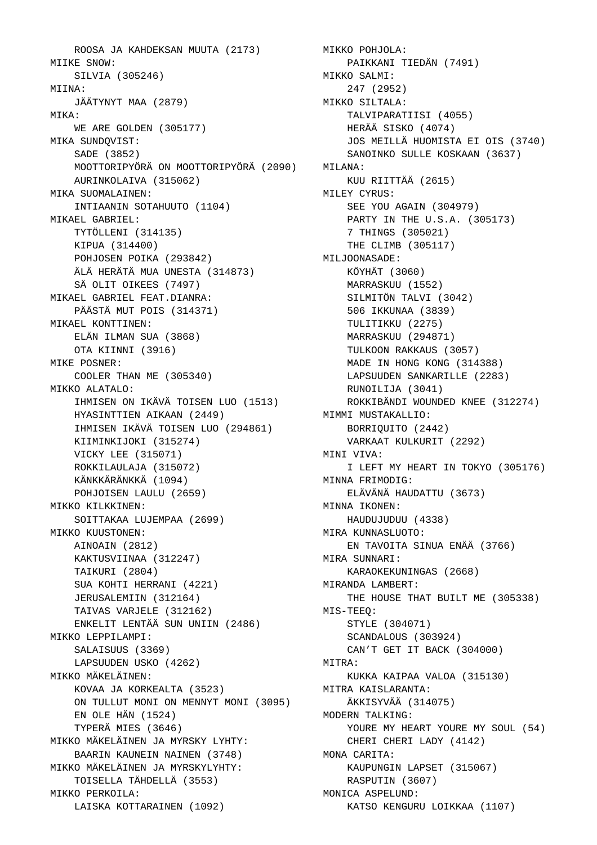ROOSA JA KAHDEKSAN MUUTA (2173) MITKE SNOW: SILVIA (305246) MIINA: JÄÄTYNYT MAA (2879) MIKA: WE ARE GOLDEN (305177) MIKA SUNDQVIST: SADE (3852) MOOTTORIPYÖRÄ ON MOOTTORIPYÖRÄ (2090) AURINKOLAIVA (315062) MIKA SUOMALAINEN: INTIAANIN SOTAHUUTO (1104) MIKAEL GABRIEL: TYTÖLLENI (314135) KIPUA (314400) POHJOSEN POIKA (293842) ÄLÄ HERÄTÄ MUA UNESTA (314873) SÄ OLIT OIKEES (7497) MIKAEL GABRIEL FEAT.DIANRA: PÄÄSTÄ MUT POIS (314371) MIKAEL KONTTINEN: ELÄN ILMAN SUA (3868) OTA KIINNI (3916) MIKE POSNER: COOLER THAN ME (305340) MIKKO ALATALO: IHMISEN ON IKÄVÄ TOISEN LUO (1513) HYASINTTIEN AIKAAN (2449) IHMISEN IKÄVÄ TOISEN LUO (294861) KIIMINKIJOKI (315274) VICKY LEE (315071) ROKKILAULAJA (315072) KÄNKKÄRÄNKKÄ (1094) POHJOISEN LAULU (2659) MIKKO KILKKINEN: SOITTAKAA LUJEMPAA (2699) MIKKO KUUSTONEN: AINOAIN (2812) KAKTUSVIINAA (312247) TAIKURI (2804) SUA KOHTI HERRANI (4221) JERUSALEMIIN (312164) TAIVAS VARJELE (312162) ENKELIT LENTÄÄ SUN UNIIN (2486) MIKKO LEPPILAMPI: SALAISUUS (3369) LAPSUUDEN USKO (4262) MIKKO MÄKELÄINEN: KOVAA JA KORKEALTA (3523) ON TULLUT MONI ON MENNYT MONI (3095) EN OLE HÄN (1524) TYPERÄ MIES (3646) MIKKO MÄKELÄINEN JA MYRSKY LYHTY: BAARIN KAUNEIN NAINEN (3748) MIKKO MÄKELÄINEN JA MYRSKYLYHTY: TOISELLA TÄHDELLÄ (3553) MIKKO PERKOILA: LAISKA KOTTARAINEN (1092)

 MIKKO POHJOLA: PAIKKANI TIEDÄN (7491) MIKKO SALMI: 247 (2952) MIKKO SILTALA: TALVIPARATIISI (4055) HERÄÄ SISKO (4074) JOS MEILLÄ HUOMISTA EI OIS (3740) SANOINKO SULLE KOSKAAN (3637) MILANA: KUU RIITTÄÄ (2615) MILEY CYRUS: SEE YOU AGAIN (304979) PARTY IN THE U.S.A. (305173) 7 THINGS (305021) THE CLIMB (305117) MILJOONASADE: KÖYHÄT (3060) MARRASKUU (1552) SILMITÖN TALVI (3042) 506 IKKUNAA (3839) TULITIKKU (2275) MARRASKUU (294871) TULKOON RAKKAUS (3057) MADE IN HONG KONG (314388) LAPSUUDEN SANKARILLE (2283) RUNOILIJA (3041) ROKKIBÄNDI WOUNDED KNEE (312274) MIMMI MUSTAKALLIO: BORRIQUITO (2442) VARKAAT KULKURIT (2292) MINI VIVA: I LEFT MY HEART IN TOKYO (305176) MINNA FRIMODIG: ELÄVÄNÄ HAUDATTU (3673) MINNA IKONEN: HAUDUJUDUU (4338) MIRA KUNNASLUOTO: EN TAVOITA SINUA ENÄÄ (3766) MIRA SUNNARI: KARAOKEKUNINGAS (2668) MIRANDA LAMBERT: THE HOUSE THAT BUILT ME (305338) MIS-TEEQ: STYLE (304071) SCANDALOUS (303924) CAN'T GET IT BACK (304000) MITRA: KUKKA KAIPAA VALOA (315130) MITRA KAISLARANTA: ÄKKISYVÄÄ (314075) MODERN TALKING: YOURE MY HEART YOURE MY SOUL (54) CHERI CHERI LADY (4142) MONA CARITA: KAUPUNGIN LAPSET (315067) RASPUTIN (3607) MONICA ASPELUND: KATSO KENGURU LOIKKAA (1107)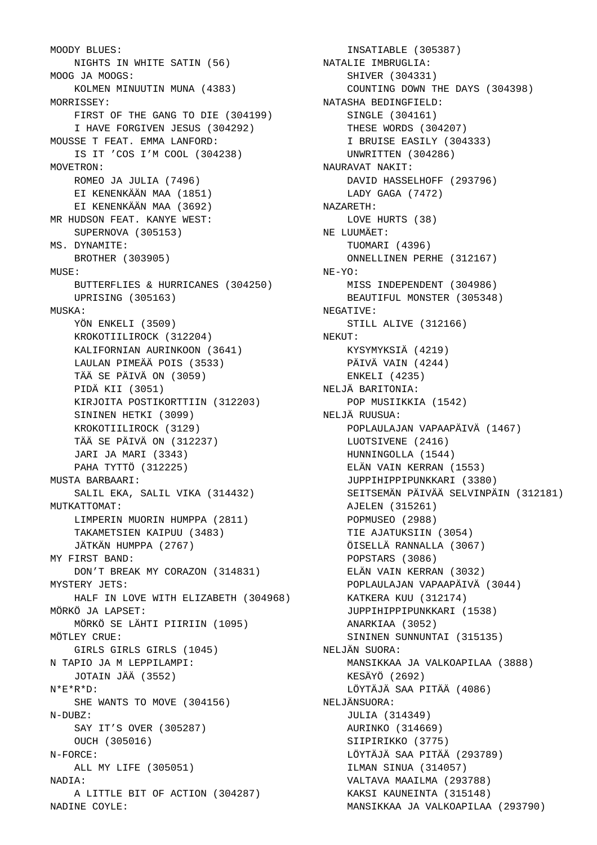```
 MOODY BLUES: 
    NIGHTS IN WHITE SATIN (56)
 MOOG JA MOOGS: 
   KOLMEN MINUUTIN MUNA (4383)
 MORRISSEY: 
   FIRST OF THE GANG TO DIE (304199)
    I HAVE FORGIVEN JESUS (304292)
 MOUSSE T FEAT. EMMA LANFORD: 
   IS IT 'COS I'M COOL (304238)
 MOVETRON: 
   ROMEO JA JULIA (7496)
   EI KENENKÄÄN MAA (1851)
   EI KENENKÄÄN MAA (3692)
 MR HUDSON FEAT. KANYE WEST: 
   SUPERNOVA (305153)
 MS. DYNAMITE: 
   BROTHER (303905)
MILSE:
   BUTTERFLIES & HURRICANES (304250)
   UPRISING (305163)
 MUSKA: 
   YÖN ENKELI (3509)
    KROKOTIILIROCK (312204)
    KALIFORNIAN AURINKOON (3641)
    LAULAN PIMEÄÄ POIS (3533)
    TÄÄ SE PÄIVÄ ON (3059)
    PIDÄ KII (3051)
   KIRJOITA POSTIKORTTIIN (312203)
   SININEN HETKI (3099)
    KROKOTIILIROCK (3129)
   TÄÄ SE PÄIVÄ ON (312237)
   JARI JA MARI (3343)
    PAHA TYTTÖ (312225)
 MUSTA BARBAARI: 
   SALIL EKA, SALIL VIKA (314432)
MUTKATTOMAT:
   LIMPERIN MUORIN HUMPPA (2811)
   TAKAMETSIEN KAIPUU (3483)
    JÄTKÄN HUMPPA (2767)
 MY FIRST BAND: 
   DON'T BREAK MY CORAZON (314831)
 MYSTERY JETS: 
    HALF IN LOVE WITH ELIZABETH (304968)
 MÖRKÖ JA LAPSET: 
   MÖRKÖ SE LÄHTI PIIRIIN (1095)
 MÖTLEY CRUE: 
   GIRLS GIRLS GIRLS (1045)
 N TAPIO JA M LEPPILAMPI: 
   JOTAIN JÄÄ (3552)
 N*E*R*D: 
   SHE WANTS TO MOVE (304156)
 N-DUBZ: 
   SAY IT'S OVER (305287)
   OUCH (305016)
 N-FORCE: 
    ALL MY LIFE (305051)
 NADIA: 
    A LITTLE BIT OF ACTION (304287)
 NADINE COYLE:
```

```
 INSATIABLE (305387)
  NATALIE IMBRUGLIA: 
     SHIVER (304331)
     COUNTING DOWN THE DAYS (304398)
  NATASHA BEDINGFIELD: 
    SINGLE (304161)
     THESE WORDS (304207)
     I BRUISE EASILY (304333)
     UNWRITTEN (304286)
 NAURAVAT NAKIT: 
    DAVID HASSELHOFF (293796)
    LADY GAGA (7472)
 NAZARETH: 
     LOVE HURTS (38)
  NE LUUMÄET: 
     TUOMARI (4396)
     ONNELLINEN PERHE (312167)
  NE-YO: 
    MISS INDEPENDENT (304986)
     BEAUTIFUL MONSTER (305348)
  NEGATIVE: 
     STILL ALIVE (312166)
 NEKUT: 
    KYSYMYKSIÄ (4219)
    PÄIVÄ VAIN (4244)
     ENKELI (4235)
  NELJÄ BARITONIA: 
     POP MUSIIKKIA (1542)
 NELJÄ RUUSUA: 
     POPLAULAJAN VAPAAPÄIVÄ (1467)
    LUOTSIVENE (2416)
     HUNNINGOLLA (1544)
     ELÄN VAIN KERRAN (1553)
     JUPPIHIPPIPUNKKARI (3380)
     SEITSEMÄN PÄIVÄÄ SELVINPÄIN (312181)
     AJELEN (315261)
    POPMUSEO (2988)
     TIE AJATUKSIIN (3054)
     ÖISELLÄ RANNALLA (3067)
     POPSTARS (3086)
    ELÄN VAIN KERRAN (3032)
     POPLAULAJAN VAPAAPÄIVÄ (3044)
     KATKERA KUU (312174)
     JUPPIHIPPIPUNKKARI (1538)
     ANARKIAA (3052)
     SININEN SUNNUNTAI (315135)
 NELJÄN SUORA: 
     MANSIKKAA JA VALKOAPILAA (3888)
     KESÄYÖ (2692)
     LÖYTÄJÄ SAA PITÄÄ (4086)
 NELJÄNSUORA: 
     JULIA (314349)
     AURINKO (314669)
     SIIPIRIKKO (3775)
     LÖYTÄJÄ SAA PITÄÄ (293789)
     ILMAN SINUA (314057)
     VALTAVA MAAILMA (293788)
     KAKSI KAUNEINTA (315148)
     MANSIKKAA JA VALKOAPILAA (293790)
```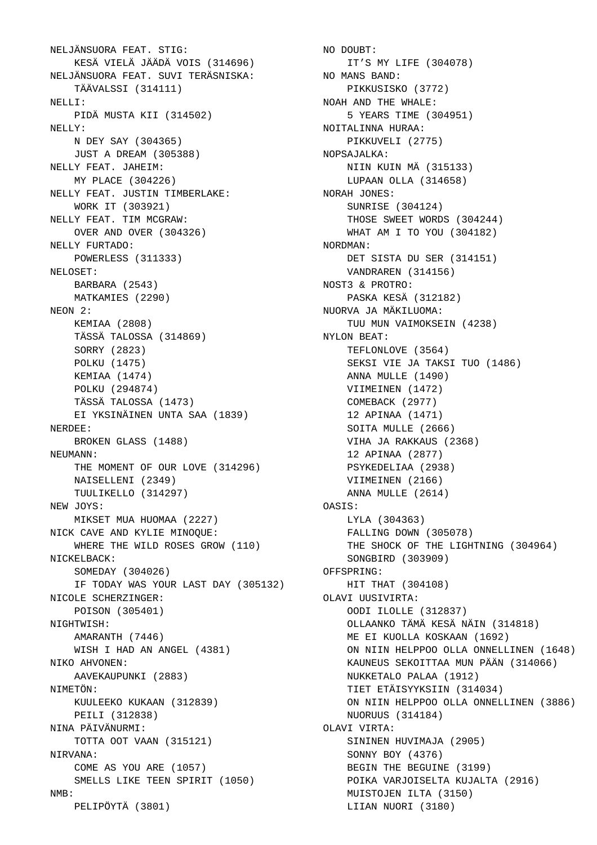```
 NELJÄNSUORA FEAT. STIG: 
    KESÄ VIELÄ JÄÄDÄ VOIS (314696)
 NELJÄNSUORA FEAT. SUVI TERÄSNISKA: 
   TÄÄVALSSI (314111)
 NELLI: 
   PIDÄ MUSTA KII (314502)
 NELLY: 
   N DEY SAY (304365)
   JUST A DREAM (305388)
 NELLY FEAT. JAHEIM: 
   MY PLACE (304226)
 NELLY FEAT. JUSTIN TIMBERLAKE: 
   WORK IT (303921)
 NELLY FEAT. TIM MCGRAW: 
   OVER AND OVER (304326)
 NELLY FURTADO: 
   POWERLESS (311333)
 NELOSET: 
   BARBARA (2543)
   MATKAMIES (2290)
 NEON 2: 
   KEMIAA (2808)
   TÄSSÄ TALOSSA (314869)
    SORRY (2823)
   POLKU (1475)
   KEMIAA (1474)
    POLKU (294874)
   TÄSSÄ TALOSSA (1473)
   EI YKSINÄINEN UNTA SAA (1839)
 NERDEE: 
   BROKEN GLASS (1488)
NEIMANN:
    THE MOMENT OF OUR LOVE (314296)
    NAISELLENI (2349)
   TUULIKELLO (314297)
 NEW JOYS: 
    MIKSET MUA HUOMAA (2227)
 NICK CAVE AND KYLIE MINOQUE: 
    WHERE THE WILD ROSES GROW (110)
 NICKELBACK: 
   SOMEDAY (304026)
    IF TODAY WAS YOUR LAST DAY (305132)
 NICOLE SCHERZINGER: 
   POISON (305401)
 NIGHTWISH: 
    AMARANTH (7446)
    WISH I HAD AN ANGEL (4381)
 NIKO AHVONEN: 
    AAVEKAUPUNKI (2883)
 NIMETÖN: 
   KUULEEKO KUKAAN (312839)
    PEILI (312838)
 NINA PÄIVÄNURMI: 
   TOTTA OOT VAAN (315121)
 NIRVANA: 
   COME AS YOU ARE (1057)
   SMELLS LIKE TEEN SPIRIT (1050)
 NMB: 
   PELIPÖYTÄ (3801)
```
 NO DOUBT: IT'S MY LIFE (304078) NO MANS BAND: PIKKUSISKO (3772) NOAH AND THE WHALE: 5 YEARS TIME (304951) NOITALINNA HURAA: PIKKUVELI (2775) NOPSAJALKA: NIIN KUIN MÄ (315133) LUPAAN OLLA (314658) NORAH JONES: SUNRISE (304124) THOSE SWEET WORDS (304244) WHAT AM I TO YOU (304182) NORDMAN: DET SISTA DU SER (314151) VANDRAREN (314156) NOST3 & PROTRO: PASKA KESÄ (312182) NUORVA JA MÄKILUOMA: TUU MUN VAIMOKSEIN (4238) NYLON BEAT: TEFLONLOVE (3564) SEKSI VIE JA TAKSI TUO (1486) ANNA MULLE (1490) VIIMEINEN (1472) COMEBACK (2977) 12 APINAA (1471) SOITA MULLE (2666) VIHA JA RAKKAUS (2368) 12 APINAA (2877) PSYKEDELIAA (2938) VIIMEINEN (2166) ANNA MULLE (2614) OASIS: LYLA (304363) FALLING DOWN (305078) THE SHOCK OF THE LIGHTNING (304964) SONGBIRD (303909) OFFSPRING: HIT THAT (304108) OLAVI UUSIVIRTA: OODI ILOLLE (312837) OLLAANKO TÄMÄ KESÄ NÄIN (314818) ME EI KUOLLA KOSKAAN (1692) ON NIIN HELPPOO OLLA ONNELLINEN (1648) KAUNEUS SEKOITTAA MUN PÄÄN (314066) NUKKETALO PALAA (1912) TIET ETÄISYYKSIIN (314034) ON NIIN HELPPOO OLLA ONNELLINEN (3886) NUORUUS (314184) OLAVI VIRTA: SININEN HUVIMAJA (2905) SONNY BOY (4376) BEGIN THE BEGUINE (3199) POIKA VARJOISELTA KUJALTA (2916) MUISTOJEN ILTA (3150) LIIAN NUORI (3180)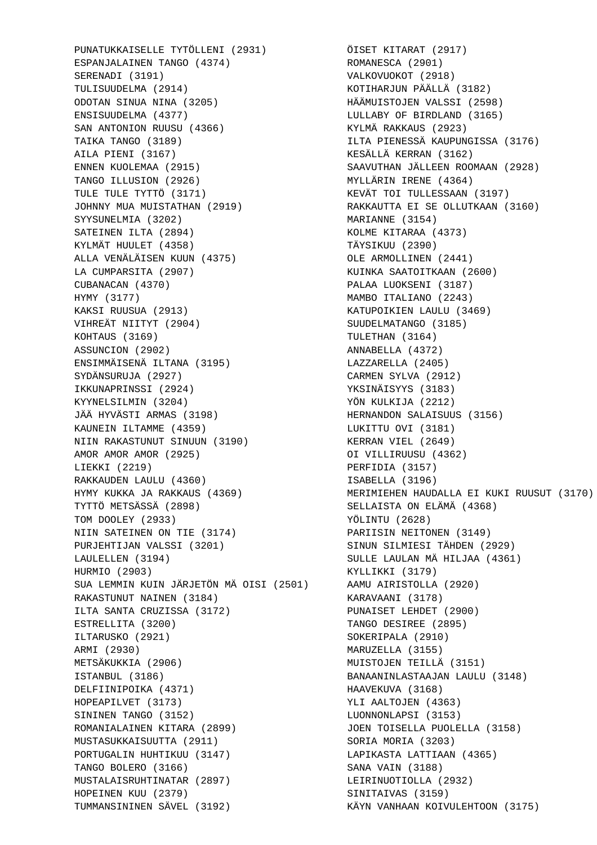PUNATUKKAISELLE TYTÖLLENI (2931) ÖISET KITARAT (2917) ESPANJALAINEN TANGO (4374) SERENADI (3191) TULISUUDELMA (2914) ODOTAN SINUA NINA (3205) ENSISUUDELMA (4377) SAN ANTONION RUUSU (4366) TAIKA TANGO (3189) AILA PIENI (3167) ENNEN KUOLEMAA (2915) TANGO ILLUSION (2926) TULE TULE TYTTÖ (3171) JOHNNY MUA MUISTATHAN (2919) SYYSUNELMIA (3202) SATEINEN ILTA (2894) KYLMÄT HUULET (4358) ALLA VENÄLÄISEN KUUN (4375) LA CUMPARSITA (2907) CUBANACAN (4370) HYMY (3177) KAKSI RUUSUA (2913) VIHREÄT NIITYT (2904) KOHTAUS (3169) ASSUNCION (2902) ENSIMMÄISENÄ ILTANA (3195) SYDÄNSURUJA (2927) IKKUNAPRINSSI (2924) KYYNELSILMIN (3204) JÄÄ HYVÄSTI ARMAS (3198) KAUNEIN ILTAMME (4359) NIIN RAKASTUNUT SINUUN (3190) AMOR AMOR AMOR (2925) LIEKKI (2219) RAKKAUDEN LAULU (4360) HYMY KUKKA JA RAKKAUS (4369) TYTTÖ METSÄSSÄ (2898) TOM DOOLEY (2933) NIIN SATEINEN ON TIE (3174) PURJEHTIJAN VALSSI (3201) LAULELLEN (3194) HURMIO (2903) SUA LEMMIN KUIN JÄRJETÖN MÄ OISI (2501) RAKASTUNUT NAINEN (3184) ILTA SANTA CRUZISSA (3172) ESTRELLITA (3200) ILTARUSKO (2921) ARMI (2930) METSÄKUKKIA (2906) ISTANBUL (3186) DELFIINIPOIKA (4371) HOPEAPILVET (3173) SININEN TANGO (3152) ROMANIALAINEN KITARA (2899) MUSTASUKKAISUUTTA (2911) PORTUGALIN HUHTIKUU (3147) TANGO BOLERO (3166) MUSTALAISRUHTINATAR (2897) HOPEINEN KUU (2379) TUMMANSININEN SÄVEL (3192)

 ROMANESCA (2901) VALKOVUOKOT (2918) KOTIHARJUN PÄÄLLÄ (3182) HÄÄMUISTOJEN VALSSI (2598) LULLABY OF BIRDLAND (3165) KYLMÄ RAKKAUS (2923) ILTA PIENESSÄ KAUPUNGISSA (3176) KESÄLLÄ KERRAN (3162) SAAVUTHAN JÄLLEEN ROOMAAN (2928) MYLLÄRIN IRENE (4364) KEVÄT TOI TULLESSAAN (3197) RAKKAUTTA EI SE OLLUTKAAN (3160) MARIANNE (3154) KOLME KITARAA (4373) TÄYSIKUU (2390) OLE ARMOLLINEN (2441) KUINKA SAATOITKAAN (2600) PALAA LUOKSENI (3187) MAMBO ITALIANO (2243) KATUPOIKIEN LAULU (3469) SUUDELMATANGO (3185) TULETHAN (3164) ANNABELLA (4372) LAZZARELLA (2405) CARMEN SYLVA (2912) YKSINÄISYYS (3183) YÖN KULKIJA (2212) HERNANDON SALAISUUS (3156) LUKITTU OVI (3181) KERRAN VIEL (2649) OI VILLIRUUSU (4362) PERFIDIA (3157) ISABELLA (3196) MERIMIEHEN HAUDALLA EI KUKI RUUSUT (3170) SELLAISTA ON ELÄMÄ (4368) YÖLINTU (2628) PARIISIN NEITONEN (3149) SINUN SILMIESI TÄHDEN (2929) SULLE LAULAN MÄ HILJAA (4361) KYLLIKKI (3179) AAMU AIRISTOLLA (2920) KARAVAANI (3178) PUNAISET LEHDET (2900) TANGO DESIREE (2895) SOKERIPALA (2910) MARUZELLA (3155) MUISTOJEN TEILLÄ (3151) BANAANINLASTAAJAN LAULU (3148) HAAVEKUVA (3168) YLI AALTOJEN (4363) LUONNONLAPSI (3153) JOEN TOISELLA PUOLELLA (3158) SORIA MORIA (3203) LAPIKASTA LATTIAAN (4365) SANA VAIN (3188) LEIRINUOTIOLLA (2932) SINITAIVAS (3159) KÄYN VANHAAN KOIVULEHTOON (3175)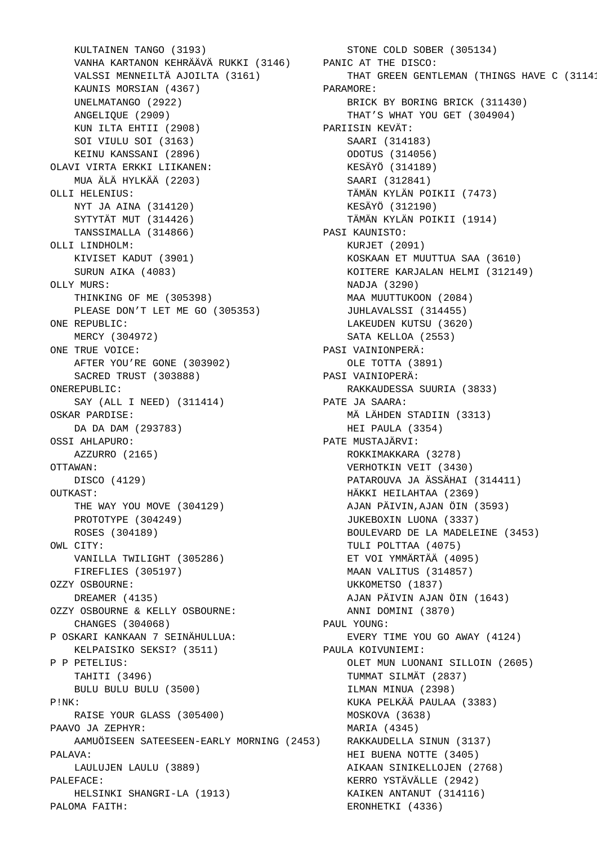```
 KULTAINEN TANGO (3193)
 VANHA KARTANON KEHRÄÄVÄ RUKKI (3146)
 PANIC AT THE DISCO: 
    VALSSI MENNEILTÄ AJOILTA (3161)
    KAUNIS MORSIAN (4367)
    UNELMATANGO (2922)
    ANGELIQUE (2909)
    KUN ILTA EHTII (2908)
    SOI VIULU SOI (3163)
    KEINU KANSSANI (2896)
 OLAVI VIRTA ERKKI LIIKANEN: 
    MUA ÄLÄ HYLKÄÄ (2203)
 OLLI HELENIUS: 
    NYT JA AINA (314120)
    SYTYTÄT MUT (314426)
    TANSSIMALLA (314866)
 OLLI LINDHOLM: 
    KIVISET KADUT (3901)
    SURUN AIKA (4083)
 OLLY MURS: 
    THINKING OF ME (305398)
    PLEASE DON'T LET ME GO (305353)
 ONE REPUBLIC: 
    MERCY (304972)
 ONE TRUE VOICE: 
    AFTER YOU'RE GONE (303902)
    SACRED TRUST (303888)
 ONEREPUBLIC: 
    SAY (ALL I NEED) (311414)
 OSKAR PARDISE: 
    DA DA DAM (293783)
 OSSI AHLAPURO: 
    AZZURRO (2165)
 OTTAWAN: 
    DISCO (4129)
 OUTKAST: 
    THE WAY YOU MOVE (304129)
    PROTOTYPE (304249)
    ROSES (304189)
 OWL CITY: 
    VANILLA TWILIGHT (305286)
    FIREFLIES (305197)
 OZZY OSBOURNE: 
    DREAMER (4135)
 OZZY OSBOURNE & KELLY OSBOURNE: 
    CHANGES (304068)
 P OSKARI KANKAAN 7 SEINÄHULLUA: 
    KELPAISIKO SEKSI? (3511)
 P P PETELIUS: 
    TAHITI (3496)
    BULU BULU BULU (3500)
 P!NK: 
    RAISE YOUR GLASS (305400)
 PAAVO JA ZEPHYR: 
    AAMUÖISEEN SATEESEEN-EARLY MORNING (2453)
 PALAVA: 
    LAULUJEN LAULU (3889)
 PALEFACE: 
    HELSINKI SHANGRI-LA (1913)
 PALOMA FAITH:
```
 STONE COLD SOBER (305134) THAT GREEN GENTLEMAN (THINGS HAVE C (31141 PARAMORE: BRICK BY BORING BRICK (311430) THAT'S WHAT YOU GET (304904) PARIISIN KEVÄT: SAARI (314183) ODOTUS (314056) KESÄYÖ (314189) SAARI (312841) TÄMÄN KYLÄN POIKII (7473) KESÄYÖ (312190) TÄMÄN KYLÄN POIKII (1914) PASI KAUNISTO: KURJET (2091) KOSKAAN ET MUUTTUA SAA (3610) KOITERE KARJALAN HELMI (312149) NADJA (3290) MAA MUUTTUKOON (2084) JUHLAVALSSI (314455) LAKEUDEN KUTSU (3620) SATA KELLOA (2553) PASI VAINIONPERÄ: OLE TOTTA (3891) PASI VAINIOPERÄ: RAKKAUDESSA SUURIA (3833) PATE JA SAARA: MÄ LÄHDEN STADIIN (3313) HEI PAULA (3354) PATE MUSTAJÄRVI: ROKKIMAKKARA (3278) VERHOTKIN VEIT (3430) PATAROUVA JA ÄSSÄHAI (314411) HÄKKI HEILAHTAA (2369) AJAN PÄIVIN,AJAN ÖIN (3593) JUKEBOXIN LUONA (3337) BOULEVARD DE LA MADELEINE (3453) TULI POLTTAA (4075) ET VOI YMMÄRTÄÄ (4095) MAAN VALITUS (314857) UKKOMETSO (1837) AJAN PÄIVIN AJAN ÖIN (1643) ANNI DOMINI (3870) PAUL YOUNG: EVERY TIME YOU GO AWAY (4124) PAULA KOIVUNIEMI: OLET MUN LUONANI SILLOIN (2605) TUMMAT SILMÄT (2837) ILMAN MINUA (2398) KUKA PELKÄÄ PAULAA (3383) MOSKOVA (3638) MARIA (4345) RAKKAUDELLA SINUN (3137) HEI BUENA NOTTE (3405) AIKAAN SINIKELLOJEN (2768) KERRO YSTÄVÄLLE (2942) KAIKEN ANTANUT (314116) ERONHETKI (4336)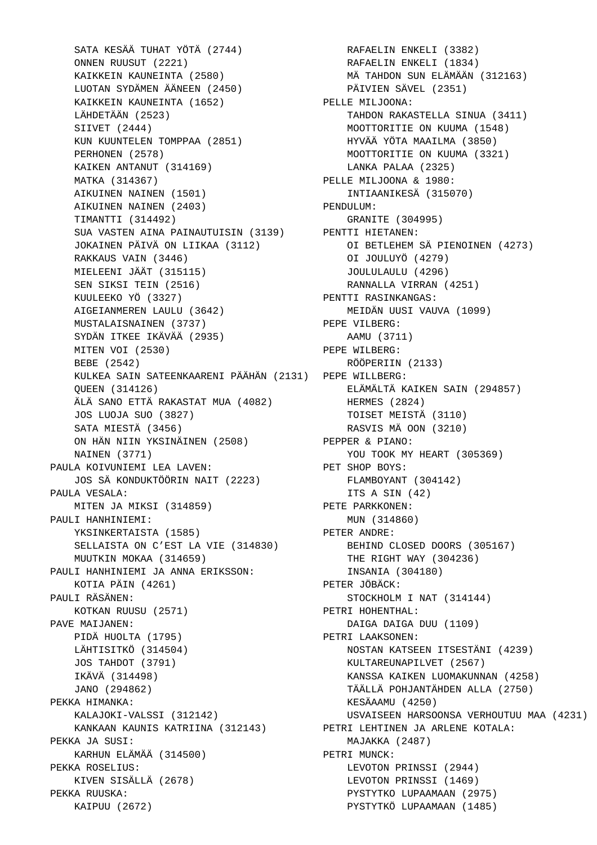SATA KESÄÄ TUHAT YÖTÄ (2744) ONNEN RUUSUT (2221) KAIKKEIN KAUNEINTA (2580) LUOTAN SYDÄMEN ÄÄNEEN (2450) KAIKKEIN KAUNEINTA (1652) LÄHDETÄÄN (2523) SIIVET (2444) KUN KUUNTELEN TOMPPAA (2851) PERHONEN (2578) KAIKEN ANTANUT (314169) MATKA (314367) AIKUINEN NAINEN (1501) AIKUINEN NAINEN (2403) TIMANTTI (314492) SUA VASTEN AINA PAINAUTUISIN (3139) PENTTI HIETANEN: JOKAINEN PÄIVÄ ON LIIKAA (3112) RAKKAUS VAIN (3446) MIELEENI JÄÄT (315115) SEN SIKSI TEIN (2516) KUULEEKO YÖ (3327) AIGEIANMEREN LAULU (3642) MUSTALAISNAINEN (3737) SYDÄN ITKEE IKÄVÄÄ (2935) MITEN VOI (2530) BEBE (2542) KULKEA SAIN SATEENKAARENI PÄÄHÄN (2131) PEPE WILLBERG: QUEEN (314126) ÄLÄ SANO ETTÄ RAKASTAT MUA (4082) JOS LUOJA SUO (3827) SATA MIESTÄ (3456) ON HÄN NIIN YKSINÄINEN (2508) NAINEN (3771) PAULA KOIVUNIEMI LEA LAVEN: JOS SÄ KONDUKTÖÖRIN NAIT (2223) PAULA VESALA: MITEN JA MIKSI (314859) PAULI HANHINIEMI: YKSINKERTAISTA (1585) SELLAISTA ON C'EST LA VIE (314830) MUUTKIN MOKAA (314659) PAULI HANHINIEMI JA ANNA ERIKSSON: KOTIA PÄIN (4261) PAULI RÄSÄNEN: KOTKAN RUUSU (2571) PAVE MAIJANEN: PIDÄ HUOLTA (1795) LÄHTISITKÖ (314504) JOS TAHDOT (3791) IKÄVÄ (314498) JANO (294862) PEKKA HIMANKA: KALAJOKI-VALSSI (312142) KANKAAN KAUNIS KATRIINA (312143) PEKKA JA SUSI: KARHUN ELÄMÄÄ (314500) PEKKA ROSELIUS: KIVEN SISÄLLÄ (2678) PEKKA RUUSKA: KAIPUU (2672)

 RAFAELIN ENKELI (3382) RAFAELIN ENKELI (1834) MÄ TAHDON SUN ELÄMÄÄN (312163) PÄIVIEN SÄVEL (2351) PELLE MILJOONA: TAHDON RAKASTELLA SINUA (3411) MOOTTORITIE ON KUUMA (1548) HYVÄÄ YÖTA MAAILMA (3850) MOOTTORITIE ON KUUMA (3321) LANKA PALAA (2325) PELLE MILJOONA & 1980: INTIAANIKESÄ (315070) PENDULUM: GRANITE (304995) OI BETLEHEM SÄ PIENOINEN (4273) OI JOULUYÖ (4279) JOULULAULU (4296) RANNALLA VIRRAN (4251) PENTTI RASINKANGAS: MEIDÄN UUSI VAUVA (1099) PEPE VILBERG: AAMU (3711) PEPE WILBERG: RÖÖPERIIN (2133) ELÄMÄLTÄ KAIKEN SAIN (294857) HERMES (2824) TOISET MEISTÄ (3110) RASVIS MÄ OON (3210) PEPPER & PIANO: YOU TOOK MY HEART (305369) PET SHOP BOYS: FLAMBOYANT (304142) ITS A SIN (42) PETE PARKKONEN: MUN (314860) PETER ANDRE: BEHIND CLOSED DOORS (305167) THE RIGHT WAY (304236) INSANIA (304180) PETER JÖBÄCK: STOCKHOLM I NAT (314144) PETRI HOHENTHAL: DAIGA DAIGA DUU (1109) PETRI LAAKSONEN: NOSTAN KATSEEN ITSESTÄNI (4239) KULTAREUNAPILVET (2567) KANSSA KAIKEN LUOMAKUNNAN (4258) TÄÄLLÄ POHJANTÄHDEN ALLA (2750) KESÄAAMU (4250) USVAISEEN HARSOONSA VERHOUTUU MAA (4231) PETRI LEHTINEN JA ARLENE KOTALA: MAJAKKA (2487) PETRI MUNCK: LEVOTON PRINSSI (2944) LEVOTON PRINSSI (1469) PYSTYTKO LUPAAMAAN (2975) PYSTYTKÖ LUPAAMAAN (1485)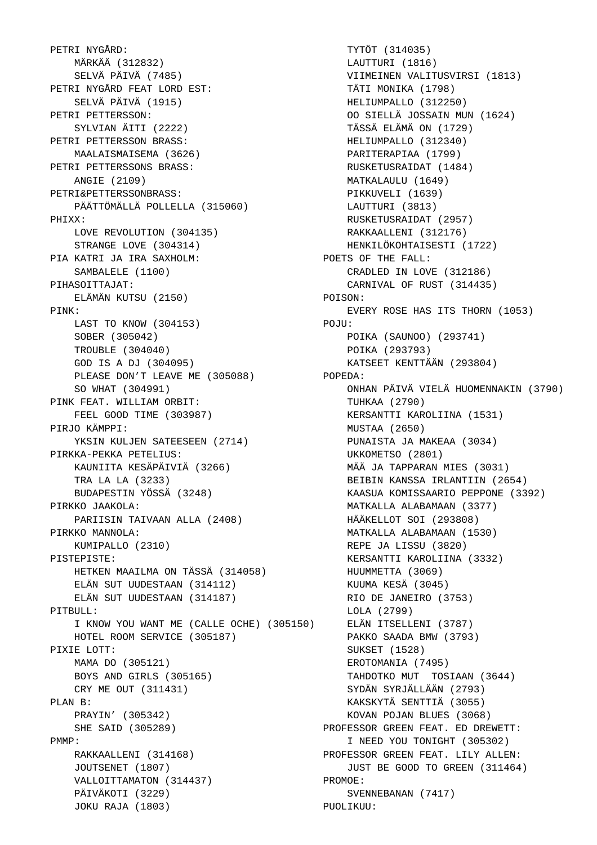PETRI NYGÅRD: MÄRKÄÄ (312832) SELVÄ PÄIVÄ (7485) PETRI NYGÅRD FEAT LORD EST: SELVÄ PÄIVÄ (1915) PETRI PETTERSSON: SYLVIAN ÄITI (2222) PETRI PETTERSSON BRASS: MAALAISMAISEMA (3626) PETRI PETTERSSONS BRASS: ANGIE (2109) PETRI&PETTERSSONBRASS: PÄÄTTÖMÄLLÄ POLLELLA (315060) PHIXX: LOVE REVOLUTION (304135) STRANGE LOVE (304314) PIA KATRI JA IRA SAXHOLM: SAMBALELE (1100) PIHASOITTAJAT: ELÄMÄN KUTSU (2150) PINK: LAST TO KNOW (304153) SOBER (305042) TROUBLE (304040) GOD IS A DJ (304095) PLEASE DON'T LEAVE ME (305088) SO WHAT (304991) PINK FEAT. WILLIAM ORBIT: FEEL GOOD TIME (303987) PIRJO KÄMPPI: YKSIN KULJEN SATEESEEN (2714) PIRKKA-PEKKA PETELIUS: KAUNIITA KESÄPÄIVIÄ (3266) TRA LA LA (3233) BUDAPESTIN YÖSSÄ (3248) PIRKKO JAAKOLA: PARIISIN TAIVAAN ALLA (2408) PIRKKO MANNOLA: KUMIPALLO (2310) PISTEPISTE: HETKEN MAAILMA ON TÄSSÄ (314058) ELÄN SUT UUDESTAAN (314112) ELÄN SUT UUDESTAAN (314187) PITBULL: I KNOW YOU WANT ME (CALLE OCHE) (305150) HOTEL ROOM SERVICE (305187) PIXIE LOTT: MAMA DO (305121) BOYS AND GIRLS (305165) CRY ME OUT (311431) PLAN B: PRAYIN' (305342) SHE SAID (305289) PMMP: RAKKAALLENI (314168) JOUTSENET (1807) VALLOITTAMATON (314437) PÄIVÄKOTI (3229) JOKU RAJA (1803)

 TYTÖT (314035) LAUTTURI (1816) VIIMEINEN VALITUSVIRSI (1813) TÄTI MONIKA (1798) HELIUMPALLO (312250) OO SIELLÄ JOSSAIN MUN (1624) TÄSSÄ ELÄMÄ ON (1729) HELIUMPALLO (312340) PARITERAPIAA (1799) RUSKETUSRAIDAT (1484) MATKALAULU (1649) PIKKUVELI (1639) LAUTTURI (3813) RUSKETUSRAIDAT (2957) RAKKAALLENI (312176) HENKILÖKOHTAISESTI (1722) POETS OF THE FALL: CRADLED IN LOVE (312186) CARNIVAL OF RUST (314435) POISON: EVERY ROSE HAS ITS THORN (1053)  $PQ$ . TIT: POIKA (SAUNOO) (293741) POIKA (293793) KATSEET KENTTÄÄN (293804) POPEDA: ONHAN PÄIVÄ VIELÄ HUOMENNAKIN (3790) TUHKAA (2790) KERSANTTI KAROLIINA (1531) MUSTAA (2650) PUNAISTA JA MAKEAA (3034) UKKOMETSO (2801) MÄÄ JA TAPPARAN MIES (3031) BEIBIN KANSSA IRLANTIIN (2654) KAASUA KOMISSAARIO PEPPONE (3392) MATKALLA ALABAMAAN (3377) HÄÄKELLOT SOI (293808) MATKALLA ALABAMAAN (1530) REPE JA LISSU (3820) KERSANTTI KAROLIINA (3332) HUUMMETTA (3069) KUUMA KESÄ (3045) RIO DE JANEIRO (3753) LOLA (2799) ELÄN ITSELLENI (3787) PAKKO SAADA BMW (3793) SUKSET (1528) EROTOMANIA (7495) TAHDOTKO MUT TOSIAAN (3644) SYDÄN SYRJÄLLÄÄN (2793) KAKSKYTÄ SENTTIÄ (3055) KOVAN POJAN BLUES (3068) PROFESSOR GREEN FEAT. ED DREWETT: I NEED YOU TONIGHT (305302) PROFESSOR GREEN FEAT. LILY ALLEN: JUST BE GOOD TO GREEN (311464) PROMOE: SVENNEBANAN (7417) PUOLIKUU: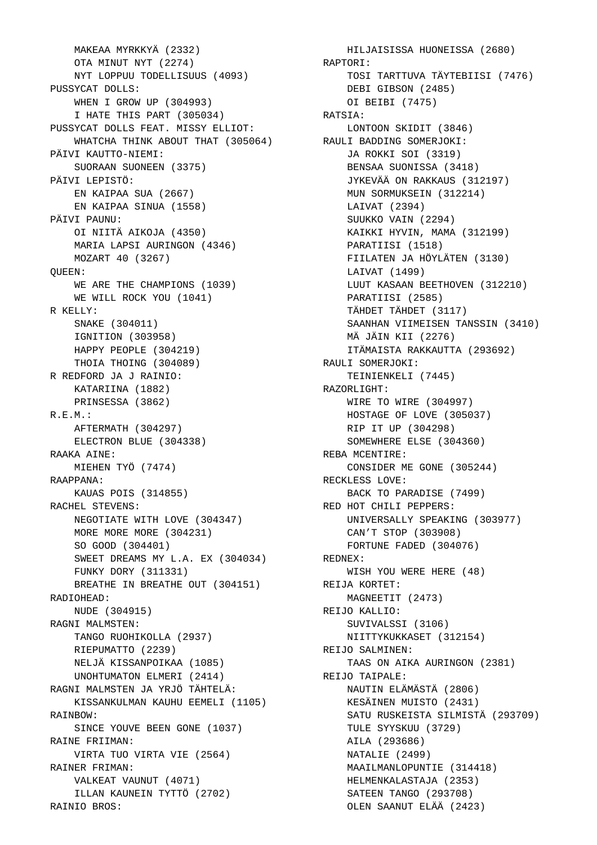MAKEAA MYRKKYÄ (2332) OTA MINUT NYT (2274) NYT LOPPUU TODELLISUUS (4093) PUSSYCAT DOLLS: WHEN I GROW UP (304993) I HATE THIS PART (305034) PUSSYCAT DOLLS FEAT. MISSY ELLIOT: WHATCHA THINK ABOUT THAT (305064) RAULI BADDING SOMERJOKI: PÄIVI KAUTTO-NIEMI: SUORAAN SUONEEN (3375) PÄIVI LEPISTÖ: EN KAIPAA SUA (2667) EN KAIPAA SINUA (1558) PÄIVI PAUNU: OI NIITÄ AIKOJA (4350) MARIA LAPSI AURINGON (4346) MOZART 40 (3267) QUEEN: WE ARE THE CHAMPIONS (1039) WE WILL ROCK YOU (1041) R KELLY: SNAKE (304011) IGNITION (303958) HAPPY PEOPLE (304219) THOIA THOING (304089) R REDFORD JA J RAINIO: KATARIINA (1882) PRINSESSA (3862) R.E.M.: AFTERMATH (304297) ELECTRON BLUE (304338) RAAKA AINE: MIEHEN TYÖ (7474) RAAPPANA: KAUAS POIS (314855) RACHEL STEVENS: NEGOTIATE WITH LOVE (304347) MORE MORE MORE (304231) SO GOOD (304401) SWEET DREAMS MY L.A. EX (304034) FUNKY DORY (311331) BREATHE IN BREATHE OUT (304151) RADIOHEAD: NUDE (304915) RAGNI MALMSTEN: TANGO RUOHIKOLLA (2937) RIEPUMATTO (2239) NELJÄ KISSANPOIKAA (1085) UNOHTUMATON ELMERI (2414) RAGNI MALMSTEN JA YRJÖ TÄHTELÄ: KISSANKULMAN KAUHU EEMELI (1105) RAINBOW: SINCE YOUVE BEEN GONE (1037) RAINE FRIIMAN: VIRTA TUO VIRTA VIE (2564) RAINER FRIMAN: VALKEAT VAUNUT (4071) ILLAN KAUNEIN TYTTÖ (2702) RAINIO BROS:

 HILJAISISSA HUONEISSA (2680) RAPTORI: TOSI TARTTUVA TÄYTEBIISI (7476) DEBI GIBSON (2485) OI BEIBI (7475) RATSIA: LONTOON SKIDIT (3846) JA ROKKI SOI (3319) BENSAA SUONISSA (3418) JYKEVÄÄ ON RAKKAUS (312197) MUN SORMUKSEIN (312214) LAIVAT (2394) SUUKKO VAIN (2294) KAIKKI HYVIN, MAMA (312199) PARATIISI (1518) FIILATEN JA HÖYLÄTEN (3130) LAIVAT (1499) LUUT KASAAN BEETHOVEN (312210) PARATIISI (2585) TÄHDET TÄHDET (3117) SAANHAN VIIMEISEN TANSSIN (3410) MÄ JÄIN KII (2276) ITÄMAISTA RAKKAUTTA (293692) RAULI SOMERJOKI: TEINIENKELI (7445) RAZORLIGHT: WIRE TO WIRE (304997) HOSTAGE OF LOVE (305037) RIP IT UP (304298) SOMEWHERE ELSE (304360) REBA MCENTIRE: CONSIDER ME GONE (305244) RECKLESS LOVE: BACK TO PARADISE (7499) RED HOT CHILI PEPPERS: UNIVERSALLY SPEAKING (303977) CAN'T STOP (303908) FORTUNE FADED (304076) REDNEX: WISH YOU WERE HERE (48) REIJA KORTET: MAGNEETIT (2473) REIJO KALLIO: SUVIVALSSI (3106) NIITTYKUKKASET (312154) REIJO SALMINEN: TAAS ON AIKA AURINGON (2381) REIJO TAIPALE: NAUTIN ELÄMÄSTÄ (2806) KESÄINEN MUISTO (2431) SATU RUSKEISTA SILMISTÄ (293709) TULE SYYSKUU (3729) AILA (293686) NATALIE (2499) MAAILMANLOPUNTIE (314418) HELMENKALASTAJA (2353) SATEEN TANGO (293708) OLEN SAANUT ELÄÄ (2423)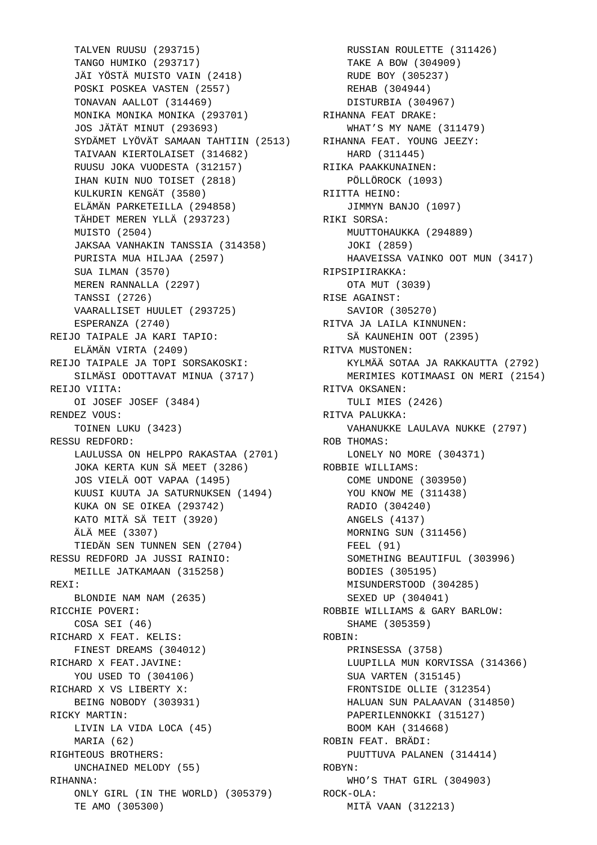TALVEN RUUSU (293715) TANGO HUMIKO (293717) JÄI YÖSTÄ MUISTO VAIN (2418) POSKI POSKEA VASTEN (2557) TONAVAN AALLOT (314469) MONIKA MONIKA MONIKA (293701) JOS JÄTÄT MINUT (293693) SYDÄMET LYÖVÄT SAMAAN TAHTIIN (2513) RIHANNA FEAT. YOUNG JEEZY: TAIVAAN KIERTOLAISET (314682) RUUSU JOKA VUODESTA (312157) IHAN KUIN NUO TOISET (2818) KULKURIN KENGÄT (3580) ELÄMÄN PARKETEILLA (294858) TÄHDET MEREN YLLÄ (293723) MUISTO (2504) JAKSAA VANHAKIN TANSSIA (314358) PURISTA MUA HILJAA (2597) SUA ILMAN (3570) MEREN RANNALLA (2297) TANSSI (2726) VAARALLISET HUULET (293725) ESPERANZA (2740) REIJO TAIPALE JA KARI TAPIO: ELÄMÄN VIRTA (2409) REIJO TAIPALE JA TOPI SORSAKOSKI: SILMÄSI ODOTTAVAT MINUA (3717) REIJO VIITA: OI JOSEF JOSEF (3484) RENDEZ VOUS: TOINEN LUKU (3423) RESSU REDFORD: LAULUSSA ON HELPPO RAKASTAA (2701) JOKA KERTA KUN SÄ MEET (3286) JOS VIELÄ OOT VAPAA (1495) KUUSI KUUTA JA SATURNUKSEN (1494) KUKA ON SE OIKEA (293742) KATO MITÄ SÄ TEIT (3920) ÄLÄ MEE (3307) TIEDÄN SEN TUNNEN SEN (2704) RESSU REDFORD JA JUSSI RAINIO: MEILLE JATKAMAAN (315258) REXI: BLONDIE NAM NAM (2635) RICCHIE POVERI: COSA SEI (46) RICHARD X FEAT. KELIS: FINEST DREAMS (304012) RICHARD X FEAT.JAVINE: YOU USED TO (304106) RICHARD X VS LIBERTY X: BEING NOBODY (303931) RICKY MARTIN: LIVIN LA VIDA LOCA (45) MARIA (62) RIGHTEOUS BROTHERS: UNCHAINED MELODY (55) RIHANNA: ONLY GIRL (IN THE WORLD) (305379) ROCK-OLA: TE AMO (305300)

 RUSSIAN ROULETTE (311426) TAKE A BOW (304909) RUDE BOY (305237) REHAB (304944) DISTURBIA (304967) RIHANNA FEAT DRAKE: WHAT'S MY NAME (311479) HARD (311445) RIIKA PAAKKUNAINEN: PÖLLÖROCK (1093) RIITTA HEINO: JIMMYN BANJO (1097) RIKI SORSA: MUUTTOHAUKKA (294889) JOKI (2859) HAAVEISSA VAINKO OOT MUN (3417) RIPSIPIIRAKKA: OTA MUT (3039) RISE AGAINST: SAVIOR (305270) RITVA JA LAILA KINNUNEN: SÄ KAUNEHIN OOT (2395) RITVA MUSTONEN: KYLMÄÄ SOTAA JA RAKKAUTTA (2792) MERIMIES KOTIMAASI ON MERI (2154) RITVA OKSANEN: TULI MIES (2426) RITVA PALUKKA: VAHANUKKE LAULAVA NUKKE (2797) ROB THOMAS: LONELY NO MORE (304371) ROBBIE WILLIAMS: COME UNDONE (303950) YOU KNOW ME (311438) RADIO (304240) ANGELS (4137) MORNING SUN (311456) FEEL (91) SOMETHING BEAUTIFUL (303996) BODIES (305195) MISUNDERSTOOD (304285) SEXED UP (304041) ROBBIE WILLIAMS & GARY BARLOW: SHAME (305359) ROBIN: PRINSESSA (3758) LUUPILLA MUN KORVISSA (314366) SUA VARTEN (315145) FRONTSIDE OLLIE (312354) HALUAN SUN PALAAVAN (314850) PAPERILENNOKKI (315127) BOOM KAH (314668) ROBIN FEAT. BRÄDI: PUUTTUVA PALANEN (314414) ROBYN: WHO'S THAT GIRL (304903) MITÄ VAAN (312213)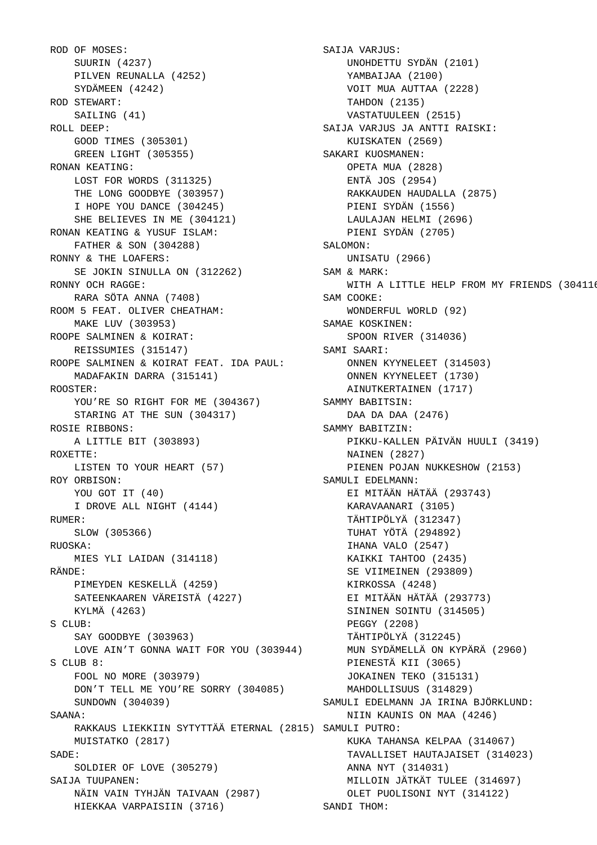ROD OF MOSES: SUURIN (4237) PILVEN REUNALLA (4252) SYDÄMEEN (4242) ROD STEWART: SAILING (41) ROLL DEEP: GOOD TIMES (305301) GREEN LIGHT (305355) RONAN KEATING: LOST FOR WORDS (311325) THE LONG GOODBYE (303957) I HOPE YOU DANCE (304245) SHE BELIEVES IN ME (304121) RONAN KEATING & YUSUF ISLAM: FATHER & SON (304288) RONNY & THE LOAFERS: SE JOKIN SINULLA ON (312262) RONNY OCH RAGGE: RARA SÖTA ANNA (7408) ROOM 5 FEAT. OLIVER CHEATHAM: MAKE LUV (303953) ROOPE SALMINEN & KOIRAT: REISSUMIES (315147) ROOPE SALMINEN & KOIRAT FEAT. IDA PAUL: MADAFAKIN DARRA (315141) ROOSTER: YOU'RE SO RIGHT FOR ME (304367) STARING AT THE SUN (304317) ROSIE RIBBONS: A LITTLE BIT (303893)  $ROXETT$  $F:$  LISTEN TO YOUR HEART (57) ROY ORBISON: YOU GOT IT (40) I DROVE ALL NIGHT (4144) RUMER: SLOW (305366) RUOSKA: MIES YLI LAIDAN (314118) RÄNDE: PIMEYDEN KESKELLÄ (4259) SATEENKAAREN VÄREISTÄ (4227) KYLMÄ (4263) S CLUB: SAY GOODBYE (303963) LOVE AIN'T GONNA WAIT FOR YOU (303944) S CLUB 8: FOOL NO MORE (303979) DON'T TELL ME YOU'RE SORRY (304085) SUNDOWN (304039) SAANA: RAKKAUS LIEKKIIN SYTYTTÄÄ ETERNAL (2815) SAMULI PUTRO: MUISTATKO (2817) SADE: SOLDIER OF LOVE (305279) SAIJA TUUPANEN: NÄIN VAIN TYHJÄN TAIVAAN (2987) HIEKKAA VARPAISIIN (3716)

 SAIJA VARJUS: UNOHDETTU SYDÄN (2101) YAMBAIJAA (2100) VOIT MUA AUTTAA (2228) TAHDON (2135) VASTATUULEEN (2515) SAIJA VARJUS JA ANTTI RAISKI: KUISKATEN (2569) SAKARI KUOSMANEN: OPETA MUA (2828) ENTÄ JOS (2954) RAKKAUDEN HAUDALLA (2875) PIENI SYDÄN (1556) LAULAJAN HELMI (2696) PIENI SYDÄN (2705) SALOMON: UNISATU (2966) SAM & MARK: WITH A LITTLE HELP FROM MY FRIENDS (304116) SAM COOKE: WONDERFUL WORLD (92) SAMAE KOSKINEN: SPOON RIVER (314036) SAMI SAARI: ONNEN KYYNELEET (314503) ONNEN KYYNELEET (1730) AINUTKERTAINEN (1717) SAMMY BABITSIN: DAA DA DAA (2476) SAMMY BABITZIN: PIKKU-KALLEN PÄIVÄN HUULI (3419) NAINEN (2827) PIENEN POJAN NUKKESHOW (2153) SAMULI EDELMANN: EI MITÄÄN HÄTÄÄ (293743) KARAVAANARI (3105) TÄHTIPÖLYÄ (312347) TUHAT YÖTÄ (294892) IHANA VALO (2547) KAIKKI TAHTOO (2435) SE VIIMEINEN (293809) KIRKOSSA (4248) EI MITÄÄN HÄTÄÄ (293773) SININEN SOINTU (314505) PEGGY (2208) TÄHTIPÖLYÄ (312245) MUN SYDÄMELLÄ ON KYPÄRÄ (2960) PIENESTÄ KII (3065) JOKAINEN TEKO (315131) MAHDOLLISUUS (314829) SAMULI EDELMANN JA IRINA BJÖRKLUND: NIIN KAUNIS ON MAA (4246) KUKA TAHANSA KELPAA (314067) TAVALLISET HAUTAJAISET (314023) ANNA NYT (314031) MILLOIN JÄTKÄT TULEE (314697) OLET PUOLISONI NYT (314122) SANDI THOM: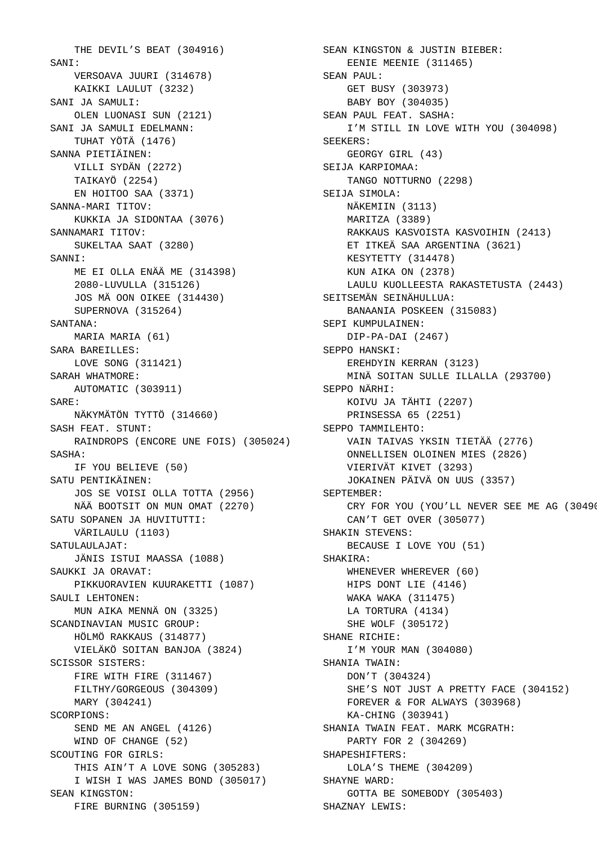THE DEVIL'S BEAT (304916) SANT: VERSOAVA JUURI (314678) KAIKKI LAULUT (3232) SANI JA SAMULI: OLEN LUONASI SUN (2121) SANI JA SAMULI EDELMANN: TUHAT YÖTÄ (1476) SANNA PIETIÄINEN: VILLI SYDÄN (2272) TAIKAYÖ (2254) EN HOITOO SAA (3371) SANNA-MARI TITOV: KUKKIA JA SIDONTAA (3076) SANNAMARI TITOV: SUKELTAA SAAT (3280) SANNI: ME EI OLLA ENÄÄ ME (314398) 2080-LUVULLA (315126) JOS MÄ OON OIKEE (314430) SUPERNOVA (315264) SANTANA: MARIA MARIA (61) SARA BAREILLES: LOVE SONG (311421) SARAH WHATMORE: AUTOMATIC (303911) SARE: NÄKYMÄTÖN TYTTÖ (314660) SASH FEAT. STUNT: RAINDROPS (ENCORE UNE FOIS) (305024) SASHA: IF YOU BELIEVE (50) SATU PENTIKÄINEN: JOS SE VOISI OLLA TOTTA (2956) NÄÄ BOOTSIT ON MUN OMAT (2270) SATU SOPANEN JA HUVITUTTI: VÄRILAULU (1103) SATULAULAJAT: JÄNIS ISTUI MAASSA (1088) SAUKKI JA ORAVAT: PIKKUORAVIEN KUURAKETTI (1087) SAULI LEHTONEN: MUN AIKA MENNÄ ON (3325) SCANDINAVIAN MUSIC GROUP: HÖLMÖ RAKKAUS (314877) VIELÄKÖ SOITAN BANJOA (3824) SCISSOR SISTERS: FIRE WITH FIRE (311467) FILTHY/GORGEOUS (304309) MARY (304241) SCORPIONS: SEND ME AN ANGEL (4126) WIND OF CHANGE (52) SCOUTING FOR GIRLS: THIS AIN'T A LOVE SONG (305283) I WISH I WAS JAMES BOND (305017) SEAN KINGSTON: FIRE BURNING (305159)

 SEAN KINGSTON & JUSTIN BIEBER: EENIE MEENIE (311465) SEAN PAUL: GET BUSY (303973) BABY BOY (304035) SEAN PAUL FEAT. SASHA: I'M STILL IN LOVE WITH YOU (304098) SEEKERS: GEORGY GIRL (43) SEIJA KARPIOMAA: TANGO NOTTURNO (2298) SEIJA SIMOLA: NÄKEMIIN (3113) MARITZA (3389) RAKKAUS KASVOISTA KASVOIHIN (2413) ET ITKEÄ SAA ARGENTINA (3621) KESYTETTY (314478) KUN AIKA ON (2378) LAULU KUOLLEESTA RAKASTETUSTA (2443) SEITSEMÄN SEINÄHULLUA: BANAANIA POSKEEN (315083) SEPI KUMPULAINEN: DIP-PA-DAI (2467) SEPPO HANSKI: EREHDYIN KERRAN (3123) MINÄ SOITAN SULLE ILLALLA (293700) SEPPO NÄRHI: KOIVU JA TÄHTI (2207) PRINSESSA 65 (2251) SEPPO TAMMILEHTO: VAIN TAIVAS YKSIN TIETÄÄ (2776) ONNELLISEN OLOINEN MIES (2826) VIERIVÄT KIVET (3293) JOKAINEN PÄIVÄ ON UUS (3357) SEPTEMBER: CRY FOR YOU (YOU'LL NEVER SEE ME AG (30490 CAN'T GET OVER (305077) SHAKIN STEVENS: BECAUSE I LOVE YOU (51) SHAKIRA: WHENEVER WHEREVER (60) HIPS DONT LIE (4146) WAKA WAKA (311475) LA TORTURA (4134) SHE WOLF (305172) SHANE RICHIE: I'M YOUR MAN (304080) SHANIA TWAIN: DON'T (304324) SHE'S NOT JUST A PRETTY FACE (304152) FOREVER & FOR ALWAYS (303968) KA-CHING (303941) SHANIA TWAIN FEAT. MARK MCGRATH: PARTY FOR 2 (304269) SHAPESHIFTERS: LOLA'S THEME (304209) SHAYNE WARD: GOTTA BE SOMEBODY (305403) SHAZNAY LEWIS: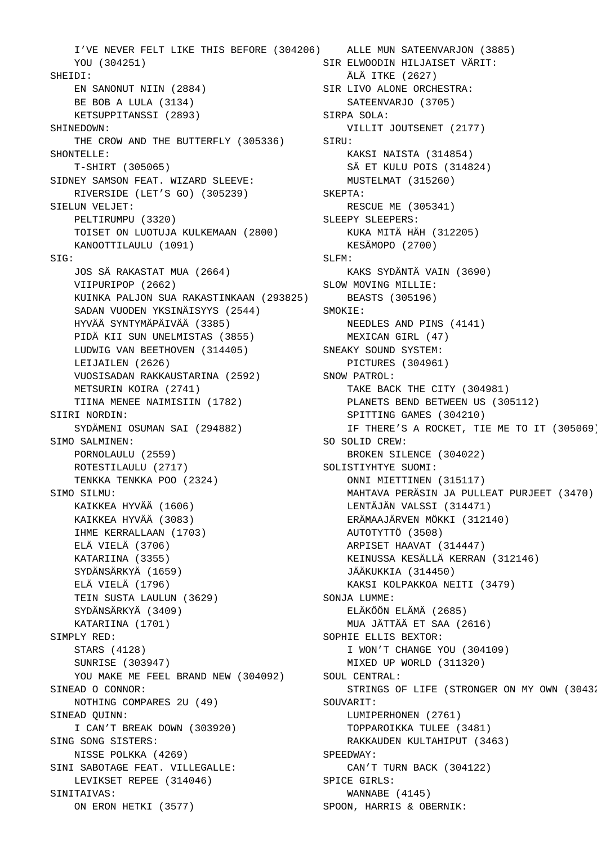I'VE NEVER FELT LIKE THIS BEFORE (304206) ALLE MUN SATEENVARJON (3885) YOU (304251) SHEIDI: EN SANONUT NIIN (2884) BE BOB A LULA (3134) KETSUPPITANSSI (2893) SHINEDOWN: THE CROW AND THE BUTTERFLY (305336) SIRU: SHONTELLE: T-SHIRT (305065) SIDNEY SAMSON FEAT. WIZARD SLEEVE: RIVERSIDE (LET'S GO) (305239) SIELUN VELJET: PELTIRUMPU (3320) TOISET ON LUOTUJA KULKEMAAN (2800) KANOOTTILAULU (1091) SIG: JOS SÄ RAKASTAT MUA (2664) VIIPURIPOP (2662) KUINKA PALJON SUA RAKASTINKAAN (293825) SADAN VUODEN YKSINÄISYYS (2544) HYVÄÄ SYNTYMÄPÄIVÄÄ (3385) PIDÄ KII SUN UNELMISTAS (3855) LUDWIG VAN BEETHOVEN (314405) LEIJAILEN (2626) VUOSISADAN RAKKAUSTARINA (2592) METSURIN KOIRA (2741) TIINA MENEE NAIMISIIN (1782) SIIRI NORDIN: SYDÄMENI OSUMAN SAI (294882) SIMO SALMINEN: PORNOLAULU (2559) ROTESTILAULU (2717) TENKKA TENKKA POO (2324) SIMO SILMU: KAIKKEA HYVÄÄ (1606) KAIKKEA HYVÄÄ (3083) IHME KERRALLAAN (1703) ELÄ VIELÄ (3706) KATARIINA (3355) SYDÄNSÄRKYÄ (1659) ELÄ VIELÄ (1796) TEIN SUSTA LAULUN (3629) SYDÄNSÄRKYÄ (3409) KATARIINA (1701) SIMPLY RED: STARS (4128) SUNRISE (303947) YOU MAKE ME FEEL BRAND NEW (304092) SINEAD O CONNOR: NOTHING COMPARES 2U (49) SINEAD QUINN: I CAN'T BREAK DOWN (303920) SING SONG SISTERS: NISSE POLKKA (4269) SINI SABOTAGE FEAT. VILLEGALLE: LEVIKSET REPEE (314046) SINITAIVAS: ON ERON HETKI (3577)

 SIR ELWOODIN HILJAISET VÄRIT: ÄLÄ ITKE (2627) SIR LIVO ALONE ORCHESTRA: SATEENVARJO (3705) SIRPA SOLA: VILLIT JOUTSENET (2177) KAKSI NAISTA (314854) SÄ ET KULU POIS (314824) MUSTELMAT (315260) SKEPTA: RESCUE ME (305341) SLEEPY SLEEPERS: KUKA MITÄ HÄH (312205) KESÄMOPO (2700) SLFM: KAKS SYDÄNTÄ VAIN (3690) SLOW MOVING MILLIE: BEASTS (305196) SMOKIE: NEEDLES AND PINS (4141) MEXICAN GIRL (47) SNEAKY SOUND SYSTEM: PICTURES (304961) SNOW PATROL: TAKE BACK THE CITY (304981) PLANETS BEND BETWEEN US (305112) SPITTING GAMES (304210) IF THERE'S A ROCKET, TIE ME TO IT (305069) SO SOLID CREW: BROKEN SILENCE (304022) SOLISTIYHTYE SUOMI: ONNI MIETTINEN (315117) MAHTAVA PERÄSIN JA PULLEAT PURJEET (3470) LENTÄJÄN VALSSI (314471) ERÄMAAJÄRVEN MÖKKI (312140) AUTOTYTTÖ (3508) ARPISET HAAVAT (314447) KEINUSSA KESÄLLÄ KERRAN (312146) JÄÄKUKKIA (314450) KAKSI KOLPAKKOA NEITI (3479) SONJA LUMME: ELÄKÖÖN ELÄMÄ (2685) MUA JÄTTÄÄ ET SAA (2616) SOPHIE ELLIS BEXTOR: I WON'T CHANGE YOU (304109) MIXED UP WORLD (311320) SOUL CENTRAL: STRINGS OF LIFE (STRONGER ON MY OWN (30432) SOUVARIT: LUMIPERHONEN (2761) TOPPAROIKKA TULEE (3481) RAKKAUDEN KULTAHIPUT (3463) SPEEDWAY: CAN'T TURN BACK (304122) SPICE GIRLS: WANNABE (4145) SPOON, HARRIS & OBERNIK: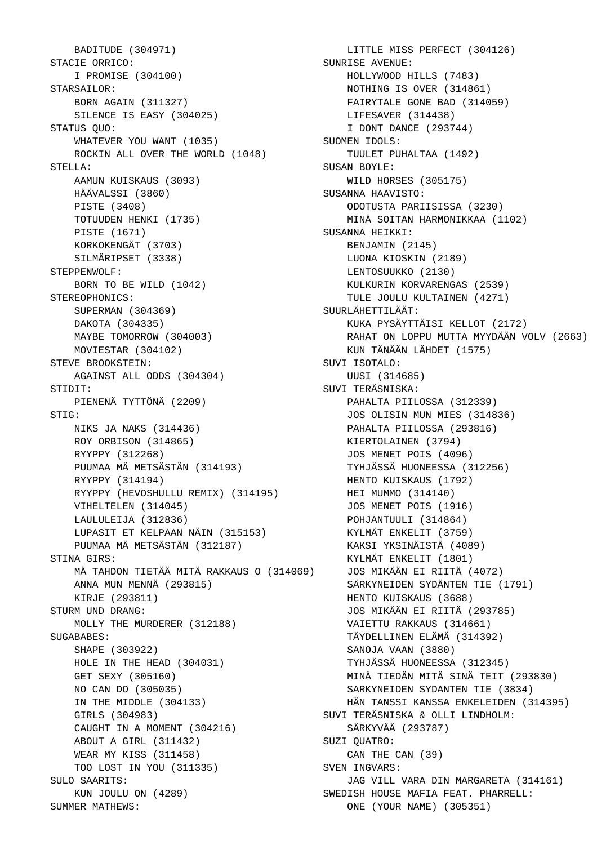BADITUDE (304971) STACIE ORRICO: I PROMISE (304100) STARSAILOR: BORN AGAIN (311327) SILENCE IS EASY (304025) STATUS OUO: WHATEVER YOU WANT (1035) ROCKIN ALL OVER THE WORLD (1048) STELLA: AAMUN KUISKAUS (3093) HÄÄVALSSI (3860) PISTE (3408) TOTUUDEN HENKI (1735) PISTE (1671) KORKOKENGÄT (3703) SILMÄRIPSET (3338) STEPPENWOLF: BORN TO BE WILD (1042) STEREOPHONICS: SUPERMAN (304369) DAKOTA (304335) MAYBE TOMORROW (304003) MOVIESTAR (304102) STEVE BROOKSTEIN: AGAINST ALL ODDS (304304) STIDIT: PIENENÄ TYTTÖNÄ (2209) STIG: NIKS JA NAKS (314436) ROY ORBISON (314865) RYYPPY (312268) PUUMAA MÄ METSÄSTÄN (314193) RYYPPY (314194) RYYPPY (HEVOSHULLU REMIX) (314195) VIHELTELEN (314045) LAULULEIJA (312836) LUPASIT ET KELPAAN NÄIN (315153) PUUMAA MÄ METSÄSTÄN (312187) STINA GIRS: MÄ TAHDON TIETÄÄ MITÄ RAKKAUS O (314069) ANNA MUN MENNÄ (293815) KIRJE (293811) STURM UND DRANG: MOLLY THE MURDERER (312188) SUGABABES: SHAPE (303922) HOLE IN THE HEAD (304031) GET SEXY (305160) NO CAN DO (305035) IN THE MIDDLE (304133) GIRLS (304983) CAUGHT IN A MOMENT (304216) ABOUT A GIRL (311432) WEAR MY KISS (311458) TOO LOST IN YOU (311335) SULO SAARITS: KUN JOULU ON (4289) SUMMER MATHEWS:

 LITTLE MISS PERFECT (304126) SUNRISE AVENUE: HOLLYWOOD HILLS (7483) NOTHING IS OVER (314861) FAIRYTALE GONE BAD (314059) LIFESAVER (314438) I DONT DANCE (293744) SUOMEN IDOLS: TUULET PUHALTAA (1492) SUSAN BOYLE: WILD HORSES (305175) SUSANNA HAAVISTO: ODOTUSTA PARIISISSA (3230) MINÄ SOITAN HARMONIKKAA (1102) SUSANNA HEIKKI: BENJAMIN (2145) LUONA KIOSKIN (2189) LENTOSUUKKO (2130) KULKURIN KORVARENGAS (2539) TULE JOULU KULTAINEN (4271) SUURLÄHETTILÄÄT: KUKA PYSÄYTTÄISI KELLOT (2172) RAHAT ON LOPPU MUTTA MYYDÄÄN VOLV (2663) KUN TÄNÄÄN LÄHDET (1575) SUVI ISOTALO: UUSI (314685) SUVI TERÄSNISKA: PAHALTA PIILOSSA (312339) JOS OLISIN MUN MIES (314836) PAHALTA PIILOSSA (293816) KIERTOLAINEN (3794) JOS MENET POIS (4096) TYHJÄSSÄ HUONEESSA (312256) HENTO KUISKAUS (1792) HEI MUMMO (314140) JOS MENET POIS (1916) POHJANTUULI (314864) KYLMÄT ENKELIT (3759) KAKSI YKSINÄISTÄ (4089) KYLMÄT ENKELIT (1801) JOS MIKÄÄN EI RIITÄ (4072) SÄRKYNEIDEN SYDÄNTEN TIE (1791) HENTO KUISKAUS (3688) JOS MIKÄÄN EI RIITÄ (293785) VAIETTU RAKKAUS (314661) TÄYDELLINEN ELÄMÄ (314392) SANOJA VAAN (3880) TYHJÄSSÄ HUONEESSA (312345) MINÄ TIEDÄN MITÄ SINÄ TEIT (293830) SARKYNEIDEN SYDANTEN TIE (3834) HÄN TANSSI KANSSA ENKELEIDEN (314395) SUVI TERÄSNISKA & OLLI LINDHOLM: SÄRKYVÄÄ (293787) SUZI QUATRO: CAN THE CAN (39) SVEN INGVARS: JAG VILL VARA DIN MARGARETA (314161) SWEDISH HOUSE MAFIA FEAT. PHARRELL: ONE (YOUR NAME) (305351)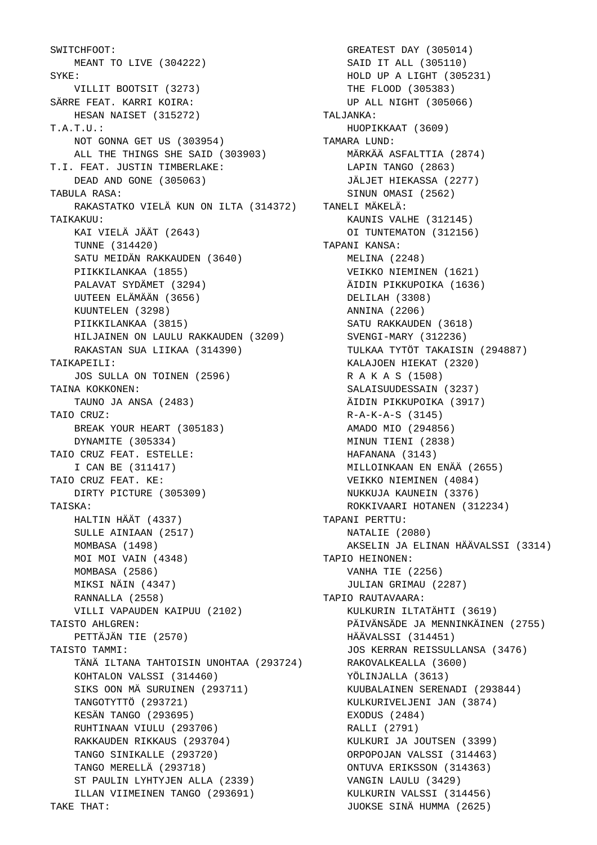SWITCHFOOT: MEANT TO LIVE (304222) SYKE: VILLIT BOOTSIT (3273) SÄRRE FEAT. KARRI KOIRA: HESAN NAISET (315272) T.A.T.U.: NOT GONNA GET US (303954) ALL THE THINGS SHE SAID (303903) T.I. FEAT. JUSTIN TIMBERLAKE: DEAD AND GONE (305063) TABULA RASA: RAKASTATKO VIELÄ KUN ON ILTA (314372) TANELI MÄKELÄ: TAIKAKUU: KAI VIELÄ JÄÄT (2643) TUNNE (314420) SATU MEIDÄN RAKKAUDEN (3640) PIIKKILANKAA (1855) PALAVAT SYDÄMET (3294) UUTEEN ELÄMÄÄN (3656) KUUNTELEN (3298) PIIKKILANKAA (3815) HILJAINEN ON LAULU RAKKAUDEN (3209) RAKASTAN SUA LIIKAA (314390) TAIKAPEILI: JOS SULLA ON TOINEN (2596) TAINA KOKKONEN: TAUNO JA ANSA (2483) TAIO CRUZ: BREAK YOUR HEART (305183) DYNAMITE (305334) TAIO CRUZ FEAT. ESTELLE: I CAN BE (311417) TAIO CRUZ FEAT. KE: DIRTY PICTURE (305309) TAISKA: HALTIN HÄÄT (4337) SULLE AINIAAN (2517) MOMBASA (1498) MOI MOI VAIN (4348) MOMBASA (2586) MIKSI NÄIN (4347) RANNALLA (2558) VILLI VAPAUDEN KAIPUU (2102) TAISTO AHLGREN: PETTÄJÄN TIE (2570) TAISTO TAMMI: TÄNÄ ILTANA TAHTOISIN UNOHTAA (293724) KOHTALON VALSSI (314460) SIKS OON MÄ SURUINEN (293711) TANGOTYTTÖ (293721) KESÄN TANGO (293695) RUHTINAAN VIULU (293706) RAKKAUDEN RIKKAUS (293704) TANGO SINIKALLE (293720) TANGO MERELLÄ (293718) ST PAULIN LYHTYJEN ALLA (2339) ILLAN VIIMEINEN TANGO (293691) TAKE THAT:

 GREATEST DAY (305014) SAID IT ALL (305110) HOLD UP A LIGHT (305231) THE FLOOD (305383) UP ALL NIGHT (305066) TALJANKA: HUOPIKKAAT (3609) TAMARA LUND: MÄRKÄÄ ASFALTTIA (2874) LAPIN TANGO (2863) JÄLJET HIEKASSA (2277) SINUN OMASI (2562) KAUNIS VALHE (312145) OI TUNTEMATON (312156) TAPANI KANSA: MELINA (2248) VEIKKO NIEMINEN (1621) ÄIDIN PIKKUPOIKA (1636) DELILAH (3308) ANNINA (2206) SATU RAKKAUDEN (3618) SVENGI-MARY (312236) TULKAA TYTÖT TAKAISIN (294887) KALAJOEN HIEKAT (2320) R A K A S (1508) SALAISUUDESSAIN (3237) ÄIDIN PIKKUPOIKA (3917) R-A-K-A-S (3145) AMADO MIO (294856) MINUN TIENI (2838) HAFANANA (3143) MILLOINKAAN EN ENÄÄ (2655) VEIKKO NIEMINEN (4084) NUKKUJA KAUNEIN (3376) ROKKIVAARI HOTANEN (312234) TAPANI PERTTU: NATALIE (2080) AKSELIN JA ELINAN HÄÄVALSSI (3314) TAPIO HEINONEN: VANHA TIE (2256) JULIAN GRIMAU (2287) TAPIO RAUTAVAARA: KULKURIN ILTATÄHTI (3619) PÄIVÄNSÄDE JA MENNINKÄINEN (2755) HÄÄVALSSI (314451) JOS KERRAN REISSULLANSA (3476) RAKOVALKEALLA (3600) YÖLINJALLA (3613) KUUBALAINEN SERENADI (293844) KULKURIVELJENI JAN (3874) EXODUS (2484) RALLI (2791) KULKURI JA JOUTSEN (3399) ORPOPOJAN VALSSI (314463) ONTUVA ERIKSSON (314363) VANGIN LAULU (3429) KULKURIN VALSSI (314456) JUOKSE SINÄ HUMMA (2625)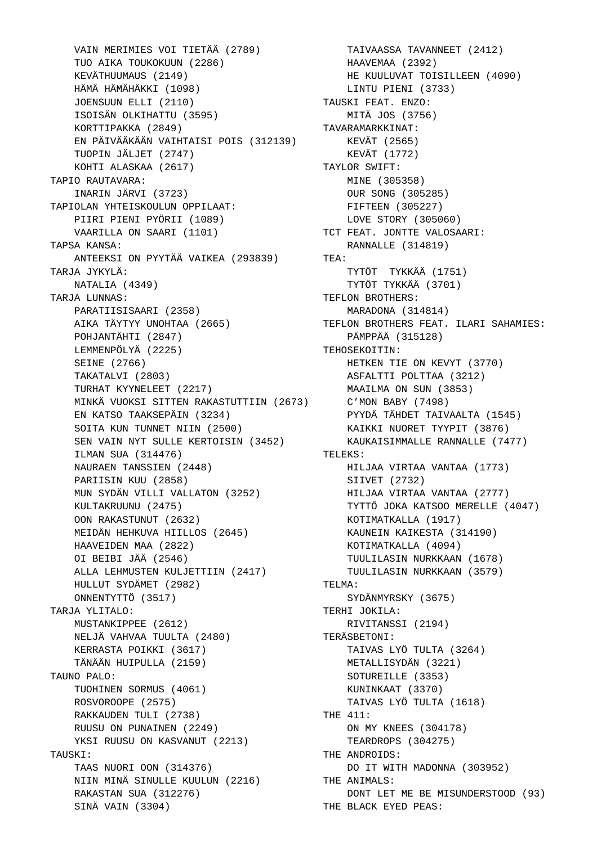VAIN MERIMIES VOI TIETÄÄ (2789) TUO AIKA TOUKOKUUN (2286) KEVÄTHUUMAUS (2149) HÄMÄ HÄMÄHÄKKI (1098) JOENSUUN ELLI (2110) ISOISÄN OLKIHATTU (3595) KORTTIPAKKA (2849) EN PÄIVÄÄKÄÄN VAIHTAISI POIS (312139) TUOPIN JÄLJET (2747) KOHTI ALASKAA (2617) TAPIO RAUTAVARA: INARIN JÄRVI (3723) TAPIOLAN YHTEISKOULUN OPPILAAT: PIIRI PIENI PYÖRII (1089) VAARILLA ON SAARI (1101) TAPSA KANSA: ANTEEKSI ON PYYTÄÄ VAIKEA (293839) TARJA JYKYLÄ: NATALIA (4349) TARJA LUNNAS: PARATIISISAARI (2358) AIKA TÄYTYY UNOHTAA (2665) POHJANTÄHTI (2847) LEMMENPÖLYÄ (2225) SEINE (2766) TAKATALVI (2803) TURHAT KYYNELEET (2217) MINKÄ VUOKSI SITTEN RAKASTUTTIIN (2673) EN KATSO TAAKSEPÄIN (3234) SOITA KUN TUNNET NIIN (2500) SEN VAIN NYT SULLE KERTOISIN (3452) ILMAN SUA (314476) NAURAEN TANSSIEN (2448) PARIISIN KUU (2858) MUN SYDÄN VILLI VALLATON (3252) KULTAKRUUNU (2475) OON RAKASTUNUT (2632) MEIDÄN HEHKUVA HIILLOS (2645) HAAVEIDEN MAA (2822) OI BEIBI JÄÄ (2546) ALLA LEHMUSTEN KULJETTIIN (2417) HULLUT SYDÄMET (2982) ONNENTYTTÖ (3517) TARJA YLITALO: MUSTANKIPPEE (2612) NELJÄ VAHVAA TUULTA (2480) KERRASTA POIKKI (3617) TÄNÄÄN HUIPULLA (2159) TAUNO PALO: TUOHINEN SORMUS (4061) ROSVOROOPE (2575) RAKKAUDEN TULI (2738) RUUSU ON PUNAINEN  $(2249)$  YKSI RUUSU ON KASVANUT (2213) TAUSKI: TAAS NUORI OON (314376) NIIN MINÄ SINULLE KUULUN (2216) THE ANIMALS: RAKASTAN SUA (312276) SINÄ VAIN (3304)

VAIN MERIMIES VOI TIETÄÄ (2789) **TAIVAASSA TAVANNEET** (2412) HAAVEMAA (2392) HE KUULUVAT TOISILLEEN (4090) LINTU PIENI (3733) TAUSKI FEAT. ENZO: MITÄ JOS (3756) TAVARAMARKKINAT: KEVÄT (2565) KEVÄT (1772) TAYLOR SWIFT: MINE (305358) OUR SONG (305285) FIFTEEN (305227) LOVE STORY (305060) TCT FEAT. JONTTE VALOSAARI: RANNALLE (314819) TEA: TYTÖT TYKKÄÄ (1751) TYTÖT TYKKÄÄ (3701) TEFLON BROTHERS: MARADONA (314814) TEFLON BROTHERS FEAT. ILARI SAHAMIES: PÄMPPÄÄ (315128) TEHOSEKOITIN: HETKEN TIE ON KEVYT (3770) ASFALTTI POLTTAA (3212) MAAILMA ON SUN (3853) C'MON BABY (7498) PYYDÄ TÄHDET TAIVAALTA (1545) KAIKKI NUORET TYYPIT (3876) KAUKAISIMMALLE RANNALLE (7477) KAUK<br>TELEKS : HILJAA VIRTAA VANTAA (1773) SIIVET (2732) HILJAA VIRTAA VANTAA (2777) TYTTÖ JOKA KATSOO MERELLE (4047) KOTIMATKALLA (1917) KAUNEIN KAIKESTA (314190) KOTIMATKALLA (4094) TUULILASIN NURKKAAN (1678) TUULILASIN NURKKAAN (3579) TELMA: SYDÄNMYRSKY (3675) TERHI JOKILA: RIVITANSSI (2194) TERÄSBETONI: TAIVAS LYÖ TULTA (3264) METALLISYDÄN (3221) SOTUREILLE (3353) KUNINKAAT (3370) TAIVAS LYÖ TULTA (1618) THE 411: ON MY KNEES (304178) TEARDROPS (304275) THE ANDROIDS: DO IT WITH MADONNA (303952) DONT LET ME BE MISUNDERSTOOD (93) THE BLACK EYED PEAS: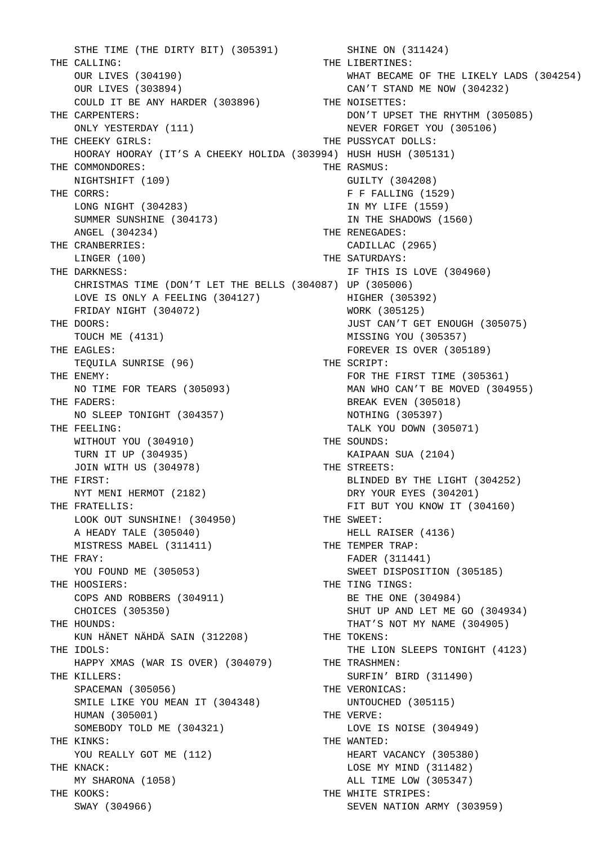STHE TIME (THE DIRTY BIT) (305391) THE CALLING: OUR LIVES (304190) OUR LIVES (303894) COULD IT BE ANY HARDER (303896) THE CARPENTERS: ONLY YESTERDAY (111) THE CHEEKY GIRLS: HOORAY HOORAY (IT'S A CHEEKY HOLIDA (303994) HUSH HUSH (305131) THE COMMONDORES: NIGHTSHIFT (109) THE CORRS: LONG NIGHT (304283) SUMMER SUNSHINE (304173) ANGEL (304234) THE CRANBERRIES: LINGER (100) THE DARKNESS: CHRISTMAS TIME (DON'T LET THE BELLS (304087) UP (305006) LOVE IS ONLY A FEELING (304127) FRIDAY NIGHT (304072) THE DOORS: TOUCH ME (4131) THE EAGLES: TEQUILA SUNRISE (96) THE ENEMY: NO TIME FOR TEARS (305093) THE FADERS: NO SLEEP TONIGHT (304357) THE FEELING: WITHOUT YOU (304910) TURN IT UP (304935) JOIN WITH US (304978) THE FIRST: NYT MENI HERMOT (2182) THE FRATELLIS: LOOK OUT SUNSHINE! (304950) A HEADY TALE (305040) MISTRESS MABEL (311411) THE FRAY: YOU FOUND ME (305053) THE HOOSIERS: COPS AND ROBBERS (304911) CHOICES (305350) THE HOUNDS: KUN HÄNET NÄHDÄ SAIN (312208) THE IDOLS: HAPPY XMAS (WAR IS OVER) (304079) THE KILLERS: SPACEMAN (305056) SMILE LIKE YOU MEAN IT (304348) HUMAN (305001) SOMEBODY TOLD ME (304321) THE KINKS: YOU REALLY GOT ME (112) THE KNACK: MY SHARONA (1058) THE KOOKS: SWAY (304966)

 SHINE ON (311424) THE LIBERTINES: WHAT BECAME OF THE LIKELY LADS (304254) CAN'T STAND ME NOW (304232) THE NOISETTES: DON'T UPSET THE RHYTHM (305085) NEVER FORGET YOU (305106) THE PUSSYCAT DOLLS: THE RASMUS: GUILTY (304208) F F FALLING (1529) IN MY LIFE (1559) IN THE SHADOWS (1560) THE RENEGADES: CADILLAC (2965) THE SATURDAYS: IF THIS IS LOVE (304960) HIGHER (305392) WORK (305125) JUST CAN'T GET ENOUGH (305075) MISSING YOU (305357) FOREVER IS OVER (305189) THE SCRIPT: FOR THE FIRST TIME (305361) MAN WHO CAN'T BE MOVED (304955) BREAK EVEN (305018) NOTHING (305397) TALK YOU DOWN (305071) THE SOUNDS: KAIPAAN SUA (2104) THE STREETS: BLINDED BY THE LIGHT (304252) DRY YOUR EYES (304201) FIT BUT YOU KNOW IT (304160) THE SWEET: HELL RAISER (4136) THE TEMPER TRAP: FADER (311441) SWEET DISPOSITION (305185) THE TING TINGS: BE THE ONE (304984) SHUT UP AND LET ME GO (304934) THAT'S NOT MY NAME (304905) THE TOKENS: THE LION SLEEPS TONIGHT (4123) THE TRASHMEN: SURFIN' BIRD (311490) THE VERONICAS: UNTOUCHED (305115) THE VERVE: LOVE IS NOISE (304949) THE WANTED: HEART VACANCY (305380) LOSE MY MIND (311482) ALL TIME LOW (305347) THE WHITE STRIPES: SEVEN NATION ARMY (303959)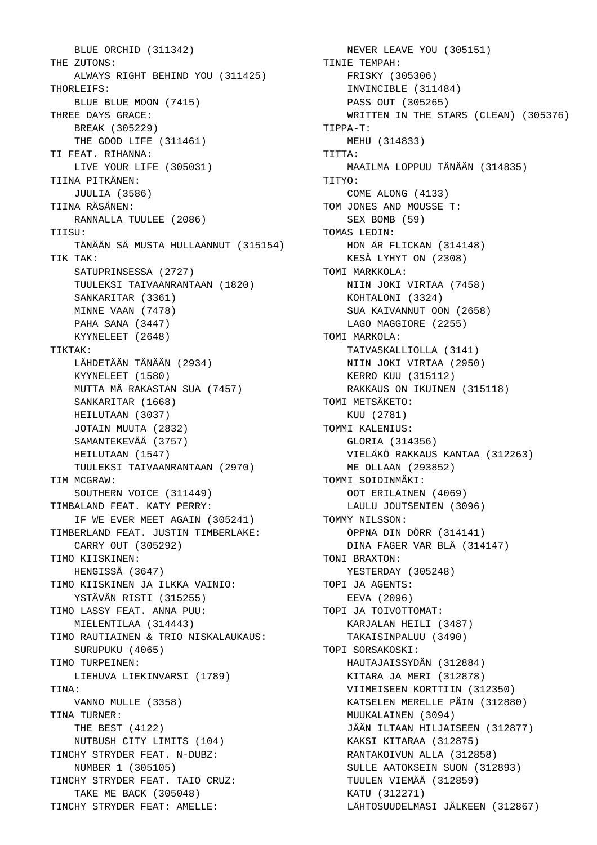BLUE ORCHID (311342) THE ZUTONS: ALWAYS RIGHT BEHIND YOU (311425) THORLEIFS: BLUE BLUE MOON (7415) THREE DAYS GRACE: BREAK (305229) THE GOOD LIFE (311461) TI FEAT. RIHANNA: LIVE YOUR LIFE (305031) TIINA PITKÄNEN: JUULIA (3586) TIINA RÄSÄNEN: RANNALLA TUULEE (2086) TITSU: TÄNÄÄN SÄ MUSTA HULLAANNUT (315154) TIK TAK: SATUPRINSESSA (2727) TUULEKSI TAIVAANRANTAAN (1820) SANKARITAR (3361) MINNE VAAN (7478) PAHA SANA (3447) KYYNELEET (2648) TIKTAK: LÄHDETÄÄN TÄNÄÄN (2934) KYYNELEET (1580) MUTTA MÄ RAKASTAN SUA (7457) SANKARITAR (1668) HEILUTAAN (3037) JOTAIN MUUTA (2832) SAMANTEKEVÄÄ (3757) HEILUTAAN (1547) TUULEKSI TAIVAANRANTAAN (2970) TIM MCGRAW: SOUTHERN VOICE (311449) TIMBALAND FEAT. KATY PERRY: IF WE EVER MEET AGAIN (305241) TIMBERLAND FEAT. JUSTIN TIMBERLAKE: CARRY OUT (305292) TIMO KIISKINEN: HENGISSÄ (3647) TIMO KIISKINEN JA ILKKA VAINIO: YSTÄVÄN RISTI (315255) TIMO LASSY FEAT. ANNA PUU: MIELENTILAA (314443) TIMO RAUTIAINEN & TRIO NISKALAUKAUS: SURUPUKU (4065) TIMO TURPEINEN: LIEHUVA LIEKINVARSI (1789) TINA: VANNO MULLE (3358) TINA TURNER: THE BEST (4122) NUTBUSH CITY LIMITS (104) TINCHY STRYDER FEAT. N-DUBZ: NUMBER 1 (305105) TINCHY STRYDER FEAT. TAIO CRUZ: TAKE ME BACK (305048) TINCHY STRYDER FEAT: AMELLE:

 NEVER LEAVE YOU (305151) TINIE TEMPAH: FRISKY (305306) INVINCIBLE (311484) PASS OUT (305265) WRITTEN IN THE STARS (CLEAN) (305376) TIPPA-T: MEHU (314833)  $TTTTTA:$  MAAILMA LOPPUU TÄNÄÄN (314835) TITYO: COME ALONG (4133) TOM JONES AND MOUSSE T: SEX BOMB (59) TOMAS LEDIN: HON ÄR FLICKAN (314148) KESÄ LYHYT ON (2308) TOMI MARKKOLA: NIIN JOKI VIRTAA (7458) KOHTALONI (3324) SUA KAIVANNUT OON (2658) LAGO MAGGIORE (2255) TOMI MARKOLA: TAIVASKALLIOLLA (3141) NIIN JOKI VIRTAA (2950) KERRO KUU (315112) RAKKAUS ON IKUINEN (315118) TOMI METSÄKETO: KUU (2781) TOMMI KALENIUS: GLORIA (314356) VIELÄKÖ RAKKAUS KANTAA (312263) ME OLLAAN (293852) TOMMI SOIDINMÄKI: OOT ERILAINEN (4069) LAULU JOUTSENIEN (3096) TOMMY NILSSON: ÖPPNA DIN DÖRR (314141) DINA FÄGER VAR BLÅ (314147) TONI BRAXTON: YESTERDAY (305248) TOPI JA AGENTS: EEVA (2096) TOPI JA TOIVOTTOMAT: KARJALAN HEILI (3487) TAKAISINPALUU (3490) TOPI SORSAKOSKI: HAUTAJAISSYDÄN (312884) KITARA JA MERI (312878) VIIMEISEEN KORTTIIN (312350) KATSELEN MERELLE PÄIN (312880) MUUKALAINEN (3094) JÄÄN ILTAAN HILJAISEEN (312877) KAKSI KITARAA (312875) RANTAKOIVUN ALLA (312858) SULLE AATOKSEIN SUON (312893) TUULEN VIEMÄÄ (312859) KATU (312271) LÄHTOSUUDELMASI JÄLKEEN (312867)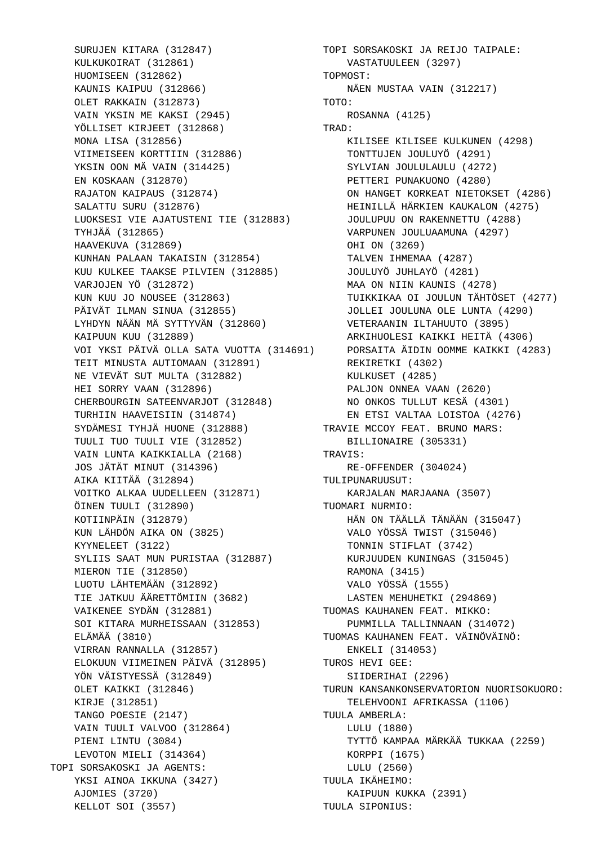SURUJEN KITARA (312847) KULKUKOIRAT (312861) HUOMISEEN (312862) KAUNIS KAIPUU (312866) OLET RAKKAIN (312873) VAIN YKSIN ME KAKSI (2945) YÖLLISET KIRJEET (312868) MONA LISA (312856) VIIMEISEEN KORTTIIN (312886) YKSIN OON MÄ VAIN (314425) EN KOSKAAN (312870) RAJATON KAIPAUS (312874) SALATTU SURU (312876) LUOKSESI VIE AJATUSTENI TIE (312883) TYHJÄÄ (312865) HAAVEKUVA (312869) KUNHAN PALAAN TAKAISIN (312854) KUU KULKEE TAAKSE PILVIEN (312885) VARJOJEN YÖ (312872) KUN KUU JO NOUSEE (312863) PÄIVÄT ILMAN SINUA (312855) LYHDYN NÄÄN MÄ SYTTYVÄN (312860) KAIPUUN KUU (312889) VOI YKSI PÄIVÄ OLLA SATA VUOTTA (314691) TEIT MINUSTA AUTIOMAAN (312891) NE VIEVÄT SUT MULTA (312882) HEI SORRY VAAN (312896) CHERBOURGIN SATEENVARJOT (312848) TURHIIN HAAVEISIIN (314874) SYDÄMESI TYHJÄ HUONE (312888) TUULI TUO TUULI VIE (312852) VAIN LUNTA KAIKKIALLA (2168) JOS JÄTÄT MINUT (314396) AIKA KIITÄÄ (312894) VOITKO ALKAA UUDELLEEN (312871) ÖINEN TUULI (312890) KOTIINPÄIN (312879) KUN LÄHDÖN AIKA ON (3825) KYYNELEET (3122) SYLIIS SAAT MUN PURISTAA (312887) MIERON TIE (312850) LUOTU LÄHTEMÄÄN (312892) TIE JATKUU ÄÄRETTÖMIIN (3682) VAIKENEE SYDÄN (312881) SOI KITARA MURHEISSAAN (312853) ELÄMÄÄ (3810) VIRRAN RANNALLA (312857) ELOKUUN VIIMEINEN PÄIVÄ (312895) YÖN VÄISTYESSÄ (312849) OLET KAIKKI (312846) KIRJE (312851) TANGO POESIE (2147) VAIN TUULI VALVOO (312864) PIENI LINTU (3084) LEVOTON MIELI (314364) TOPI SORSAKOSKI JA AGENTS: YKSI AINOA IKKUNA (3427) AJOMIES (3720) KELLOT SOI (3557) LUOKSESI VIE AJATUSTENI TIE (312883) JOULUPUU ON RAKENNETTU (4288)

 TOPI SORSAKOSKI JA REIJO TAIPALE: VASTATUULEEN (3297) TOPMOST: NÄEN MUSTAA VAIN (312217) TOTO: ROSANNA (4125) TRAD: KILISEE KILISEE KULKUNEN (4298) TONTTUJEN JOULUYÖ (4291) SYLVIAN JOULULAULU (4272) PETTERI PUNAKUONO (4280) ON HANGET KORKEAT NIETOKSET (4286) HEINILLÄ HÄRKIEN KAUKALON (4275) VARPUNEN JOULUAAMUNA (4297) OHI ON (3269) TALVEN IHMEMAA (4287) JOULUYÖ JUHLAYÖ (4281) MAA ON NIIN KAUNIS (4278) TUIKKIKAA OI JOULUN TÄHTÖSET (4277) JOLLEI JOULUNA OLE LUNTA (4290) VETERAANIN ILTAHUUTO (3895) ARKIHUOLESI KAIKKI HEITÄ (4306) PORSAITA ÄIDIN OOMME KAIKKI (4283) REKIRETKI (4302) KULKUSET (4285) PALJON ONNEA VAAN (2620) NO ONKOS TULLUT KESÄ (4301) EN ETSI VALTAA LOISTOA (4276) TRAVIE MCCOY FEAT. BRUNO MARS: BILLIONAIRE (305331) TRAVIS: RE-OFFENDER (304024) TULIPUNARUUSUT: KARJALAN MARJAANA (3507) TUOMARI NURMIO: HÄN ON TÄÄLLÄ TÄNÄÄN (315047) VALO YÖSSÄ TWIST (315046) TONNIN STIFLAT (3742) KURJUUDEN KUNINGAS (315045) RAMONA (3415) VALO YÖSSÄ (1555) LASTEN MEHUHETKI (294869) TUOMAS KAUHANEN FEAT. MIKKO: PUMMILLA TALLINNAAN (314072) TUOMAS KAUHANEN FEAT. VÄINÖVÄINÖ: ENKELI (314053) TUROS HEVI GEE: SIIDERIHAI (2296) TURUN KANSANKONSERVATORION NUORISOKUORO: TELEHVOONI AFRIKASSA (1106) TUULA AMBERLA: LULU (1880) TYTTÖ KAMPAA MÄRKÄÄ TUKKAA (2259) KORPPI (1675) LULU (2560) TUULA IKÄHEIMO: KAIPUUN KUKKA (2391) TUULA SIPONIUS: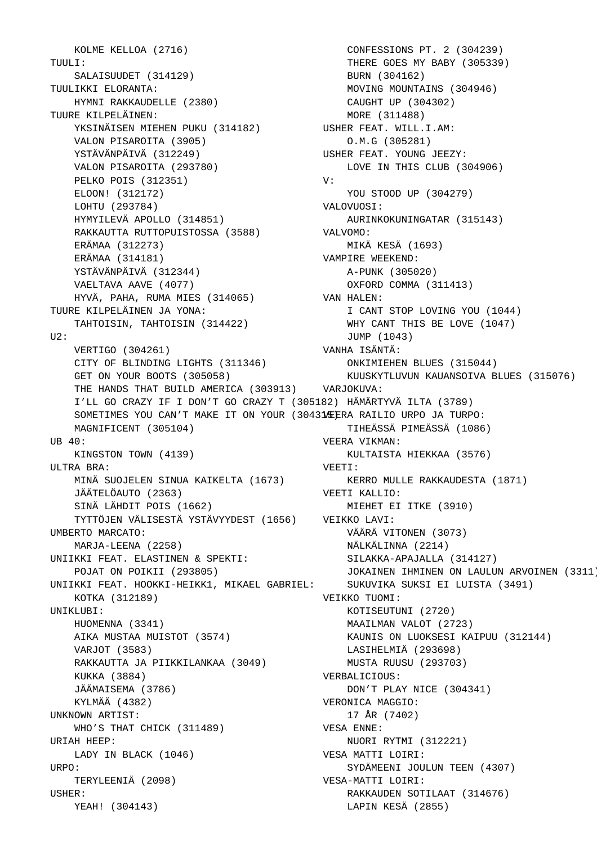KOLME KELLOA (2716)  $T$ UULI $T$ : SALAISUUDET (314129) TUULIKKI ELORANTA: HYMNI RAKKAUDELLE (2380) TUURE KILPELÄINEN: YKSINÄISEN MIEHEN PUKU (314182) VALON PISAROITA (3905) YSTÄVÄNPÄIVÄ (312249) VALON PISAROITA (293780) PELKO POIS (312351) ELOON! (312172) LOHTU (293784) HYMYILEVÄ APOLLO (314851) RAKKAUTTA RUTTOPUISTOSSA (3588) ERÄMAA (312273) ERÄMAA (314181) YSTÄVÄNPÄIVÄ (312344) VAELTAVA AAVE (4077) HYVÄ, PAHA, RUMA MIES (314065) TUURE KILPELÄINEN JA YONA: TAHTOISIN, TAHTOISIN (314422)  $TI2$ : VERTIGO (304261) CITY OF BLINDING LIGHTS (311346) ONKIMIEHEN BLUES (315044) GET ON YOUR BOOTS (305058) THE HANDS THAT BUILD AMERICA (303913) VARJOKUVA: I'LL GO CRAZY IF I DON'T GO CRAZY T (305182) HÄMÄRTYVÄ ILTA (3789) SOMETIMES YOU CAN'T MAKE IT ON YOUR (304315/EERA RAILIO URPO JA TURPO: MAGNIFICENT (305104) UB 40: KINGSTON TOWN (4139) ULTRA BRA: MINÄ SUOJELEN SINUA KAIKELTA (1673) JÄÄTELÖAUTO (2363) SINÄ LÄHDIT POIS (1662) TYTTÖJEN VÄLISESTÄ YSTÄVYYDEST (1656) VEIKKO LAVI: UMBERTO MARCATO: MARJA-LEENA (2258) UNIIKKI FEAT. ELASTINEN & SPEKTI: POJAT ON POIKII (293805) UNIIKKI FEAT. HOOKKI-HEIKK1, MIKAEL GABRIEL: KOTKA (312189) UNIKLUBI: HUOMENNA (3341) AIKA MUSTAA MUISTOT (3574) VARJOT (3583) RAKKAUTTA JA PIIKKILANKAA (3049) KUKKA (3884) JÄÄMAISEMA (3786) KYLMÄÄ (4382) UNKNOWN ARTIST: WHO'S THAT CHICK (311489) URIAH HEEP: LADY IN BLACK (1046)  $IDPO:$  TERYLEENIÄ (2098) USHER: YEAH! (304143)

 CONFESSIONS PT. 2 (304239) THERE GOES MY BABY (305339) BURN (304162) MOVING MOUNTAINS (304946) CAUGHT UP (304302) MORE (311488) USHER FEAT. WILL.I.AM: O.M.G (305281) USHER FEAT. YOUNG JEEZY: LOVE IN THIS CLUB (304906) V: YOU STOOD UP (304279) VALOVUOSI: AURINKOKUNINGATAR (315143) VALVOMO: MIKÄ KESÄ (1693) VAMPIRE WEEKEND: A-PUNK (305020) OXFORD COMMA (311413) VAN HALEN: I CANT STOP LOVING YOU (1044) WHY CANT THIS BE LOVE (1047) JUMP (1043) VANHA ISÄNTÄ: KUUSKYTLUVUN KAUANSOIVA BLUES (315076) TIHEÄSSÄ PIMEÄSSÄ (1086) VEERA VIKMAN: KULTAISTA HIEKKAA (3576) VEETI: KERRO MULLE RAKKAUDESTA (1871) VEETI KALLIO: MIEHET EI ITKE (3910) VÄÄRÄ VITONEN (3073) NÄLKÄLINNA (2214) SILAKKA-APAJALLA (314127) JOKAINEN IHMINEN ON LAULUN ARVOINEN (3311) SUKUVIKA SUKSI EI LUISTA (3491) VEIKKO TUOMI: KOTISEUTUNI (2720) MAAILMAN VALOT (2723) KAUNIS ON LUOKSESI KAIPUU (312144) LASIHELMIÄ (293698) MUSTA RUUSU (293703) VERBALICIOUS: DON'T PLAY NICE (304341) VERONICA MAGGIO: 17 ÅR (7402) VESA ENNE: NUORI RYTMI (312221) VESA MATTI LOIRI: SYDÄMEENI JOULUN TEEN (4307) VESA-MATTI LOIRI: RAKKAUDEN SOTILAAT (314676) LAPIN KESÄ (2855)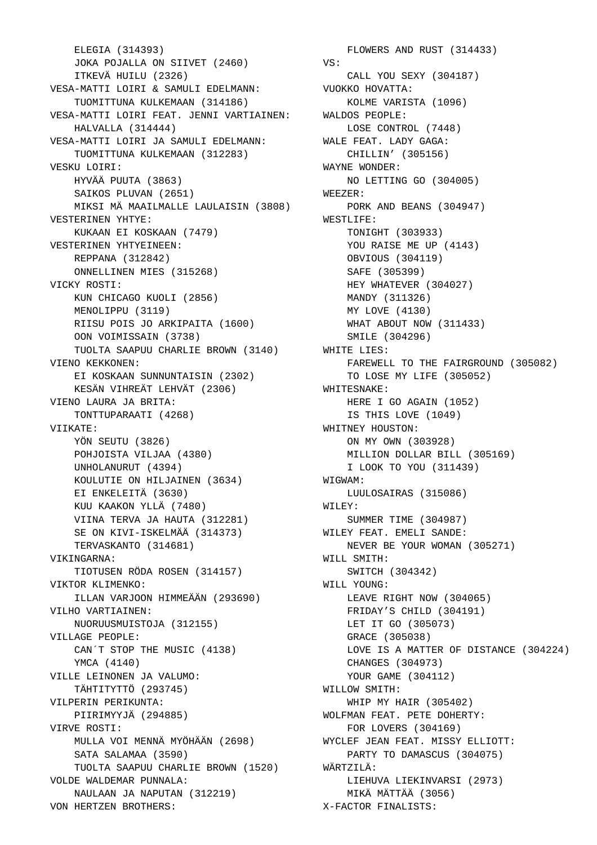ELEGIA (314393) JOKA POJALLA ON SIIVET (2460) ITKEVÄ HUILU (2326) VESA-MATTI LOIRI & SAMULI EDELMANN: TUOMITTUNA KULKEMAAN (314186) VESA-MATTI LOIRI FEAT. JENNI VARTIAINEN: HALVALLA (314444) VESA-MATTI LOIRI JA SAMULI EDELMANN: WALE FEAT. LADY GAGA: TUOMITTUNA KULKEMAAN (312283) VESKU LOIRI: HYVÄÄ PUUTA (3863) SAIKOS PLUVAN (2651) MIKSI MÄ MAAILMALLE LAULAISIN (3808) VESTERINEN YHTYE: KUKAAN EI KOSKAAN (7479) VESTERINEN YHTYEINEEN: REPPANA (312842) ONNELLINEN MIES (315268) VICKY ROSTI: KUN CHICAGO KUOLI (2856) MENOLIPPU (3119) RIISU POIS JO ARKIPAITA (1600) OON VOIMISSAIN (3738) TUOLTA SAAPUU CHARLIE BROWN (3140) VIENO KEKKONEN: EI KOSKAAN SUNNUNTAISIN (2302) KESÄN VIHREÄT LEHVÄT (2306) VIENO LAURA JA BRITA: TONTTUPARAATI (4268) VIIKATE: YÖN SEUTU (3826) POHJOISTA VILJAA (4380) UNHOLANURUT (4394) KOULUTIE ON HILJAINEN (3634) EI ENKELEITÄ (3630) KUU KAAKON YLLÄ (7480) VIINA TERVA JA HAUTA (312281) SE ON KIVI-ISKELMÄÄ (314373) TERVASKANTO (314681) VIKINGARNA: TIOTUSEN RÖDA ROSEN (314157) VIKTOR KLIMENKO: ILLAN VARJOON HIMMEÄÄN (293690) VILHO VARTIAINEN: NUORUUSMUISTOJA (312155) VILLAGE PEOPLE: CAN´T STOP THE MUSIC (4138) YMCA (4140) VILLE LEINONEN JA VALUMO: TÄHTITYTTÖ (293745) VILPERIN PERIKUNTA: PIIRIMYYJÄ (294885) VIRVE ROSTI: MULLA VOI MENNÄ MYÖHÄÄN (2698) SATA SALAMAA (3590) TUOLTA SAAPUU CHARLIE BROWN (1520) VOLDE WALDEMAR PUNNALA: NAULAAN JA NAPUTAN (312219) VON HERTZEN BROTHERS:

 FLOWERS AND RUST (314433) VS: CALL YOU SEXY (304187) VUOKKO HOVATTA: KOLME VARISTA (1096) WALDOS PEOPLE: LOSE CONTROL (7448) CHILLIN' (305156) WAYNE WONDER: NO LETTING GO (304005) WEEZER: PORK AND BEANS (304947) WESTLIFE: TONIGHT (303933) YOU RAISE ME UP (4143) OBVIOUS (304119) SAFE (305399) HEY WHATEVER (304027) MANDY (311326) MY LOVE (4130) WHAT ABOUT NOW (311433) SMILE (304296) WHITE LIES: FAREWELL TO THE FAIRGROUND (305082) TO LOSE MY LIFE (305052) WHITESNAKE: HERE I GO AGAIN (1052) IS THIS LOVE (1049) WHITNEY HOUSTON: ON MY OWN (303928) MILLION DOLLAR BILL (305169) I LOOK TO YOU (311439) WIGWAM: LUULOSAIRAS (315086) WILEY: SUMMER TIME (304987) WILEY FEAT. EMELI SANDE: NEVER BE YOUR WOMAN (305271) WILL SMITH: SWITCH (304342) WILL YOUNG: LEAVE RIGHT NOW (304065) FRIDAY'S CHILD (304191) LET IT GO (305073) GRACE (305038) LOVE IS A MATTER OF DISTANCE (304224) CHANGES (304973) YOUR GAME (304112) WILLOW SMITH: WHIP MY HAIR (305402) WOLFMAN FEAT. PETE DOHERTY: FOR LOVERS (304169) WYCLEF JEAN FEAT. MISSY ELLIOTT: PARTY TO DAMASCUS (304075) WÄRTZILÄ: LIEHUVA LIEKINVARSI (2973) MIKÄ MÄTTÄÄ (3056) X-FACTOR FINALISTS: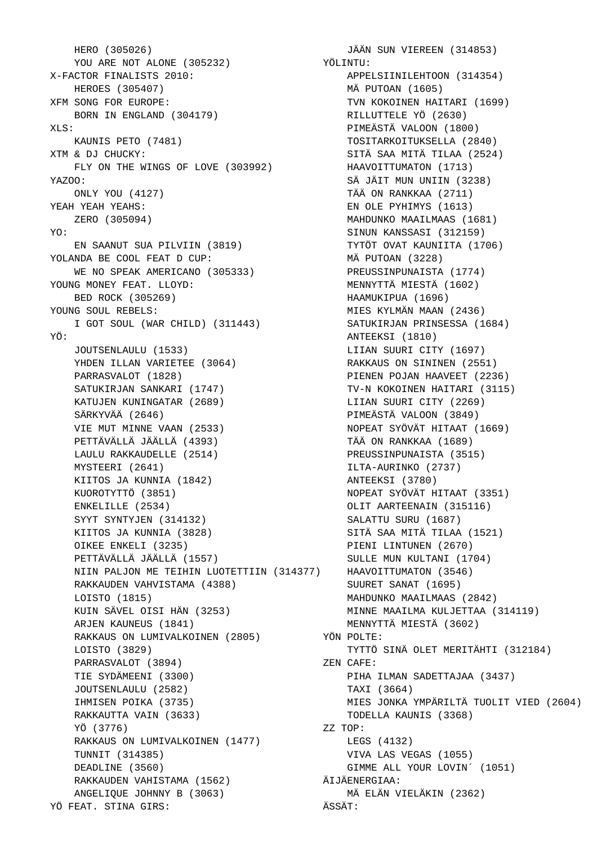```
 HERO (305026)
    YOU ARE NOT ALONE (305232)
 X-FACTOR FINALISTS 2010: 
    HEROES (305407)
 XFM SONG FOR EUROPE: 
   BORN IN ENGLAND (304179)
 XLS: 
    KAUNIS PETO (7481)
 XTM & DJ CHUCKY: 
    FLY ON THE WINGS OF LOVE (303992)
 YAZOO: 
   ONLY YOU (4127)
 YEAH YEAH YEAHS: 
    ZERO (305094)
 YO: 
    EN SAANUT SUA PILVIIN (3819)
 YOLANDA BE COOL FEAT D CUP: 
    WE NO SPEAK AMERICANO (305333)
 YOUNG MONEY FEAT. LLOYD: 
    BED ROCK (305269)
 YOUNG SOUL REBELS: 
    I GOT SOUL (WAR CHILD) (311443)
 YÖ: 
    JOUTSENLAULU (1533)
    YHDEN ILLAN VARIETEE (3064)
    PARRASVALOT (1828)
    SATUKIRJAN SANKARI (1747)
    KATUJEN KUNINGATAR (2689)
    SÄRKYVÄÄ (2646)
    VIE MUT MINNE VAAN (2533)
    PETTÄVÄLLÄ JÄÄLLÄ (4393)
    LAULU RAKKAUDELLE (2514)
    MYSTEERI (2641)
    KIITOS JA KUNNIA (1842)
    KUOROTYTTÖ (3851)
    ENKELILLE (2534)
    SYYT SYNTYJEN (314132)
    KIITOS JA KUNNIA (3828)
    OIKEE ENKELI (3235)
    PETTÄVÄLLÄ JÄÄLLÄ (1557)
 NIIN PALJON ME TEIHIN LUOTETTIIN (314377)
 HAAVOITTUMATON (3546)
    RAKKAUDEN VAHVISTAMA (4388)
    LOISTO (1815)
    KUIN SÄVEL OISI HÄN (3253)
    ARJEN KAUNEUS (1841)
    RAKKAUS ON LUMIVALKOINEN (2805)
    LOISTO (3829)
    PARRASVALOT (3894)
    TIE SYDÄMEENI (3300)
    JOUTSENLAULU (2582)
    IHMISEN POIKA (3735)
    RAKKAUTTA VAIN (3633)
    YÖ (3776)
    RAKKAUS ON LUMIVALKOINEN (1477)
    TUNNIT (314385)
    DEADLINE (3560)
    RAKKAUDEN VAHISTAMA (1562)
    ANGELIQUE JOHNNY B (3063)
 YÖ FEAT. STINA GIRS:
```
 JÄÄN SUN VIEREEN (314853) YÖLINTU: APPELSIINILEHTOON (314354) MÄ PUTOAN (1605) TVN KOKOINEN HAITARI (1699) RILLUTTELE YÖ (2630) PIMEÄSTÄ VALOON (1800) TOSITARKOITUKSELLA (2840) SITÄ SAA MITÄ TILAA (2524) HAAVOITTUMATON (1713) SÄ JÄIT MUN UNIIN (3238) TÄÄ ON RANKKAA (2711) EN OLE PYHIMYS (1613) MAHDUNKO MAAILMAAS (1681) SINUN KANSSASI (312159) TYTÖT OVAT KAUNIITA (1706) MÄ PUTOAN (3228) PREUSSINPUNAISTA (1774) MENNYTTÄ MIESTÄ (1602) HAAMUKIPUA (1696) MIES KYLMÄN MAAN (2436) SATUKIRJAN PRINSESSA (1684) ANTEEKSI (1810) LIIAN SUURI CITY (1697) RAKKAUS ON SININEN (2551) PIENEN POJAN HAAVEET (2236) TV-N KOKOINEN HAITARI (3115) LIIAN SUURI CITY (2269) PIMEÄSTÄ VALOON (3849) NOPEAT SYÖVÄT HITAAT (1669) TÄÄ ON RANKKAA (1689) PREUSSINPUNAISTA (3515) ILTA-AURINKO (2737) ANTEEKSI (3780) NOPEAT SYÖVÄT HITAAT (3351) OLIT AARTEENAIN (315116) SALATTU SURU (1687) SITÄ SAA MITÄ TILAA (1521) PIENI LINTUNEN (2670) SULLE MUN KULTANI (1704) SUURET SANAT (1695) MAHDUNKO MAAILMAAS (2842) MINNE MAAILMA KULJETTAA (314119) MENNYTTÄ MIESTÄ (3602) YÖN POLTE: TYTTÖ SINÄ OLET MERITÄHTI (312184) ZEN CAFE: PIHA ILMAN SADETTAJAA (3437) TAXI (3664) MIES JONKA YMPÄRILTÄ TUOLIT VIED (2604) TODELLA KAUNIS (3368) ZZ TOP: LEGS (4132) VIVA LAS VEGAS (1055) GIMME ALL YOUR LOVIN´ (1051) ÄIJÄENERGIAA: MÄ ELÄN VIELÄKIN (2362) ÄSSÄT: